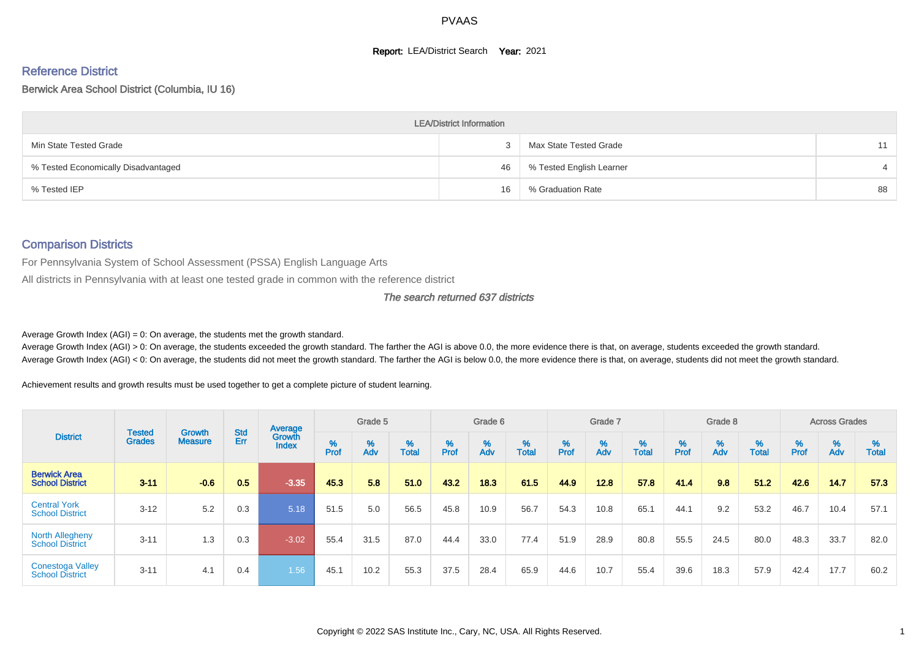#### **Report: LEA/District Search Year: 2021**

# Reference District

#### Berwick Area School District (Columbia, IU 16)

|                                     | <b>LEA/District Information</b> |                          |    |
|-------------------------------------|---------------------------------|--------------------------|----|
| Min State Tested Grade              |                                 | Max State Tested Grade   |    |
| % Tested Economically Disadvantaged | 46                              | % Tested English Learner |    |
| % Tested IEP                        | 16                              | % Graduation Rate        | 88 |

#### Comparison Districts

For Pennsylvania System of School Assessment (PSSA) English Language Arts

All districts in Pennsylvania with at least one tested grade in common with the reference district

#### The search returned 637 districts

Average Growth Index  $(AGI) = 0$ : On average, the students met the growth standard.

Average Growth Index (AGI) > 0: On average, the students exceeded the growth standard. The farther the AGI is above 0.0, the more evidence there is that, on average, students exceeded the growth standard. Average Growth Index (AGI) < 0: On average, the students did not meet the growth standard. The farther the AGI is below 0.0, the more evidence there is that, on average, students did not meet the growth standard.

Achievement results and growth results must be used together to get a complete picture of student learning.

|                                                   |                                |                          |                   | Average                |           | Grade 5  |                   |        | Grade 6  |                   |          | Grade 7  |                   |           | Grade 8  |                   |           | <b>Across Grades</b> |                   |
|---------------------------------------------------|--------------------------------|--------------------------|-------------------|------------------------|-----------|----------|-------------------|--------|----------|-------------------|----------|----------|-------------------|-----------|----------|-------------------|-----------|----------------------|-------------------|
| <b>District</b>                                   | <b>Tested</b><br><b>Grades</b> | Growth<br><b>Measure</b> | <b>Std</b><br>Err | Growth<br><b>Index</b> | %<br>Prof | %<br>Adv | %<br><b>Total</b> | % Pref | %<br>Adv | %<br><b>Total</b> | $%$ Prof | %<br>Adv | %<br><b>Total</b> | %<br>Prof | %<br>Adv | %<br><b>Total</b> | %<br>Prof | %<br>Adv             | %<br><b>Total</b> |
| <b>Berwick Area</b><br><b>School District</b>     | $3 - 11$                       | $-0.6$                   | 0.5               | $-3.35$                | 45.3      | 5.8      | 51.0              | 43.2   | 18.3     | 61.5              | 44.9     | 12.8     | 57.8              | 41.4      | 9.8      | 51.2              | 42.6      | 14.7                 | 57.3              |
| <b>Central York</b><br><b>School District</b>     | $3 - 12$                       | 5.2                      | 0.3               | 5.18                   | 51.5      | 5.0      | 56.5              | 45.8   | 10.9     | 56.7              | 54.3     | 10.8     | 65.1              | 44.1      | 9.2      | 53.2              | 46.7      | 10.4                 | 57.1              |
| <b>North Allegheny</b><br><b>School District</b>  | $3 - 11$                       | 1.3                      | 0.3               | $-3.02$                | 55.4      | 31.5     | 87.0              | 44.4   | 33.0     | 77.4              | 51.9     | 28.9     | 80.8              | 55.5      | 24.5     | 80.0              | 48.3      | 33.7                 | 82.0              |
| <b>Conestoga Valley</b><br><b>School District</b> | $3 - 11$                       | 4.1                      | 0.4               | 1.56                   | 45.1      | 10.2     | 55.3              | 37.5   | 28.4     | 65.9              | 44.6     | 10.7     | 55.4              | 39.6      | 18.3     | 57.9              | 42.4      | 17.7                 | 60.2              |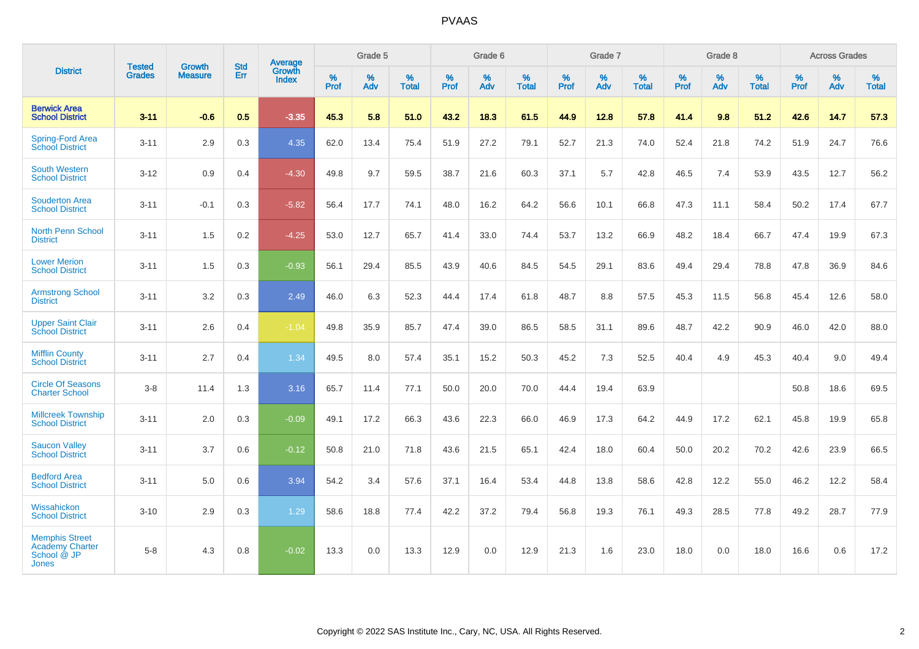|                                                                         | <b>Tested</b> | <b>Growth</b>  | <b>Std</b> | Average                |           | Grade 5  |                   |           | Grade 6  |                   |           | Grade 7  |                   |           | Grade 8  |                   |           | <b>Across Grades</b> |                   |
|-------------------------------------------------------------------------|---------------|----------------|------------|------------------------|-----------|----------|-------------------|-----------|----------|-------------------|-----------|----------|-------------------|-----------|----------|-------------------|-----------|----------------------|-------------------|
| <b>District</b>                                                         | <b>Grades</b> | <b>Measure</b> | Err        | Growth<br><b>Index</b> | %<br>Prof | %<br>Adv | %<br><b>Total</b> | %<br>Prof | %<br>Adv | %<br><b>Total</b> | %<br>Prof | %<br>Adv | %<br><b>Total</b> | %<br>Prof | %<br>Adv | %<br><b>Total</b> | %<br>Prof | %<br>Adv             | %<br><b>Total</b> |
| <b>Berwick Area</b><br><b>School District</b>                           | $3 - 11$      | $-0.6$         | 0.5        | $-3.35$                | 45.3      | 5.8      | 51.0              | 43.2      | 18.3     | 61.5              | 44.9      | 12.8     | 57.8              | 41.4      | 9.8      | 51.2              | 42.6      | 14.7                 | 57.3              |
| <b>Spring-Ford Area</b><br><b>School District</b>                       | $3 - 11$      | 2.9            | 0.3        | 4.35                   | 62.0      | 13.4     | 75.4              | 51.9      | 27.2     | 79.1              | 52.7      | 21.3     | 74.0              | 52.4      | 21.8     | 74.2              | 51.9      | 24.7                 | 76.6              |
| <b>South Western</b><br><b>School District</b>                          | $3 - 12$      | 0.9            | 0.4        | $-4.30$                | 49.8      | 9.7      | 59.5              | 38.7      | 21.6     | 60.3              | 37.1      | 5.7      | 42.8              | 46.5      | 7.4      | 53.9              | 43.5      | 12.7                 | 56.2              |
| <b>Souderton Area</b><br><b>School District</b>                         | $3 - 11$      | $-0.1$         | 0.3        | $-5.82$                | 56.4      | 17.7     | 74.1              | 48.0      | 16.2     | 64.2              | 56.6      | 10.1     | 66.8              | 47.3      | 11.1     | 58.4              | 50.2      | 17.4                 | 67.7              |
| <b>North Penn School</b><br><b>District</b>                             | $3 - 11$      | 1.5            | 0.2        | $-4.25$                | 53.0      | 12.7     | 65.7              | 41.4      | 33.0     | 74.4              | 53.7      | 13.2     | 66.9              | 48.2      | 18.4     | 66.7              | 47.4      | 19.9                 | 67.3              |
| <b>Lower Merion</b><br><b>School District</b>                           | $3 - 11$      | 1.5            | 0.3        | $-0.93$                | 56.1      | 29.4     | 85.5              | 43.9      | 40.6     | 84.5              | 54.5      | 29.1     | 83.6              | 49.4      | 29.4     | 78.8              | 47.8      | 36.9                 | 84.6              |
| <b>Armstrong School</b><br><b>District</b>                              | $3 - 11$      | 3.2            | 0.3        | 2.49                   | 46.0      | 6.3      | 52.3              | 44.4      | 17.4     | 61.8              | 48.7      | 8.8      | 57.5              | 45.3      | 11.5     | 56.8              | 45.4      | 12.6                 | 58.0              |
| <b>Upper Saint Clair</b><br><b>School District</b>                      | $3 - 11$      | 2.6            | 0.4        | $-1.04$                | 49.8      | 35.9     | 85.7              | 47.4      | 39.0     | 86.5              | 58.5      | 31.1     | 89.6              | 48.7      | 42.2     | 90.9              | 46.0      | 42.0                 | 88.0              |
| <b>Mifflin County</b><br><b>School District</b>                         | $3 - 11$      | 2.7            | 0.4        | 1.34                   | 49.5      | 8.0      | 57.4              | 35.1      | 15.2     | 50.3              | 45.2      | 7.3      | 52.5              | 40.4      | 4.9      | 45.3              | 40.4      | 9.0                  | 49.4              |
| <b>Circle Of Seasons</b><br><b>Charter School</b>                       | $3-8$         | 11.4           | 1.3        | 3.16                   | 65.7      | 11.4     | 77.1              | 50.0      | 20.0     | 70.0              | 44.4      | 19.4     | 63.9              |           |          |                   | 50.8      | 18.6                 | 69.5              |
| <b>Millcreek Township</b><br><b>School District</b>                     | $3 - 11$      | 2.0            | 0.3        | $-0.09$                | 49.1      | 17.2     | 66.3              | 43.6      | 22.3     | 66.0              | 46.9      | 17.3     | 64.2              | 44.9      | 17.2     | 62.1              | 45.8      | 19.9                 | 65.8              |
| <b>Saucon Valley</b><br><b>School District</b>                          | $3 - 11$      | 3.7            | 0.6        | $-0.12$                | 50.8      | 21.0     | 71.8              | 43.6      | 21.5     | 65.1              | 42.4      | 18.0     | 60.4              | 50.0      | 20.2     | 70.2              | 42.6      | 23.9                 | 66.5              |
| <b>Bedford Area</b><br><b>School District</b>                           | $3 - 11$      | 5.0            | 0.6        | 3.94                   | 54.2      | 3.4      | 57.6              | 37.1      | 16.4     | 53.4              | 44.8      | 13.8     | 58.6              | 42.8      | 12.2     | 55.0              | 46.2      | 12.2                 | 58.4              |
| Wissahickon<br><b>School District</b>                                   | $3 - 10$      | 2.9            | 0.3        | 1.29                   | 58.6      | 18.8     | 77.4              | 42.2      | 37.2     | 79.4              | 56.8      | 19.3     | 76.1              | 49.3      | 28.5     | 77.8              | 49.2      | 28.7                 | 77.9              |
| <b>Memphis Street</b><br><b>Academy Charter</b><br>School @ JP<br>Jones | $5 - 8$       | 4.3            | 0.8        | $-0.02$                | 13.3      | 0.0      | 13.3              | 12.9      | 0.0      | 12.9              | 21.3      | 1.6      | 23.0              | 18.0      | 0.0      | 18.0              | 16.6      | 0.6                  | 17.2              |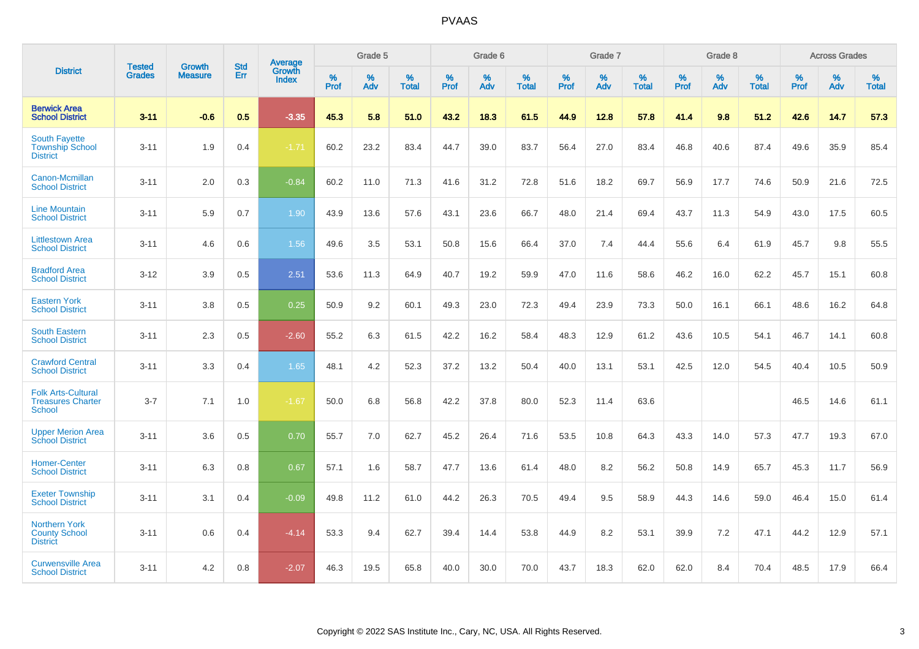|                                                                        |                                | <b>Growth</b>  | <b>Std</b> | Average                       |           | Grade 5  |                   |           | Grade 6  |                   |           | Grade 7  |                   |           | Grade 8  |                   |           | <b>Across Grades</b> |                   |
|------------------------------------------------------------------------|--------------------------------|----------------|------------|-------------------------------|-----------|----------|-------------------|-----------|----------|-------------------|-----------|----------|-------------------|-----------|----------|-------------------|-----------|----------------------|-------------------|
| <b>District</b>                                                        | <b>Tested</b><br><b>Grades</b> | <b>Measure</b> | Err        | <b>Growth</b><br><b>Index</b> | %<br>Prof | %<br>Adv | %<br><b>Total</b> | %<br>Prof | %<br>Adv | %<br><b>Total</b> | %<br>Prof | %<br>Adv | %<br><b>Total</b> | %<br>Prof | %<br>Adv | %<br><b>Total</b> | %<br>Prof | %<br>Adv             | %<br><b>Total</b> |
| <b>Berwick Area</b><br><b>School District</b>                          | $3 - 11$                       | $-0.6$         | 0.5        | $-3.35$                       | 45.3      | 5.8      | 51.0              | 43.2      | 18.3     | 61.5              | 44.9      | 12.8     | 57.8              | 41.4      | 9.8      | 51.2              | 42.6      | 14.7                 | 57.3              |
| <b>South Fayette</b><br><b>Township School</b><br><b>District</b>      | $3 - 11$                       | 1.9            | 0.4        | $-1.71$                       | 60.2      | 23.2     | 83.4              | 44.7      | 39.0     | 83.7              | 56.4      | 27.0     | 83.4              | 46.8      | 40.6     | 87.4              | 49.6      | 35.9                 | 85.4              |
| Canon-Mcmillan<br><b>School District</b>                               | $3 - 11$                       | 2.0            | 0.3        | $-0.84$                       | 60.2      | 11.0     | 71.3              | 41.6      | 31.2     | 72.8              | 51.6      | 18.2     | 69.7              | 56.9      | 17.7     | 74.6              | 50.9      | 21.6                 | 72.5              |
| <b>Line Mountain</b><br><b>School District</b>                         | $3 - 11$                       | 5.9            | 0.7        | 1.90                          | 43.9      | 13.6     | 57.6              | 43.1      | 23.6     | 66.7              | 48.0      | 21.4     | 69.4              | 43.7      | 11.3     | 54.9              | 43.0      | 17.5                 | 60.5              |
| <b>Littlestown Area</b><br><b>School District</b>                      | $3 - 11$                       | 4.6            | 0.6        | 1.56                          | 49.6      | 3.5      | 53.1              | 50.8      | 15.6     | 66.4              | 37.0      | 7.4      | 44.4              | 55.6      | 6.4      | 61.9              | 45.7      | 9.8                  | 55.5              |
| <b>Bradford Area</b><br><b>School District</b>                         | $3 - 12$                       | 3.9            | 0.5        | 2.51                          | 53.6      | 11.3     | 64.9              | 40.7      | 19.2     | 59.9              | 47.0      | 11.6     | 58.6              | 46.2      | 16.0     | 62.2              | 45.7      | 15.1                 | 60.8              |
| <b>Eastern York</b><br><b>School District</b>                          | $3 - 11$                       | 3.8            | 0.5        | 0.25                          | 50.9      | 9.2      | 60.1              | 49.3      | 23.0     | 72.3              | 49.4      | 23.9     | 73.3              | 50.0      | 16.1     | 66.1              | 48.6      | 16.2                 | 64.8              |
| <b>South Eastern</b><br><b>School District</b>                         | $3 - 11$                       | 2.3            | 0.5        | $-2.60$                       | 55.2      | 6.3      | 61.5              | 42.2      | 16.2     | 58.4              | 48.3      | 12.9     | 61.2              | 43.6      | 10.5     | 54.1              | 46.7      | 14.1                 | 60.8              |
| <b>Crawford Central</b><br><b>School District</b>                      | $3 - 11$                       | 3.3            | 0.4        | 1.65                          | 48.1      | 4.2      | 52.3              | 37.2      | 13.2     | 50.4              | 40.0      | 13.1     | 53.1              | 42.5      | 12.0     | 54.5              | 40.4      | 10.5                 | 50.9              |
| <b>Folk Arts-Cultural</b><br><b>Treasures Charter</b><br><b>School</b> | $3 - 7$                        | 7.1            | 1.0        | $-1.67$                       | 50.0      | 6.8      | 56.8              | 42.2      | 37.8     | 80.0              | 52.3      | 11.4     | 63.6              |           |          |                   | 46.5      | 14.6                 | 61.1              |
| <b>Upper Merion Area</b><br><b>School District</b>                     | $3 - 11$                       | 3.6            | 0.5        | 0.70                          | 55.7      | 7.0      | 62.7              | 45.2      | 26.4     | 71.6              | 53.5      | 10.8     | 64.3              | 43.3      | 14.0     | 57.3              | 47.7      | 19.3                 | 67.0              |
| <b>Homer-Center</b><br><b>School District</b>                          | $3 - 11$                       | 6.3            | 0.8        | 0.67                          | 57.1      | 1.6      | 58.7              | 47.7      | 13.6     | 61.4              | 48.0      | 8.2      | 56.2              | 50.8      | 14.9     | 65.7              | 45.3      | 11.7                 | 56.9              |
| <b>Exeter Township</b><br><b>School District</b>                       | $3 - 11$                       | 3.1            | 0.4        | $-0.09$                       | 49.8      | 11.2     | 61.0              | 44.2      | 26.3     | 70.5              | 49.4      | 9.5      | 58.9              | 44.3      | 14.6     | 59.0              | 46.4      | 15.0                 | 61.4              |
| <b>Northern York</b><br><b>County School</b><br><b>District</b>        | $3 - 11$                       | 0.6            | 0.4        | $-4.14$                       | 53.3      | 9.4      | 62.7              | 39.4      | 14.4     | 53.8              | 44.9      | 8.2      | 53.1              | 39.9      | 7.2      | 47.1              | 44.2      | 12.9                 | 57.1              |
| <b>Curwensville Area</b><br><b>School District</b>                     | $3 - 11$                       | 4.2            | 0.8        | $-2.07$                       | 46.3      | 19.5     | 65.8              | 40.0      | 30.0     | 70.0              | 43.7      | 18.3     | 62.0              | 62.0      | 8.4      | 70.4              | 48.5      | 17.9                 | 66.4              |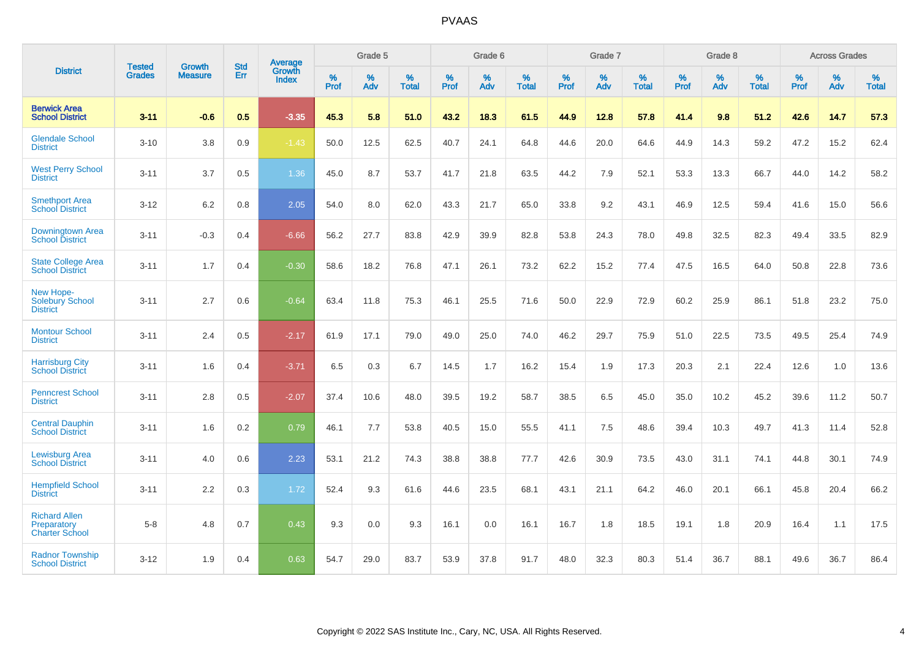|                                                              | <b>Tested</b> | <b>Growth</b>  | <b>Std</b> | <b>Average</b>         |           | Grade 5  |                   |           | Grade 6  |                   |           | Grade 7  |                   |           | Grade 8  |                   |           | <b>Across Grades</b> |                   |
|--------------------------------------------------------------|---------------|----------------|------------|------------------------|-----------|----------|-------------------|-----------|----------|-------------------|-----------|----------|-------------------|-----------|----------|-------------------|-----------|----------------------|-------------------|
| <b>District</b>                                              | <b>Grades</b> | <b>Measure</b> | Err        | Growth<br><b>Index</b> | %<br>Prof | %<br>Adv | %<br><b>Total</b> | %<br>Prof | %<br>Adv | %<br><b>Total</b> | %<br>Prof | %<br>Adv | %<br><b>Total</b> | %<br>Prof | %<br>Adv | %<br><b>Total</b> | %<br>Prof | %<br>Adv             | %<br><b>Total</b> |
| <b>Berwick Area</b><br><b>School District</b>                | $3 - 11$      | $-0.6$         | 0.5        | $-3.35$                | 45.3      | 5.8      | 51.0              | 43.2      | 18.3     | 61.5              | 44.9      | 12.8     | 57.8              | 41.4      | 9.8      | 51.2              | 42.6      | 14.7                 | 57.3              |
| <b>Glendale School</b><br><b>District</b>                    | $3 - 10$      | 3.8            | 0.9        | $-1.43$                | 50.0      | 12.5     | 62.5              | 40.7      | 24.1     | 64.8              | 44.6      | 20.0     | 64.6              | 44.9      | 14.3     | 59.2              | 47.2      | 15.2                 | 62.4              |
| <b>West Perry School</b><br><b>District</b>                  | $3 - 11$      | 3.7            | 0.5        | 1.36                   | 45.0      | 8.7      | 53.7              | 41.7      | 21.8     | 63.5              | 44.2      | 7.9      | 52.1              | 53.3      | 13.3     | 66.7              | 44.0      | 14.2                 | 58.2              |
| <b>Smethport Area</b><br><b>School District</b>              | $3 - 12$      | 6.2            | 0.8        | 2.05                   | 54.0      | 8.0      | 62.0              | 43.3      | 21.7     | 65.0              | 33.8      | 9.2      | 43.1              | 46.9      | 12.5     | 59.4              | 41.6      | 15.0                 | 56.6              |
| Downingtown Area<br><b>School District</b>                   | $3 - 11$      | $-0.3$         | 0.4        | $-6.66$                | 56.2      | 27.7     | 83.8              | 42.9      | 39.9     | 82.8              | 53.8      | 24.3     | 78.0              | 49.8      | 32.5     | 82.3              | 49.4      | 33.5                 | 82.9              |
| <b>State College Area</b><br><b>School District</b>          | $3 - 11$      | 1.7            | 0.4        | $-0.30$                | 58.6      | 18.2     | 76.8              | 47.1      | 26.1     | 73.2              | 62.2      | 15.2     | 77.4              | 47.5      | 16.5     | 64.0              | 50.8      | 22.8                 | 73.6              |
| New Hope-<br><b>Solebury School</b><br><b>District</b>       | $3 - 11$      | 2.7            | 0.6        | $-0.64$                | 63.4      | 11.8     | 75.3              | 46.1      | 25.5     | 71.6              | 50.0      | 22.9     | 72.9              | 60.2      | 25.9     | 86.1              | 51.8      | 23.2                 | 75.0              |
| <b>Montour School</b><br><b>District</b>                     | $3 - 11$      | 2.4            | 0.5        | $-2.17$                | 61.9      | 17.1     | 79.0              | 49.0      | 25.0     | 74.0              | 46.2      | 29.7     | 75.9              | 51.0      | 22.5     | 73.5              | 49.5      | 25.4                 | 74.9              |
| <b>Harrisburg City</b><br><b>School District</b>             | $3 - 11$      | 1.6            | 0.4        | $-3.71$                | 6.5       | 0.3      | 6.7               | 14.5      | 1.7      | 16.2              | 15.4      | 1.9      | 17.3              | 20.3      | 2.1      | 22.4              | 12.6      | 1.0                  | 13.6              |
| <b>Penncrest School</b><br><b>District</b>                   | $3 - 11$      | 2.8            | 0.5        | $-2.07$                | 37.4      | 10.6     | 48.0              | 39.5      | 19.2     | 58.7              | 38.5      | 6.5      | 45.0              | 35.0      | 10.2     | 45.2              | 39.6      | 11.2                 | 50.7              |
| <b>Central Dauphin</b><br><b>School District</b>             | $3 - 11$      | 1.6            | 0.2        | 0.79                   | 46.1      | 7.7      | 53.8              | 40.5      | 15.0     | 55.5              | 41.1      | 7.5      | 48.6              | 39.4      | 10.3     | 49.7              | 41.3      | 11.4                 | 52.8              |
| <b>Lewisburg Area</b><br><b>School District</b>              | $3 - 11$      | 4.0            | 0.6        | 2.23                   | 53.1      | 21.2     | 74.3              | 38.8      | 38.8     | 77.7              | 42.6      | 30.9     | 73.5              | 43.0      | 31.1     | 74.1              | 44.8      | 30.1                 | 74.9              |
| <b>Hempfield School</b><br><b>District</b>                   | $3 - 11$      | 2.2            | 0.3        | 1.72                   | 52.4      | 9.3      | 61.6              | 44.6      | 23.5     | 68.1              | 43.1      | 21.1     | 64.2              | 46.0      | 20.1     | 66.1              | 45.8      | 20.4                 | 66.2              |
| <b>Richard Allen</b><br>Preparatory<br><b>Charter School</b> | $5-8$         | 4.8            | 0.7        | 0.43                   | 9.3       | 0.0      | 9.3               | 16.1      | 0.0      | 16.1              | 16.7      | 1.8      | 18.5              | 19.1      | 1.8      | 20.9              | 16.4      | 1.1                  | 17.5              |
| <b>Radnor Township</b><br><b>School District</b>             | $3 - 12$      | 1.9            | 0.4        | 0.63                   | 54.7      | 29.0     | 83.7              | 53.9      | 37.8     | 91.7              | 48.0      | 32.3     | 80.3              | 51.4      | 36.7     | 88.1              | 49.6      | 36.7                 | 86.4              |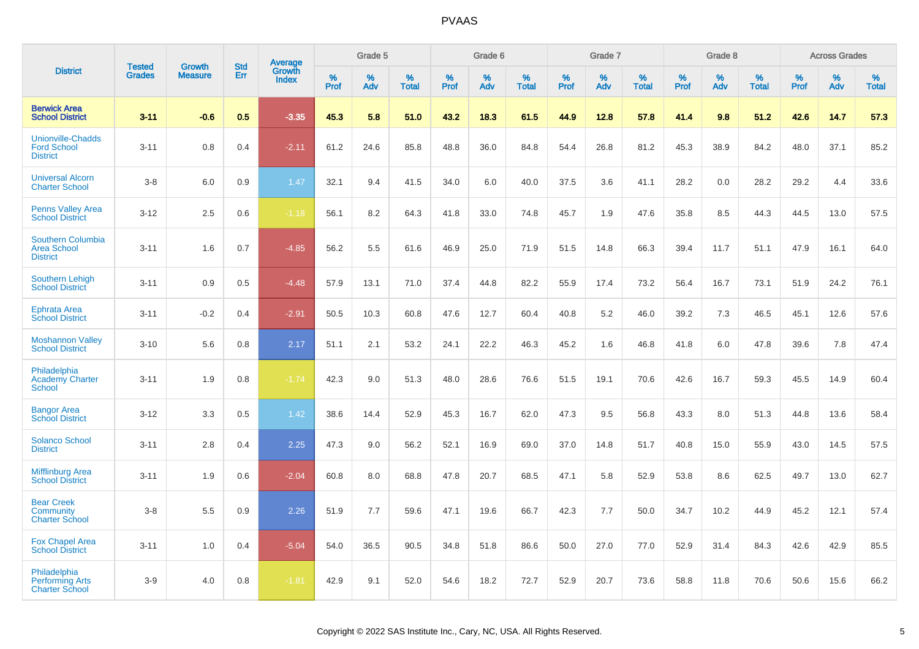|                                                                   |                                |                                 |                   | <b>Average</b>         |              | Grade 5  |                   |           | Grade 6  |                   |                  | Grade 7  |                   |           | Grade 8  |                   |              | <b>Across Grades</b> |                   |
|-------------------------------------------------------------------|--------------------------------|---------------------------------|-------------------|------------------------|--------------|----------|-------------------|-----------|----------|-------------------|------------------|----------|-------------------|-----------|----------|-------------------|--------------|----------------------|-------------------|
| <b>District</b>                                                   | <b>Tested</b><br><b>Grades</b> | <b>Growth</b><br><b>Measure</b> | <b>Std</b><br>Err | Growth<br><b>Index</b> | $\%$<br>Prof | %<br>Adv | %<br><b>Total</b> | %<br>Prof | %<br>Adv | %<br><b>Total</b> | %<br><b>Prof</b> | %<br>Adv | %<br><b>Total</b> | %<br>Prof | %<br>Adv | %<br><b>Total</b> | $\%$<br>Prof | %<br>Adv             | %<br><b>Total</b> |
| <b>Berwick Area</b><br><b>School District</b>                     | $3 - 11$                       | $-0.6$                          | 0.5               | $-3.35$                | 45.3         | 5.8      | 51.0              | 43.2      | 18.3     | 61.5              | 44.9             | 12.8     | 57.8              | 41.4      | 9.8      | 51.2              | 42.6         | 14.7                 | 57.3              |
| <b>Unionville-Chadds</b><br><b>Ford School</b><br><b>District</b> | $3 - 11$                       | 0.8                             | 0.4               | $-2.11$                | 61.2         | 24.6     | 85.8              | 48.8      | 36.0     | 84.8              | 54.4             | 26.8     | 81.2              | 45.3      | 38.9     | 84.2              | 48.0         | 37.1                 | 85.2              |
| <b>Universal Alcorn</b><br><b>Charter School</b>                  | $3-8$                          | 6.0                             | 0.9               | 1.47                   | 32.1         | 9.4      | 41.5              | 34.0      | 6.0      | 40.0              | 37.5             | 3.6      | 41.1              | 28.2      | 0.0      | 28.2              | 29.2         | 4.4                  | 33.6              |
| <b>Penns Valley Area</b><br><b>School District</b>                | $3 - 12$                       | 2.5                             | 0.6               | $-1.18$                | 56.1         | 8.2      | 64.3              | 41.8      | 33.0     | 74.8              | 45.7             | 1.9      | 47.6              | 35.8      | 8.5      | 44.3              | 44.5         | 13.0                 | 57.5              |
| Southern Columbia<br><b>Area School</b><br><b>District</b>        | $3 - 11$                       | 1.6                             | 0.7               | $-4.85$                | 56.2         | 5.5      | 61.6              | 46.9      | 25.0     | 71.9              | 51.5             | 14.8     | 66.3              | 39.4      | 11.7     | 51.1              | 47.9         | 16.1                 | 64.0              |
| Southern Lehigh<br><b>School District</b>                         | $3 - 11$                       | 0.9                             | 0.5               | $-4.48$                | 57.9         | 13.1     | 71.0              | 37.4      | 44.8     | 82.2              | 55.9             | 17.4     | 73.2              | 56.4      | 16.7     | 73.1              | 51.9         | 24.2                 | 76.1              |
| <b>Ephrata Area</b><br><b>School District</b>                     | $3 - 11$                       | $-0.2$                          | 0.4               | $-2.91$                | 50.5         | 10.3     | 60.8              | 47.6      | 12.7     | 60.4              | 40.8             | 5.2      | 46.0              | 39.2      | 7.3      | 46.5              | 45.1         | 12.6                 | 57.6              |
| <b>Moshannon Valley</b><br><b>School District</b>                 | $3 - 10$                       | 5.6                             | 0.8               | 2.17                   | 51.1         | 2.1      | 53.2              | 24.1      | 22.2     | 46.3              | 45.2             | 1.6      | 46.8              | 41.8      | 6.0      | 47.8              | 39.6         | 7.8                  | 47.4              |
| Philadelphia<br><b>Academy Charter</b><br><b>School</b>           | $3 - 11$                       | 1.9                             | 0.8               | $-1.74$                | 42.3         | 9.0      | 51.3              | 48.0      | 28.6     | 76.6              | 51.5             | 19.1     | 70.6              | 42.6      | 16.7     | 59.3              | 45.5         | 14.9                 | 60.4              |
| <b>Bangor Area</b><br><b>School District</b>                      | $3 - 12$                       | 3.3                             | 0.5               | 1.42                   | 38.6         | 14.4     | 52.9              | 45.3      | 16.7     | 62.0              | 47.3             | 9.5      | 56.8              | 43.3      | 8.0      | 51.3              | 44.8         | 13.6                 | 58.4              |
| <b>Solanco School</b><br><b>District</b>                          | $3 - 11$                       | 2.8                             | 0.4               | 2.25                   | 47.3         | 9.0      | 56.2              | 52.1      | 16.9     | 69.0              | 37.0             | 14.8     | 51.7              | 40.8      | 15.0     | 55.9              | 43.0         | 14.5                 | 57.5              |
| <b>Mifflinburg Area</b><br><b>School District</b>                 | $3 - 11$                       | 1.9                             | 0.6               | $-2.04$                | 60.8         | 8.0      | 68.8              | 47.8      | 20.7     | 68.5              | 47.1             | 5.8      | 52.9              | 53.8      | 8.6      | 62.5              | 49.7         | 13.0                 | 62.7              |
| <b>Bear Creek</b><br>Community<br><b>Charter School</b>           | $3-8$                          | 5.5                             | 0.9               | 2.26                   | 51.9         | 7.7      | 59.6              | 47.1      | 19.6     | 66.7              | 42.3             | 7.7      | 50.0              | 34.7      | 10.2     | 44.9              | 45.2         | 12.1                 | 57.4              |
| <b>Fox Chapel Area</b><br><b>School District</b>                  | $3 - 11$                       | 1.0                             | 0.4               | $-5.04$                | 54.0         | 36.5     | 90.5              | 34.8      | 51.8     | 86.6              | 50.0             | 27.0     | 77.0              | 52.9      | 31.4     | 84.3              | 42.6         | 42.9                 | 85.5              |
| Philadelphia<br><b>Performing Arts</b><br><b>Charter School</b>   | $3-9$                          | 4.0                             | 0.8               | $-1.81$                | 42.9         | 9.1      | 52.0              | 54.6      | 18.2     | 72.7              | 52.9             | 20.7     | 73.6              | 58.8      | 11.8     | 70.6              | 50.6         | 15.6                 | 66.2              |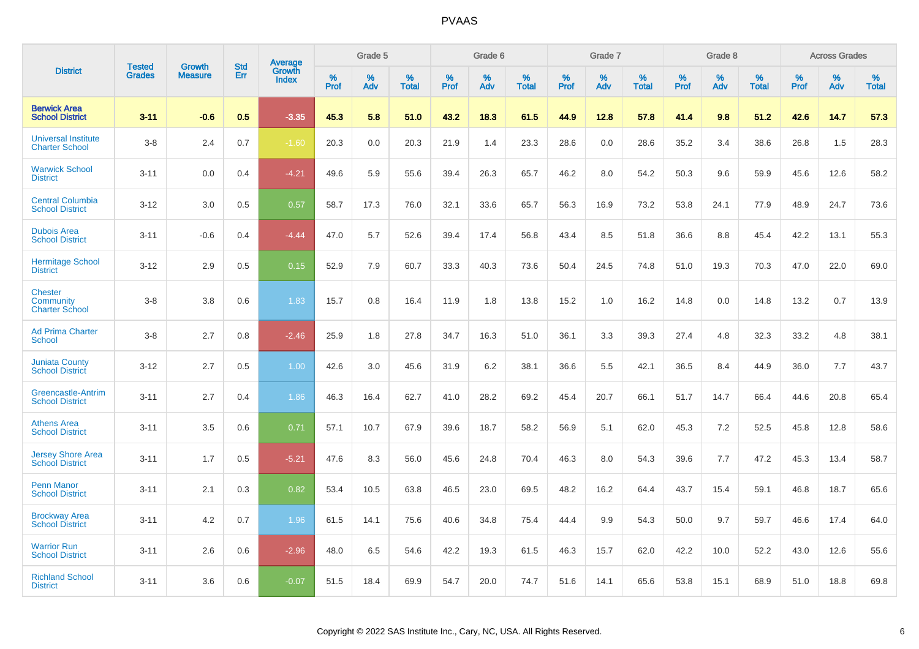|                                                      |                         | <b>Growth</b>  | <b>Std</b> | Average                |              | Grade 5     |                      |                     | Grade 6     |                      |              | Grade 7     |                      |              | Grade 8     |                   |                     | <b>Across Grades</b> |                      |
|------------------------------------------------------|-------------------------|----------------|------------|------------------------|--------------|-------------|----------------------|---------------------|-------------|----------------------|--------------|-------------|----------------------|--------------|-------------|-------------------|---------------------|----------------------|----------------------|
| <b>District</b>                                      | Tested<br><b>Grades</b> | <b>Measure</b> | Err        | Growth<br><b>Index</b> | $\%$<br>Prof | $\%$<br>Adv | $\%$<br><b>Total</b> | $\%$<br><b>Prof</b> | $\%$<br>Adv | $\%$<br><b>Total</b> | $\%$<br>Prof | $\%$<br>Adv | $\%$<br><b>Total</b> | $\%$<br>Prof | $\%$<br>Adv | %<br><b>Total</b> | $\%$<br><b>Prof</b> | $\%$<br>Adv          | $\%$<br><b>Total</b> |
| <b>Berwick Area</b><br><b>School District</b>        | $3 - 11$                | $-0.6$         | 0.5        | $-3.35$                | 45.3         | 5.8         | 51.0                 | 43.2                | 18.3        | 61.5                 | 44.9         | 12.8        | 57.8                 | 41.4         | 9.8         | 51.2              | 42.6                | 14.7                 | 57.3                 |
| <b>Universal Institute</b><br><b>Charter School</b>  | $3 - 8$                 | 2.4            | 0.7        | $-1.60$                | 20.3         | 0.0         | 20.3                 | 21.9                | 1.4         | 23.3                 | 28.6         | 0.0         | 28.6                 | 35.2         | 3.4         | 38.6              | 26.8                | 1.5                  | 28.3                 |
| <b>Warwick School</b><br><b>District</b>             | $3 - 11$                | 0.0            | 0.4        | $-4.21$                | 49.6         | 5.9         | 55.6                 | 39.4                | 26.3        | 65.7                 | 46.2         | 8.0         | 54.2                 | 50.3         | 9.6         | 59.9              | 45.6                | 12.6                 | 58.2                 |
| <b>Central Columbia</b><br><b>School District</b>    | $3 - 12$                | 3.0            | 0.5        | 0.57                   | 58.7         | 17.3        | 76.0                 | 32.1                | 33.6        | 65.7                 | 56.3         | 16.9        | 73.2                 | 53.8         | 24.1        | 77.9              | 48.9                | 24.7                 | 73.6                 |
| <b>Dubois Area</b><br><b>School District</b>         | $3 - 11$                | $-0.6$         | 0.4        | $-4.44$                | 47.0         | 5.7         | 52.6                 | 39.4                | 17.4        | 56.8                 | 43.4         | 8.5         | 51.8                 | 36.6         | 8.8         | 45.4              | 42.2                | 13.1                 | 55.3                 |
| <b>Hermitage School</b><br><b>District</b>           | $3 - 12$                | 2.9            | 0.5        | 0.15                   | 52.9         | 7.9         | 60.7                 | 33.3                | 40.3        | 73.6                 | 50.4         | 24.5        | 74.8                 | 51.0         | 19.3        | 70.3              | 47.0                | 22.0                 | 69.0                 |
| <b>Chester</b><br>Community<br><b>Charter School</b> | $3 - 8$                 | 3.8            | 0.6        | 1.83                   | 15.7         | 0.8         | 16.4                 | 11.9                | 1.8         | 13.8                 | 15.2         | 1.0         | 16.2                 | 14.8         | 0.0         | 14.8              | 13.2                | 0.7                  | 13.9                 |
| <b>Ad Prima Charter</b><br><b>School</b>             | $3 - 8$                 | 2.7            | 0.8        | $-2.46$                | 25.9         | 1.8         | 27.8                 | 34.7                | 16.3        | 51.0                 | 36.1         | 3.3         | 39.3                 | 27.4         | 4.8         | 32.3              | 33.2                | 4.8                  | 38.1                 |
| <b>Juniata County</b><br><b>School District</b>      | $3 - 12$                | 2.7            | 0.5        | 1.00                   | 42.6         | 3.0         | 45.6                 | 31.9                | 6.2         | 38.1                 | 36.6         | 5.5         | 42.1                 | 36.5         | 8.4         | 44.9              | 36.0                | 7.7                  | 43.7                 |
| Greencastle-Antrim<br><b>School District</b>         | $3 - 11$                | 2.7            | 0.4        | 1.86                   | 46.3         | 16.4        | 62.7                 | 41.0                | 28.2        | 69.2                 | 45.4         | 20.7        | 66.1                 | 51.7         | 14.7        | 66.4              | 44.6                | 20.8                 | 65.4                 |
| <b>Athens Area</b><br><b>School District</b>         | $3 - 11$                | 3.5            | 0.6        | 0.71                   | 57.1         | 10.7        | 67.9                 | 39.6                | 18.7        | 58.2                 | 56.9         | 5.1         | 62.0                 | 45.3         | 7.2         | 52.5              | 45.8                | 12.8                 | 58.6                 |
| <b>Jersey Shore Area</b><br><b>School District</b>   | $3 - 11$                | 1.7            | 0.5        | $-5.21$                | 47.6         | 8.3         | 56.0                 | 45.6                | 24.8        | 70.4                 | 46.3         | 8.0         | 54.3                 | 39.6         | 7.7         | 47.2              | 45.3                | 13.4                 | 58.7                 |
| <b>Penn Manor</b><br><b>School District</b>          | $3 - 11$                | 2.1            | 0.3        | 0.82                   | 53.4         | 10.5        | 63.8                 | 46.5                | 23.0        | 69.5                 | 48.2         | 16.2        | 64.4                 | 43.7         | 15.4        | 59.1              | 46.8                | 18.7                 | 65.6                 |
| <b>Brockway Area</b><br><b>School District</b>       | $3 - 11$                | 4.2            | 0.7        | 1.96                   | 61.5         | 14.1        | 75.6                 | 40.6                | 34.8        | 75.4                 | 44.4         | 9.9         | 54.3                 | 50.0         | 9.7         | 59.7              | 46.6                | 17.4                 | 64.0                 |
| <b>Warrior Run</b><br><b>School District</b>         | $3 - 11$                | 2.6            | 0.6        | $-2.96$                | 48.0         | 6.5         | 54.6                 | 42.2                | 19.3        | 61.5                 | 46.3         | 15.7        | 62.0                 | 42.2         | 10.0        | 52.2              | 43.0                | 12.6                 | 55.6                 |
| <b>Richland School</b><br><b>District</b>            | $3 - 11$                | 3.6            | 0.6        | $-0.07$                | 51.5         | 18.4        | 69.9                 | 54.7                | 20.0        | 74.7                 | 51.6         | 14.1        | 65.6                 | 53.8         | 15.1        | 68.9              | 51.0                | 18.8                 | 69.8                 |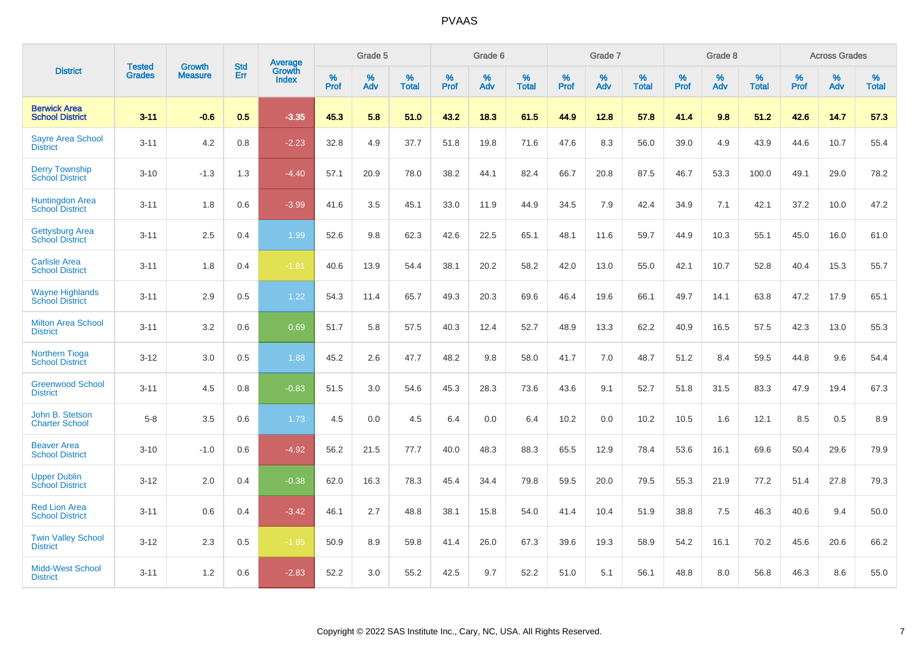|                                                  |                                |                                 | <b>Std</b> | Average                |           | Grade 5  |                   |                  | Grade 6  |                   |                  | Grade 7  |                   |           | Grade 8  |                   |           | <b>Across Grades</b> |                   |
|--------------------------------------------------|--------------------------------|---------------------------------|------------|------------------------|-----------|----------|-------------------|------------------|----------|-------------------|------------------|----------|-------------------|-----------|----------|-------------------|-----------|----------------------|-------------------|
| <b>District</b>                                  | <b>Tested</b><br><b>Grades</b> | <b>Growth</b><br><b>Measure</b> | Err        | Growth<br><b>Index</b> | %<br>Prof | %<br>Adv | %<br><b>Total</b> | %<br><b>Prof</b> | %<br>Adv | %<br><b>Total</b> | %<br><b>Prof</b> | %<br>Adv | %<br><b>Total</b> | %<br>Prof | %<br>Adv | %<br><b>Total</b> | %<br>Prof | %<br>Adv             | %<br><b>Total</b> |
| <b>Berwick Area</b><br><b>School District</b>    | $3 - 11$                       | $-0.6$                          | 0.5        | $-3.35$                | 45.3      | 5.8      | 51.0              | 43.2             | 18.3     | 61.5              | 44.9             | 12.8     | 57.8              | 41.4      | 9.8      | 51.2              | 42.6      | 14.7                 | 57.3              |
| <b>Sayre Area School</b><br><b>District</b>      | $3 - 11$                       | 4.2                             | 0.8        | $-2.23$                | 32.8      | 4.9      | 37.7              | 51.8             | 19.8     | 71.6              | 47.6             | 8.3      | 56.0              | 39.0      | 4.9      | 43.9              | 44.6      | 10.7                 | 55.4              |
| <b>Derry Township</b><br><b>School District</b>  | $3 - 10$                       | $-1.3$                          | 1.3        | $-4.40$                | 57.1      | 20.9     | 78.0              | 38.2             | 44.1     | 82.4              | 66.7             | 20.8     | 87.5              | 46.7      | 53.3     | 100.0             | 49.1      | 29.0                 | 78.2              |
| <b>Huntingdon Area</b><br><b>School District</b> | $3 - 11$                       | 1.8                             | 0.6        | $-3.99$                | 41.6      | 3.5      | 45.1              | 33.0             | 11.9     | 44.9              | 34.5             | 7.9      | 42.4              | 34.9      | 7.1      | 42.1              | 37.2      | 10.0                 | 47.2              |
| <b>Gettysburg Area</b><br><b>School District</b> | $3 - 11$                       | 2.5                             | 0.4        | 1.99                   | 52.6      | 9.8      | 62.3              | 42.6             | 22.5     | 65.1              | 48.1             | 11.6     | 59.7              | 44.9      | 10.3     | 55.1              | 45.0      | 16.0                 | 61.0              |
| <b>Carlisle Area</b><br><b>School District</b>   | $3 - 11$                       | 1.8                             | 0.4        | $-1.81$                | 40.6      | 13.9     | 54.4              | 38.1             | 20.2     | 58.2              | 42.0             | 13.0     | 55.0              | 42.1      | 10.7     | 52.8              | 40.4      | 15.3                 | 55.7              |
| <b>Wayne Highlands</b><br><b>School District</b> | $3 - 11$                       | 2.9                             | 0.5        | 1.22                   | 54.3      | 11.4     | 65.7              | 49.3             | 20.3     | 69.6              | 46.4             | 19.6     | 66.1              | 49.7      | 14.1     | 63.8              | 47.2      | 17.9                 | 65.1              |
| <b>Milton Area School</b><br><b>District</b>     | $3 - 11$                       | 3.2                             | 0.6        | 0.69                   | 51.7      | 5.8      | 57.5              | 40.3             | 12.4     | 52.7              | 48.9             | 13.3     | 62.2              | 40.9      | 16.5     | 57.5              | 42.3      | 13.0                 | 55.3              |
| <b>Northern Tioga</b><br><b>School District</b>  | $3 - 12$                       | 3.0                             | 0.5        | 1.88                   | 45.2      | 2.6      | 47.7              | 48.2             | 9.8      | 58.0              | 41.7             | 7.0      | 48.7              | 51.2      | 8.4      | 59.5              | 44.8      | 9.6                  | 54.4              |
| <b>Greenwood School</b><br><b>District</b>       | $3 - 11$                       | 4.5                             | 0.8        | $-0.83$                | 51.5      | 3.0      | 54.6              | 45.3             | 28.3     | 73.6              | 43.6             | 9.1      | 52.7              | 51.8      | 31.5     | 83.3              | 47.9      | 19.4                 | 67.3              |
| John B. Stetson<br><b>Charter School</b>         | $5-8$                          | 3.5                             | 0.6        | 1.73                   | 4.5       | 0.0      | 4.5               | 6.4              | 0.0      | 6.4               | 10.2             | 0.0      | 10.2              | 10.5      | 1.6      | 12.1              | 8.5       | 0.5                  | 8.9               |
| <b>Beaver Area</b><br><b>School District</b>     | $3 - 10$                       | $-1.0$                          | 0.6        | $-4.92$                | 56.2      | 21.5     | 77.7              | 40.0             | 48.3     | 88.3              | 65.5             | 12.9     | 78.4              | 53.6      | 16.1     | 69.6              | 50.4      | 29.6                 | 79.9              |
| <b>Upper Dublin</b><br><b>School District</b>    | $3 - 12$                       | 2.0                             | 0.4        | $-0.38$                | 62.0      | 16.3     | 78.3              | 45.4             | 34.4     | 79.8              | 59.5             | 20.0     | 79.5              | 55.3      | 21.9     | 77.2              | 51.4      | 27.8                 | 79.3              |
| <b>Red Lion Area</b><br><b>School District</b>   | $3 - 11$                       | 0.6                             | 0.4        | $-3.42$                | 46.1      | 2.7      | 48.8              | 38.1             | 15.8     | 54.0              | 41.4             | 10.4     | 51.9              | 38.8      | 7.5      | 46.3              | 40.6      | 9.4                  | 50.0              |
| <b>Twin Valley School</b><br><b>District</b>     | $3 - 12$                       | 2.3                             | 0.5        | $-1.85$                | 50.9      | 8.9      | 59.8              | 41.4             | 26.0     | 67.3              | 39.6             | 19.3     | 58.9              | 54.2      | 16.1     | 70.2              | 45.6      | 20.6                 | 66.2              |
| <b>Midd-West School</b><br><b>District</b>       | $3 - 11$                       | 1.2                             | 0.6        | $-2.83$                | 52.2      | 3.0      | 55.2              | 42.5             | 9.7      | 52.2              | 51.0             | 5.1      | 56.1              | 48.8      | 8.0      | 56.8              | 46.3      | 8.6                  | 55.0              |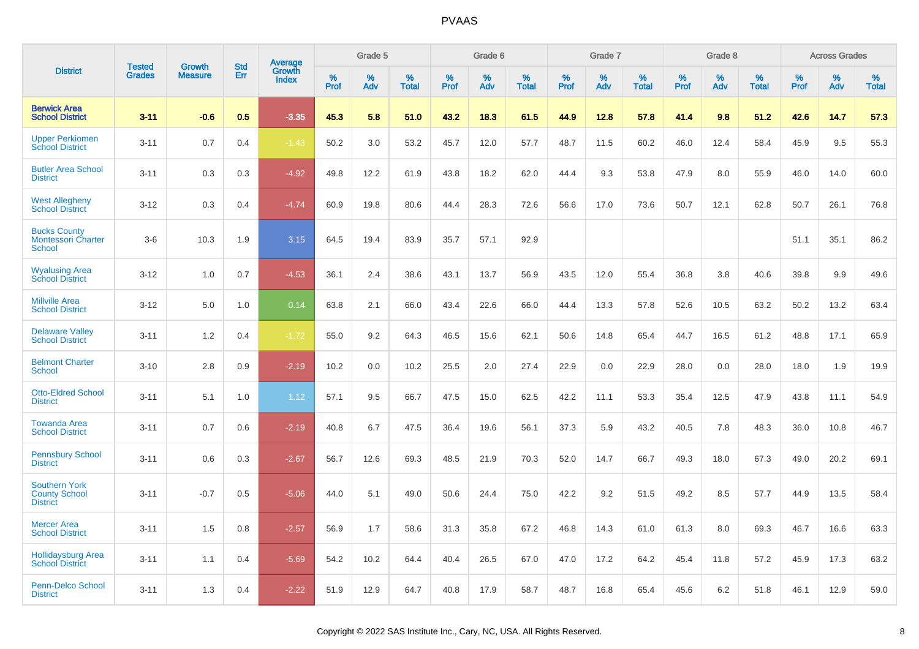|                                                                 | <b>Tested</b> | <b>Growth</b>  | <b>Std</b> | <b>Average</b>         |              | Grade 5  |                   |              | Grade 6  |                   |              | Grade 7  |                   |              | Grade 8  |                   |              | <b>Across Grades</b> |                   |
|-----------------------------------------------------------------|---------------|----------------|------------|------------------------|--------------|----------|-------------------|--------------|----------|-------------------|--------------|----------|-------------------|--------------|----------|-------------------|--------------|----------------------|-------------------|
| <b>District</b>                                                 | <b>Grades</b> | <b>Measure</b> | Err        | Growth<br><b>Index</b> | $\%$<br>Prof | %<br>Adv | %<br><b>Total</b> | $\%$<br>Prof | %<br>Adv | %<br><b>Total</b> | $\%$<br>Prof | %<br>Adv | %<br><b>Total</b> | $\%$<br>Prof | %<br>Adv | %<br><b>Total</b> | $\%$<br>Prof | %<br>Adv             | %<br><b>Total</b> |
| <b>Berwick Area</b><br><b>School District</b>                   | $3 - 11$      | $-0.6$         | 0.5        | $-3.35$                | 45.3         | 5.8      | 51.0              | 43.2         | 18.3     | 61.5              | 44.9         | 12.8     | 57.8              | 41.4         | 9.8      | 51.2              | 42.6         | 14.7                 | 57.3              |
| <b>Upper Perkiomen</b><br><b>School District</b>                | $3 - 11$      | 0.7            | 0.4        | $-1.43$                | 50.2         | 3.0      | 53.2              | 45.7         | 12.0     | 57.7              | 48.7         | 11.5     | 60.2              | 46.0         | 12.4     | 58.4              | 45.9         | 9.5                  | 55.3              |
| <b>Butler Area School</b><br><b>District</b>                    | $3 - 11$      | 0.3            | 0.3        | $-4.92$                | 49.8         | 12.2     | 61.9              | 43.8         | 18.2     | 62.0              | 44.4         | 9.3      | 53.8              | 47.9         | 8.0      | 55.9              | 46.0         | 14.0                 | 60.0              |
| <b>West Allegheny</b><br><b>School District</b>                 | $3 - 12$      | 0.3            | 0.4        | $-4.74$                | 60.9         | 19.8     | 80.6              | 44.4         | 28.3     | 72.6              | 56.6         | 17.0     | 73.6              | 50.7         | 12.1     | 62.8              | 50.7         | 26.1                 | 76.8              |
| <b>Bucks County</b><br><b>Montessori Charter</b><br>School      | $3-6$         | 10.3           | 1.9        | 3.15                   | 64.5         | 19.4     | 83.9              | 35.7         | 57.1     | 92.9              |              |          |                   |              |          |                   | 51.1         | 35.1                 | 86.2              |
| <b>Wyalusing Area</b><br><b>School District</b>                 | $3 - 12$      | 1.0            | 0.7        | $-4.53$                | 36.1         | 2.4      | 38.6              | 43.1         | 13.7     | 56.9              | 43.5         | 12.0     | 55.4              | 36.8         | 3.8      | 40.6              | 39.8         | 9.9                  | 49.6              |
| <b>Millville Area</b><br><b>School District</b>                 | $3 - 12$      | 5.0            | 1.0        | 0.14                   | 63.8         | 2.1      | 66.0              | 43.4         | 22.6     | 66.0              | 44.4         | 13.3     | 57.8              | 52.6         | 10.5     | 63.2              | 50.2         | 13.2                 | 63.4              |
| <b>Delaware Valley</b><br><b>School District</b>                | $3 - 11$      | 1.2            | 0.4        | $-1.72$                | 55.0         | 9.2      | 64.3              | 46.5         | 15.6     | 62.1              | 50.6         | 14.8     | 65.4              | 44.7         | 16.5     | 61.2              | 48.8         | 17.1                 | 65.9              |
| <b>Belmont Charter</b><br><b>School</b>                         | $3 - 10$      | 2.8            | 0.9        | $-2.19$                | 10.2         | 0.0      | 10.2              | 25.5         | 2.0      | 27.4              | 22.9         | 0.0      | 22.9              | 28.0         | 0.0      | 28.0              | 18.0         | 1.9                  | 19.9              |
| <b>Otto-Eldred School</b><br><b>District</b>                    | $3 - 11$      | 5.1            | 1.0        | 1.12                   | 57.1         | 9.5      | 66.7              | 47.5         | 15.0     | 62.5              | 42.2         | 11.1     | 53.3              | 35.4         | 12.5     | 47.9              | 43.8         | 11.1                 | 54.9              |
| <b>Towanda Area</b><br><b>School District</b>                   | $3 - 11$      | 0.7            | 0.6        | $-2.19$                | 40.8         | 6.7      | 47.5              | 36.4         | 19.6     | 56.1              | 37.3         | 5.9      | 43.2              | 40.5         | 7.8      | 48.3              | 36.0         | 10.8                 | 46.7              |
| <b>Pennsbury School</b><br><b>District</b>                      | $3 - 11$      | 0.6            | 0.3        | $-2.67$                | 56.7         | 12.6     | 69.3              | 48.5         | 21.9     | 70.3              | 52.0         | 14.7     | 66.7              | 49.3         | 18.0     | 67.3              | 49.0         | 20.2                 | 69.1              |
| <b>Southern York</b><br><b>County School</b><br><b>District</b> | $3 - 11$      | $-0.7$         | 0.5        | $-5.06$                | 44.0         | 5.1      | 49.0              | 50.6         | 24.4     | 75.0              | 42.2         | 9.2      | 51.5              | 49.2         | 8.5      | 57.7              | 44.9         | 13.5                 | 58.4              |
| <b>Mercer Area</b><br><b>School District</b>                    | $3 - 11$      | 1.5            | 0.8        | $-2.57$                | 56.9         | 1.7      | 58.6              | 31.3         | 35.8     | 67.2              | 46.8         | 14.3     | 61.0              | 61.3         | 8.0      | 69.3              | 46.7         | 16.6                 | 63.3              |
| <b>Hollidaysburg Area</b><br><b>School District</b>             | $3 - 11$      | 1.1            | 0.4        | $-5.69$                | 54.2         | 10.2     | 64.4              | 40.4         | 26.5     | 67.0              | 47.0         | 17.2     | 64.2              | 45.4         | 11.8     | 57.2              | 45.9         | 17.3                 | 63.2              |
| <b>Penn-Delco School</b><br><b>District</b>                     | $3 - 11$      | 1.3            | 0.4        | $-2.22$                | 51.9         | 12.9     | 64.7              | 40.8         | 17.9     | 58.7              | 48.7         | 16.8     | 65.4              | 45.6         | 6.2      | 51.8              | 46.1         | 12.9                 | 59.0              |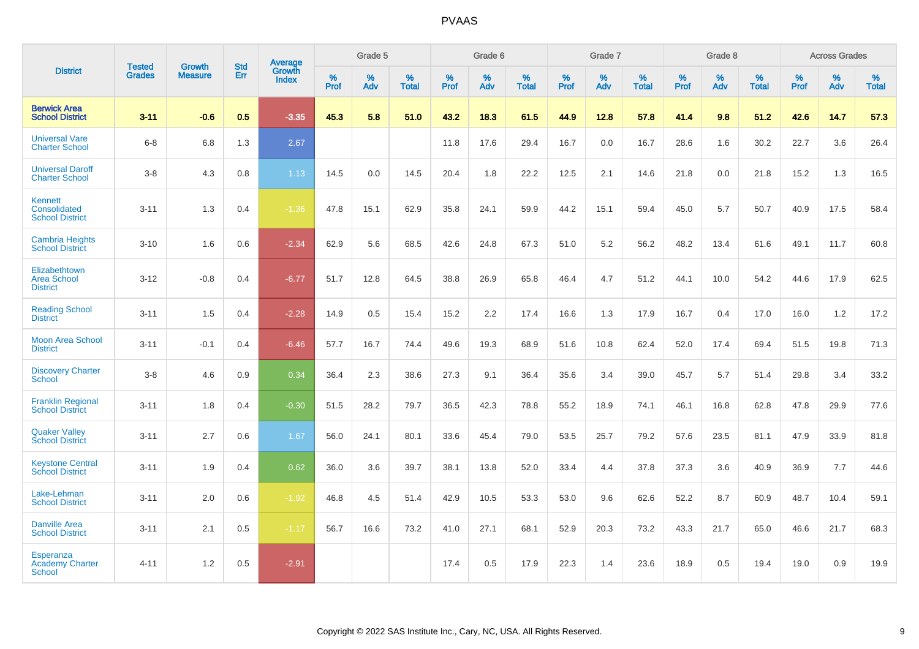|                                                             |                                |                                 | <b>Std</b> | Average                |           | Grade 5  |                   |           | Grade 6  |                   |           | Grade 7  |                   |           | Grade 8  |                   |           | <b>Across Grades</b> |                   |
|-------------------------------------------------------------|--------------------------------|---------------------------------|------------|------------------------|-----------|----------|-------------------|-----------|----------|-------------------|-----------|----------|-------------------|-----------|----------|-------------------|-----------|----------------------|-------------------|
| <b>District</b>                                             | <b>Tested</b><br><b>Grades</b> | <b>Growth</b><br><b>Measure</b> | Err        | Growth<br><b>Index</b> | %<br>Prof | %<br>Adv | %<br><b>Total</b> | %<br>Prof | %<br>Adv | %<br><b>Total</b> | %<br>Prof | %<br>Adv | %<br><b>Total</b> | %<br>Prof | %<br>Adv | %<br><b>Total</b> | %<br>Prof | %<br>Adv             | %<br><b>Total</b> |
| <b>Berwick Area</b><br><b>School District</b>               | $3 - 11$                       | $-0.6$                          | 0.5        | $-3.35$                | 45.3      | 5.8      | 51.0              | 43.2      | 18.3     | 61.5              | 44.9      | 12.8     | 57.8              | 41.4      | 9.8      | 51.2              | 42.6      | 14.7                 | 57.3              |
| <b>Universal Vare</b><br><b>Charter School</b>              | $6 - 8$                        | 6.8                             | 1.3        | 2.67                   |           |          |                   | 11.8      | 17.6     | 29.4              | 16.7      | 0.0      | 16.7              | 28.6      | 1.6      | 30.2              | 22.7      | 3.6                  | 26.4              |
| <b>Universal Daroff</b><br><b>Charter School</b>            | $3-8$                          | 4.3                             | 0.8        | 1.13                   | 14.5      | 0.0      | 14.5              | 20.4      | 1.8      | 22.2              | 12.5      | 2.1      | 14.6              | 21.8      | 0.0      | 21.8              | 15.2      | 1.3                  | 16.5              |
| <b>Kennett</b><br>Consolidated<br><b>School District</b>    | $3 - 11$                       | 1.3                             | 0.4        | $-1.36$                | 47.8      | 15.1     | 62.9              | 35.8      | 24.1     | 59.9              | 44.2      | 15.1     | 59.4              | 45.0      | 5.7      | 50.7              | 40.9      | 17.5                 | 58.4              |
| <b>Cambria Heights</b><br><b>School District</b>            | $3 - 10$                       | 1.6                             | 0.6        | $-2.34$                | 62.9      | 5.6      | 68.5              | 42.6      | 24.8     | 67.3              | 51.0      | 5.2      | 56.2              | 48.2      | 13.4     | 61.6              | 49.1      | 11.7                 | 60.8              |
| Elizabethtown<br><b>Area School</b><br><b>District</b>      | $3 - 12$                       | $-0.8$                          | 0.4        | $-6.77$                | 51.7      | 12.8     | 64.5              | 38.8      | 26.9     | 65.8              | 46.4      | 4.7      | 51.2              | 44.1      | 10.0     | 54.2              | 44.6      | 17.9                 | 62.5              |
| <b>Reading School</b><br><b>District</b>                    | $3 - 11$                       | 1.5                             | 0.4        | $-2.28$                | 14.9      | 0.5      | 15.4              | 15.2      | 2.2      | 17.4              | 16.6      | 1.3      | 17.9              | 16.7      | 0.4      | 17.0              | 16.0      | 1.2                  | 17.2              |
| <b>Moon Area School</b><br><b>District</b>                  | $3 - 11$                       | $-0.1$                          | 0.4        | $-6.46$                | 57.7      | 16.7     | 74.4              | 49.6      | 19.3     | 68.9              | 51.6      | 10.8     | 62.4              | 52.0      | 17.4     | 69.4              | 51.5      | 19.8                 | 71.3              |
| <b>Discovery Charter</b><br><b>School</b>                   | $3 - 8$                        | 4.6                             | 0.9        | 0.34                   | 36.4      | 2.3      | 38.6              | 27.3      | 9.1      | 36.4              | 35.6      | 3.4      | 39.0              | 45.7      | 5.7      | 51.4              | 29.8      | 3.4                  | 33.2              |
| <b>Franklin Regional</b><br><b>School District</b>          | $3 - 11$                       | 1.8                             | 0.4        | $-0.30$                | 51.5      | 28.2     | 79.7              | 36.5      | 42.3     | 78.8              | 55.2      | 18.9     | 74.1              | 46.1      | 16.8     | 62.8              | 47.8      | 29.9                 | 77.6              |
| <b>Quaker Valley</b><br><b>School District</b>              | $3 - 11$                       | 2.7                             | 0.6        | 1.67                   | 56.0      | 24.1     | 80.1              | 33.6      | 45.4     | 79.0              | 53.5      | 25.7     | 79.2              | 57.6      | 23.5     | 81.1              | 47.9      | 33.9                 | 81.8              |
| <b>Keystone Central</b><br><b>School District</b>           | $3 - 11$                       | 1.9                             | 0.4        | 0.62                   | 36.0      | 3.6      | 39.7              | 38.1      | 13.8     | 52.0              | 33.4      | 4.4      | 37.8              | 37.3      | 3.6      | 40.9              | 36.9      | 7.7                  | 44.6              |
| Lake-Lehman<br><b>School District</b>                       | $3 - 11$                       | 2.0                             | 0.6        | $-1.92$                | 46.8      | 4.5      | 51.4              | 42.9      | 10.5     | 53.3              | 53.0      | 9.6      | 62.6              | 52.2      | 8.7      | 60.9              | 48.7      | 10.4                 | 59.1              |
| <b>Danville Area</b><br><b>School District</b>              | $3 - 11$                       | 2.1                             | $0.5\,$    | $-1.17$                | 56.7      | 16.6     | 73.2              | 41.0      | 27.1     | 68.1              | 52.9      | 20.3     | 73.2              | 43.3      | 21.7     | 65.0              | 46.6      | 21.7                 | 68.3              |
| <b>Esperanza</b><br><b>Academy Charter</b><br><b>School</b> | $4 - 11$                       | 1.2                             | 0.5        | $-2.91$                |           |          |                   | 17.4      | 0.5      | 17.9              | 22.3      | 1.4      | 23.6              | 18.9      | 0.5      | 19.4              | 19.0      | 0.9                  | 19.9              |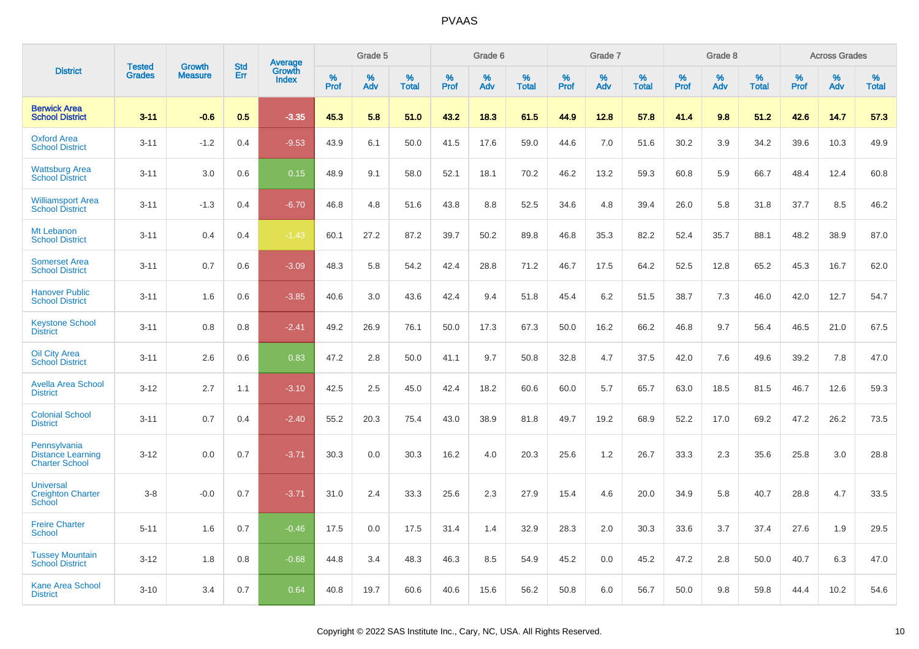|                                                                   | <b>Tested</b> | <b>Growth</b>  | <b>Std</b> | Average                |              | Grade 5  |                   |              | Grade 6  |                   |              | Grade 7  |                   |              | Grade 8  |                   |              | <b>Across Grades</b> |                   |
|-------------------------------------------------------------------|---------------|----------------|------------|------------------------|--------------|----------|-------------------|--------------|----------|-------------------|--------------|----------|-------------------|--------------|----------|-------------------|--------------|----------------------|-------------------|
| <b>District</b>                                                   | <b>Grades</b> | <b>Measure</b> | Err        | Growth<br><b>Index</b> | $\%$<br>Prof | %<br>Adv | %<br><b>Total</b> | $\%$<br>Prof | %<br>Adv | %<br><b>Total</b> | $\%$<br>Prof | %<br>Adv | %<br><b>Total</b> | $\%$<br>Prof | %<br>Adv | %<br><b>Total</b> | $\%$<br>Prof | $\%$<br>Adv          | %<br><b>Total</b> |
| <b>Berwick Area</b><br><b>School District</b>                     | $3 - 11$      | $-0.6$         | 0.5        | $-3.35$                | 45.3         | 5.8      | 51.0              | 43.2         | 18.3     | 61.5              | 44.9         | 12.8     | 57.8              | 41.4         | 9.8      | 51.2              | 42.6         | 14.7                 | 57.3              |
| <b>Oxford Area</b><br><b>School District</b>                      | $3 - 11$      | $-1.2$         | 0.4        | $-9.53$                | 43.9         | 6.1      | 50.0              | 41.5         | 17.6     | 59.0              | 44.6         | 7.0      | 51.6              | 30.2         | 3.9      | 34.2              | 39.6         | 10.3                 | 49.9              |
| <b>Wattsburg Area</b><br><b>School District</b>                   | $3 - 11$      | 3.0            | 0.6        | 0.15                   | 48.9         | 9.1      | 58.0              | 52.1         | 18.1     | 70.2              | 46.2         | 13.2     | 59.3              | 60.8         | 5.9      | 66.7              | 48.4         | 12.4                 | 60.8              |
| <b>Williamsport Area</b><br><b>School District</b>                | $3 - 11$      | $-1.3$         | 0.4        | $-6.70$                | 46.8         | 4.8      | 51.6              | 43.8         | 8.8      | 52.5              | 34.6         | 4.8      | 39.4              | 26.0         | 5.8      | 31.8              | 37.7         | 8.5                  | 46.2              |
| Mt Lebanon<br><b>School District</b>                              | $3 - 11$      | 0.4            | 0.4        | $-1.43$                | 60.1         | 27.2     | 87.2              | 39.7         | 50.2     | 89.8              | 46.8         | 35.3     | 82.2              | 52.4         | 35.7     | 88.1              | 48.2         | 38.9                 | 87.0              |
| <b>Somerset Area</b><br><b>School District</b>                    | $3 - 11$      | 0.7            | 0.6        | $-3.09$                | 48.3         | 5.8      | 54.2              | 42.4         | 28.8     | 71.2              | 46.7         | 17.5     | 64.2              | 52.5         | 12.8     | 65.2              | 45.3         | 16.7                 | 62.0              |
| <b>Hanover Public</b><br><b>School District</b>                   | $3 - 11$      | 1.6            | 0.6        | $-3.85$                | 40.6         | 3.0      | 43.6              | 42.4         | 9.4      | 51.8              | 45.4         | 6.2      | 51.5              | 38.7         | 7.3      | 46.0              | 42.0         | 12.7                 | 54.7              |
| <b>Keystone School</b><br><b>District</b>                         | $3 - 11$      | 0.8            | 0.8        | $-2.41$                | 49.2         | 26.9     | 76.1              | 50.0         | 17.3     | 67.3              | 50.0         | 16.2     | 66.2              | 46.8         | 9.7      | 56.4              | 46.5         | 21.0                 | 67.5              |
| <b>Oil City Area</b><br><b>School District</b>                    | $3 - 11$      | 2.6            | 0.6        | 0.83                   | 47.2         | 2.8      | 50.0              | 41.1         | 9.7      | 50.8              | 32.8         | 4.7      | 37.5              | 42.0         | 7.6      | 49.6              | 39.2         | 7.8                  | 47.0              |
| <b>Avella Area School</b><br><b>District</b>                      | $3 - 12$      | 2.7            | 1.1        | $-3.10$                | 42.5         | 2.5      | 45.0              | 42.4         | 18.2     | 60.6              | 60.0         | 5.7      | 65.7              | 63.0         | 18.5     | 81.5              | 46.7         | 12.6                 | 59.3              |
| <b>Colonial School</b><br><b>District</b>                         | $3 - 11$      | 0.7            | 0.4        | $-2.40$                | 55.2         | 20.3     | 75.4              | 43.0         | 38.9     | 81.8              | 49.7         | 19.2     | 68.9              | 52.2         | 17.0     | 69.2              | 47.2         | 26.2                 | 73.5              |
| Pennsylvania<br><b>Distance Learning</b><br><b>Charter School</b> | $3 - 12$      | 0.0            | 0.7        | $-3.71$                | 30.3         | 0.0      | 30.3              | 16.2         | 4.0      | 20.3              | 25.6         | 1.2      | 26.7              | 33.3         | 2.3      | 35.6              | 25.8         | 3.0                  | 28.8              |
| <b>Universal</b><br><b>Creighton Charter</b><br><b>School</b>     | $3 - 8$       | $-0.0$         | 0.7        | $-3.71$                | 31.0         | 2.4      | 33.3              | 25.6         | 2.3      | 27.9              | 15.4         | 4.6      | 20.0              | 34.9         | 5.8      | 40.7              | 28.8         | 4.7                  | 33.5              |
| <b>Freire Charter</b><br><b>School</b>                            | $5 - 11$      | 1.6            | 0.7        | $-0.46$                | 17.5         | 0.0      | 17.5              | 31.4         | 1.4      | 32.9              | 28.3         | 2.0      | 30.3              | 33.6         | 3.7      | 37.4              | 27.6         | 1.9                  | 29.5              |
| <b>Tussey Mountain</b><br><b>School District</b>                  | $3 - 12$      | 1.8            | 0.8        | $-0.68$                | 44.8         | 3.4      | 48.3              | 46.3         | 8.5      | 54.9              | 45.2         | 0.0      | 45.2              | 47.2         | 2.8      | 50.0              | 40.7         | 6.3                  | 47.0              |
| <b>Kane Area School</b><br><b>District</b>                        | $3 - 10$      | 3.4            | 0.7        | 0.64                   | 40.8         | 19.7     | 60.6              | 40.6         | 15.6     | 56.2              | 50.8         | 6.0      | 56.7              | 50.0         | 9.8      | 59.8              | 44.4         | 10.2                 | 54.6              |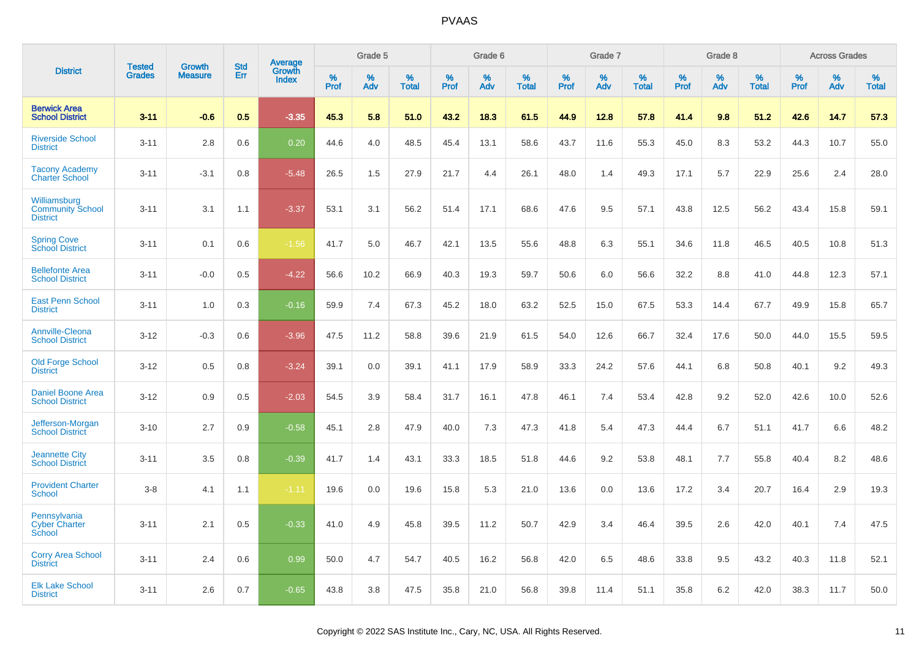|                                                            | <b>Tested</b> | <b>Growth</b>  | <b>Std</b> | Average                |              | Grade 5  |                   |              | Grade 6  |                   |              | Grade 7  |                   |              | Grade 8  |                   |              | <b>Across Grades</b> |                   |
|------------------------------------------------------------|---------------|----------------|------------|------------------------|--------------|----------|-------------------|--------------|----------|-------------------|--------------|----------|-------------------|--------------|----------|-------------------|--------------|----------------------|-------------------|
| <b>District</b>                                            | <b>Grades</b> | <b>Measure</b> | Err        | Growth<br><b>Index</b> | $\%$<br>Prof | %<br>Adv | %<br><b>Total</b> | $\%$<br>Prof | %<br>Adv | %<br><b>Total</b> | $\%$<br>Prof | %<br>Adv | %<br><b>Total</b> | $\%$<br>Prof | %<br>Adv | %<br><b>Total</b> | $\%$<br>Prof | %<br>Adv             | %<br><b>Total</b> |
| <b>Berwick Area</b><br><b>School District</b>              | $3 - 11$      | $-0.6$         | 0.5        | $-3.35$                | 45.3         | 5.8      | 51.0              | 43.2         | 18.3     | 61.5              | 44.9         | 12.8     | 57.8              | 41.4         | 9.8      | 51.2              | 42.6         | 14.7                 | 57.3              |
| <b>Riverside School</b><br><b>District</b>                 | $3 - 11$      | 2.8            | 0.6        | 0.20                   | 44.6         | 4.0      | 48.5              | 45.4         | 13.1     | 58.6              | 43.7         | 11.6     | 55.3              | 45.0         | 8.3      | 53.2              | 44.3         | 10.7                 | 55.0              |
| <b>Tacony Academy</b><br><b>Charter School</b>             | $3 - 11$      | $-3.1$         | 0.8        | $-5.48$                | 26.5         | 1.5      | 27.9              | 21.7         | 4.4      | 26.1              | 48.0         | 1.4      | 49.3              | 17.1         | 5.7      | 22.9              | 25.6         | 2.4                  | 28.0              |
| Williamsburg<br><b>Community School</b><br><b>District</b> | $3 - 11$      | 3.1            | 1.1        | $-3.37$                | 53.1         | 3.1      | 56.2              | 51.4         | 17.1     | 68.6              | 47.6         | 9.5      | 57.1              | 43.8         | 12.5     | 56.2              | 43.4         | 15.8                 | 59.1              |
| <b>Spring Cove</b><br>School District                      | $3 - 11$      | 0.1            | 0.6        | $-1.56$                | 41.7         | 5.0      | 46.7              | 42.1         | 13.5     | 55.6              | 48.8         | 6.3      | 55.1              | 34.6         | 11.8     | 46.5              | 40.5         | 10.8                 | 51.3              |
| <b>Bellefonte Area</b><br><b>School District</b>           | $3 - 11$      | $-0.0$         | 0.5        | $-4.22$                | 56.6         | 10.2     | 66.9              | 40.3         | 19.3     | 59.7              | 50.6         | 6.0      | 56.6              | 32.2         | 8.8      | 41.0              | 44.8         | 12.3                 | 57.1              |
| <b>East Penn School</b><br><b>District</b>                 | $3 - 11$      | 1.0            | 0.3        | $-0.16$                | 59.9         | 7.4      | 67.3              | 45.2         | 18.0     | 63.2              | 52.5         | 15.0     | 67.5              | 53.3         | 14.4     | 67.7              | 49.9         | 15.8                 | 65.7              |
| <b>Annville-Cleona</b><br><b>School District</b>           | $3 - 12$      | $-0.3$         | 0.6        | $-3.96$                | 47.5         | 11.2     | 58.8              | 39.6         | 21.9     | 61.5              | 54.0         | 12.6     | 66.7              | 32.4         | 17.6     | 50.0              | 44.0         | 15.5                 | 59.5              |
| <b>Old Forge School</b><br><b>District</b>                 | $3 - 12$      | 0.5            | 0.8        | $-3.24$                | 39.1         | 0.0      | 39.1              | 41.1         | 17.9     | 58.9              | 33.3         | 24.2     | 57.6              | 44.1         | 6.8      | 50.8              | 40.1         | 9.2                  | 49.3              |
| <b>Daniel Boone Area</b><br><b>School District</b>         | $3 - 12$      | 0.9            | 0.5        | $-2.03$                | 54.5         | 3.9      | 58.4              | 31.7         | 16.1     | 47.8              | 46.1         | 7.4      | 53.4              | 42.8         | 9.2      | 52.0              | 42.6         | 10.0                 | 52.6              |
| Jefferson-Morgan<br><b>School District</b>                 | $3 - 10$      | 2.7            | 0.9        | $-0.58$                | 45.1         | 2.8      | 47.9              | 40.0         | 7.3      | 47.3              | 41.8         | 5.4      | 47.3              | 44.4         | 6.7      | 51.1              | 41.7         | 6.6                  | 48.2              |
| <b>Jeannette City</b><br><b>School District</b>            | $3 - 11$      | 3.5            | 0.8        | $-0.39$                | 41.7         | 1.4      | 43.1              | 33.3         | 18.5     | 51.8              | 44.6         | 9.2      | 53.8              | 48.1         | 7.7      | 55.8              | 40.4         | 8.2                  | 48.6              |
| <b>Provident Charter</b><br><b>School</b>                  | $3 - 8$       | 4.1            | 1.1        | $-1.11$                | 19.6         | 0.0      | 19.6              | 15.8         | 5.3      | 21.0              | 13.6         | 0.0      | 13.6              | 17.2         | 3.4      | 20.7              | 16.4         | 2.9                  | 19.3              |
| Pennsylvania<br><b>Cyber Charter</b><br>School             | $3 - 11$      | 2.1            | 0.5        | $-0.33$                | 41.0         | 4.9      | 45.8              | 39.5         | 11.2     | 50.7              | 42.9         | 3.4      | 46.4              | 39.5         | 2.6      | 42.0              | 40.1         | 7.4                  | 47.5              |
| <b>Corry Area School</b><br><b>District</b>                | $3 - 11$      | 2.4            | 0.6        | 0.99                   | 50.0         | 4.7      | 54.7              | 40.5         | 16.2     | 56.8              | 42.0         | 6.5      | 48.6              | 33.8         | 9.5      | 43.2              | 40.3         | 11.8                 | 52.1              |
| <b>Elk Lake School</b><br><b>District</b>                  | $3 - 11$      | 2.6            | 0.7        | $-0.65$                | 43.8         | 3.8      | 47.5              | 35.8         | 21.0     | 56.8              | 39.8         | 11.4     | 51.1              | 35.8         | 6.2      | 42.0              | 38.3         | 11.7                 | 50.0              |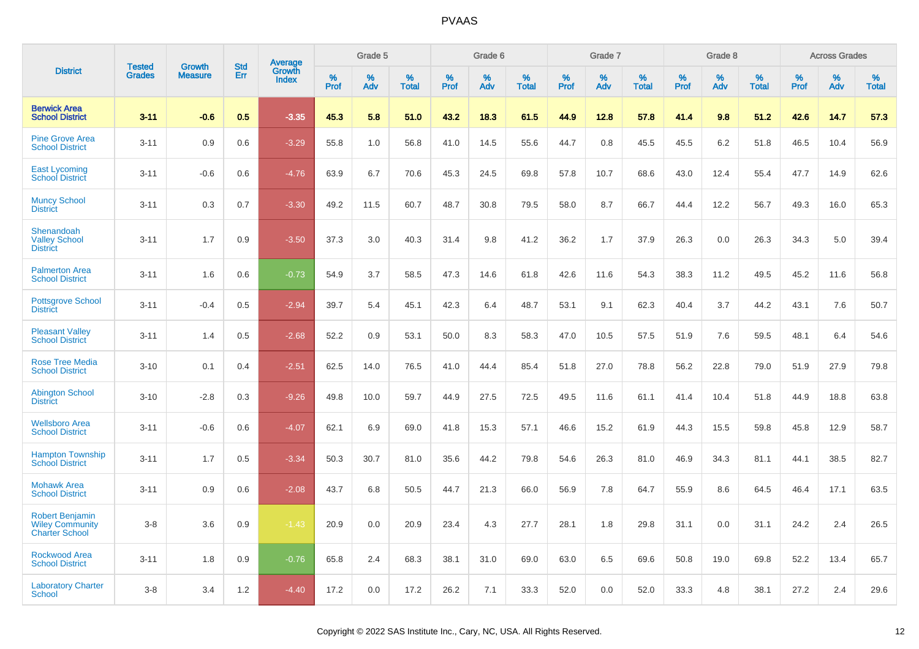|                                                                           |                                |                                 | <b>Std</b> | Average         |              | Grade 5     |                      |              | Grade 6     |                   |              | Grade 7     |                      |              | Grade 8     |                      |                     | <b>Across Grades</b> |                   |
|---------------------------------------------------------------------------|--------------------------------|---------------------------------|------------|-----------------|--------------|-------------|----------------------|--------------|-------------|-------------------|--------------|-------------|----------------------|--------------|-------------|----------------------|---------------------|----------------------|-------------------|
| <b>District</b>                                                           | <b>Tested</b><br><b>Grades</b> | <b>Growth</b><br><b>Measure</b> | Err        | Growth<br>Index | $\%$<br>Prof | $\%$<br>Adv | $\%$<br><b>Total</b> | $\%$<br>Prof | $\%$<br>Adv | %<br><b>Total</b> | $\%$<br>Prof | $\%$<br>Adv | $\%$<br><b>Total</b> | $\%$<br>Prof | $\%$<br>Adv | $\%$<br><b>Total</b> | $\%$<br><b>Prof</b> | $\%$<br>Adv          | %<br><b>Total</b> |
| <b>Berwick Area</b><br><b>School District</b>                             | $3 - 11$                       | $-0.6$                          | 0.5        | $-3.35$         | 45.3         | 5.8         | 51.0                 | 43.2         | 18.3        | 61.5              | 44.9         | 12.8        | 57.8                 | 41.4         | 9.8         | 51.2                 | 42.6                | 14.7                 | 57.3              |
| <b>Pine Grove Area</b><br><b>School District</b>                          | $3 - 11$                       | 0.9                             | 0.6        | $-3.29$         | 55.8         | 1.0         | 56.8                 | 41.0         | 14.5        | 55.6              | 44.7         | 0.8         | 45.5                 | 45.5         | 6.2         | 51.8                 | 46.5                | 10.4                 | 56.9              |
| <b>East Lycoming</b><br><b>School District</b>                            | $3 - 11$                       | $-0.6$                          | 0.6        | $-4.76$         | 63.9         | 6.7         | 70.6                 | 45.3         | 24.5        | 69.8              | 57.8         | 10.7        | 68.6                 | 43.0         | 12.4        | 55.4                 | 47.7                | 14.9                 | 62.6              |
| <b>Muncy School</b><br><b>District</b>                                    | $3 - 11$                       | 0.3                             | 0.7        | $-3.30$         | 49.2         | 11.5        | 60.7                 | 48.7         | 30.8        | 79.5              | 58.0         | 8.7         | 66.7                 | 44.4         | 12.2        | 56.7                 | 49.3                | 16.0                 | 65.3              |
| Shenandoah<br><b>Valley School</b><br><b>District</b>                     | $3 - 11$                       | 1.7                             | 0.9        | $-3.50$         | 37.3         | 3.0         | 40.3                 | 31.4         | 9.8         | 41.2              | 36.2         | 1.7         | 37.9                 | 26.3         | 0.0         | 26.3                 | 34.3                | 5.0                  | 39.4              |
| <b>Palmerton Area</b><br><b>School District</b>                           | $3 - 11$                       | 1.6                             | 0.6        | $-0.73$         | 54.9         | 3.7         | 58.5                 | 47.3         | 14.6        | 61.8              | 42.6         | 11.6        | 54.3                 | 38.3         | 11.2        | 49.5                 | 45.2                | 11.6                 | 56.8              |
| <b>Pottsgrove School</b><br><b>District</b>                               | $3 - 11$                       | $-0.4$                          | 0.5        | $-2.94$         | 39.7         | 5.4         | 45.1                 | 42.3         | 6.4         | 48.7              | 53.1         | 9.1         | 62.3                 | 40.4         | 3.7         | 44.2                 | 43.1                | 7.6                  | 50.7              |
| <b>Pleasant Valley</b><br><b>School District</b>                          | $3 - 11$                       | 1.4                             | 0.5        | $-2.68$         | 52.2         | 0.9         | 53.1                 | 50.0         | 8.3         | 58.3              | 47.0         | 10.5        | 57.5                 | 51.9         | 7.6         | 59.5                 | 48.1                | 6.4                  | 54.6              |
| <b>Rose Tree Media</b><br><b>School District</b>                          | $3 - 10$                       | 0.1                             | 0.4        | $-2.51$         | 62.5         | 14.0        | 76.5                 | 41.0         | 44.4        | 85.4              | 51.8         | 27.0        | 78.8                 | 56.2         | 22.8        | 79.0                 | 51.9                | 27.9                 | 79.8              |
| <b>Abington School</b><br><b>District</b>                                 | $3 - 10$                       | $-2.8$                          | 0.3        | $-9.26$         | 49.8         | 10.0        | 59.7                 | 44.9         | 27.5        | 72.5              | 49.5         | 11.6        | 61.1                 | 41.4         | 10.4        | 51.8                 | 44.9                | 18.8                 | 63.8              |
| <b>Wellsboro Area</b><br><b>School District</b>                           | $3 - 11$                       | $-0.6$                          | 0.6        | $-4.07$         | 62.1         | 6.9         | 69.0                 | 41.8         | 15.3        | 57.1              | 46.6         | 15.2        | 61.9                 | 44.3         | 15.5        | 59.8                 | 45.8                | 12.9                 | 58.7              |
| <b>Hampton Township</b><br><b>School District</b>                         | $3 - 11$                       | 1.7                             | 0.5        | $-3.34$         | 50.3         | 30.7        | 81.0                 | 35.6         | 44.2        | 79.8              | 54.6         | 26.3        | 81.0                 | 46.9         | 34.3        | 81.1                 | 44.1                | 38.5                 | 82.7              |
| <b>Mohawk Area</b><br><b>School District</b>                              | $3 - 11$                       | 0.9                             | 0.6        | $-2.08$         | 43.7         | 6.8         | 50.5                 | 44.7         | 21.3        | 66.0              | 56.9         | 7.8         | 64.7                 | 55.9         | 8.6         | 64.5                 | 46.4                | 17.1                 | 63.5              |
| <b>Robert Benjamin</b><br><b>Wiley Community</b><br><b>Charter School</b> | $3 - 8$                        | 3.6                             | 0.9        | $-1.43$         | 20.9         | 0.0         | 20.9                 | 23.4         | 4.3         | 27.7              | 28.1         | 1.8         | 29.8                 | 31.1         | 0.0         | 31.1                 | 24.2                | 2.4                  | 26.5              |
| <b>Rockwood Area</b><br><b>School District</b>                            | $3 - 11$                       | 1.8                             | 0.9        | $-0.76$         | 65.8         | 2.4         | 68.3                 | 38.1         | 31.0        | 69.0              | 63.0         | 6.5         | 69.6                 | 50.8         | 19.0        | 69.8                 | 52.2                | 13.4                 | 65.7              |
| <b>Laboratory Charter</b><br><b>School</b>                                | $3 - 8$                        | 3.4                             | 1.2        | $-4.40$         | 17.2         | 0.0         | 17.2                 | 26.2         | 7.1         | 33.3              | 52.0         | 0.0         | 52.0                 | 33.3         | 4.8         | 38.1                 | 27.2                | 2.4                  | 29.6              |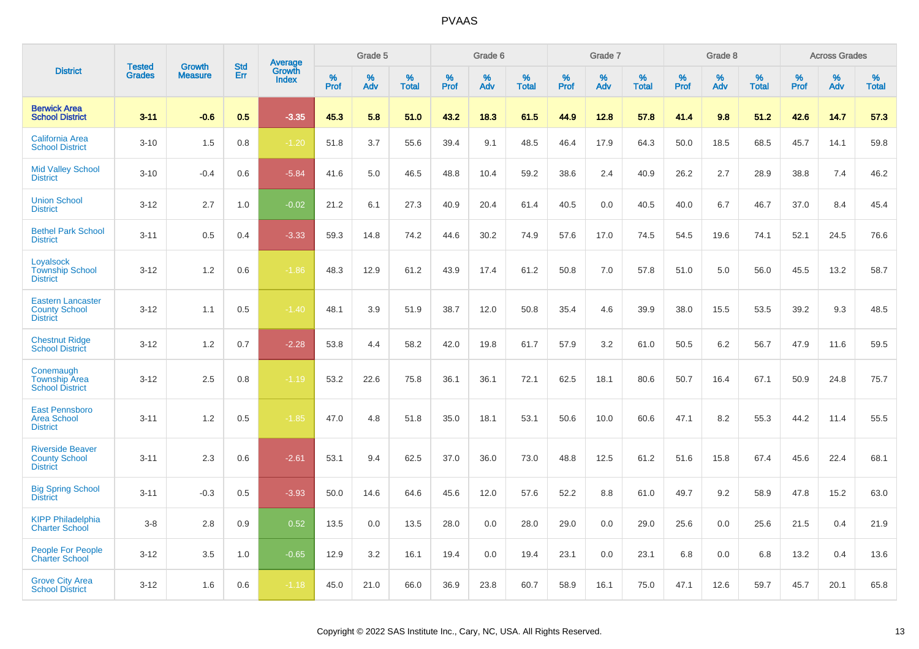|                                                                     |                                |                                 | <b>Std</b> | Average                |           | Grade 5  |                   |           | Grade 6  |                   |           | Grade 7  |                   |           | Grade 8  |                   |           | <b>Across Grades</b> |                   |
|---------------------------------------------------------------------|--------------------------------|---------------------------------|------------|------------------------|-----------|----------|-------------------|-----------|----------|-------------------|-----------|----------|-------------------|-----------|----------|-------------------|-----------|----------------------|-------------------|
| <b>District</b>                                                     | <b>Tested</b><br><b>Grades</b> | <b>Growth</b><br><b>Measure</b> | Err        | Growth<br><b>Index</b> | %<br>Prof | %<br>Adv | %<br><b>Total</b> | %<br>Prof | %<br>Adv | %<br><b>Total</b> | %<br>Prof | %<br>Adv | %<br><b>Total</b> | %<br>Prof | %<br>Adv | %<br><b>Total</b> | %<br>Prof | %<br>Adv             | %<br><b>Total</b> |
| <b>Berwick Area</b><br><b>School District</b>                       | $3 - 11$                       | $-0.6$                          | 0.5        | $-3.35$                | 45.3      | 5.8      | 51.0              | 43.2      | 18.3     | 61.5              | 44.9      | 12.8     | 57.8              | 41.4      | 9.8      | 51.2              | 42.6      | 14.7                 | 57.3              |
| <b>California Area</b><br><b>School District</b>                    | $3 - 10$                       | 1.5                             | 0.8        | $-1.20$                | 51.8      | 3.7      | 55.6              | 39.4      | 9.1      | 48.5              | 46.4      | 17.9     | 64.3              | 50.0      | 18.5     | 68.5              | 45.7      | 14.1                 | 59.8              |
| <b>Mid Valley School</b><br><b>District</b>                         | $3 - 10$                       | $-0.4$                          | 0.6        | $-5.84$                | 41.6      | 5.0      | 46.5              | 48.8      | 10.4     | 59.2              | 38.6      | 2.4      | 40.9              | 26.2      | 2.7      | 28.9              | 38.8      | 7.4                  | 46.2              |
| <b>Union School</b><br><b>District</b>                              | $3 - 12$                       | 2.7                             | 1.0        | $-0.02$                | 21.2      | 6.1      | 27.3              | 40.9      | 20.4     | 61.4              | 40.5      | 0.0      | 40.5              | 40.0      | 6.7      | 46.7              | 37.0      | 8.4                  | 45.4              |
| <b>Bethel Park School</b><br><b>District</b>                        | $3 - 11$                       | 0.5                             | 0.4        | $-3.33$                | 59.3      | 14.8     | 74.2              | 44.6      | 30.2     | 74.9              | 57.6      | 17.0     | 74.5              | 54.5      | 19.6     | 74.1              | 52.1      | 24.5                 | 76.6              |
| Loyalsock<br><b>Township School</b><br><b>District</b>              | $3 - 12$                       | 1.2                             | 0.6        | $-1.86$                | 48.3      | 12.9     | 61.2              | 43.9      | 17.4     | 61.2              | 50.8      | 7.0      | 57.8              | 51.0      | 5.0      | 56.0              | 45.5      | 13.2                 | 58.7              |
| <b>Eastern Lancaster</b><br><b>County School</b><br><b>District</b> | $3 - 12$                       | 1.1                             | 0.5        | $-1.40$                | 48.1      | 3.9      | 51.9              | 38.7      | 12.0     | 50.8              | 35.4      | 4.6      | 39.9              | 38.0      | 15.5     | 53.5              | 39.2      | 9.3                  | 48.5              |
| <b>Chestnut Ridge</b><br><b>School District</b>                     | $3 - 12$                       | 1.2                             | 0.7        | $-2.28$                | 53.8      | 4.4      | 58.2              | 42.0      | 19.8     | 61.7              | 57.9      | 3.2      | 61.0              | 50.5      | 6.2      | 56.7              | 47.9      | 11.6                 | 59.5              |
| Conemaugh<br><b>Township Area</b><br><b>School District</b>         | $3 - 12$                       | 2.5                             | 0.8        | $-1.19$                | 53.2      | 22.6     | 75.8              | 36.1      | 36.1     | 72.1              | 62.5      | 18.1     | 80.6              | 50.7      | 16.4     | 67.1              | 50.9      | 24.8                 | 75.7              |
| <b>East Pennsboro</b><br><b>Area School</b><br><b>District</b>      | $3 - 11$                       | 1.2                             | 0.5        | $-1.85$                | 47.0      | 4.8      | 51.8              | 35.0      | 18.1     | 53.1              | 50.6      | 10.0     | 60.6              | 47.1      | 8.2      | 55.3              | 44.2      | 11.4                 | 55.5              |
| <b>Riverside Beaver</b><br><b>County School</b><br><b>District</b>  | $3 - 11$                       | 2.3                             | 0.6        | $-2.61$                | 53.1      | 9.4      | 62.5              | 37.0      | 36.0     | 73.0              | 48.8      | 12.5     | 61.2              | 51.6      | 15.8     | 67.4              | 45.6      | 22.4                 | 68.1              |
| <b>Big Spring School</b><br><b>District</b>                         | $3 - 11$                       | $-0.3$                          | 0.5        | $-3.93$                | 50.0      | 14.6     | 64.6              | 45.6      | 12.0     | 57.6              | 52.2      | 8.8      | 61.0              | 49.7      | 9.2      | 58.9              | 47.8      | 15.2                 | 63.0              |
| <b>KIPP Philadelphia</b><br><b>Charter School</b>                   | $3-8$                          | 2.8                             | 0.9        | 0.52                   | 13.5      | 0.0      | 13.5              | 28.0      | 0.0      | 28.0              | 29.0      | 0.0      | 29.0              | 25.6      | 0.0      | 25.6              | 21.5      | 0.4                  | 21.9              |
| <b>People For People</b><br><b>Charter School</b>                   | $3 - 12$                       | 3.5                             | 1.0        | $-0.65$                | 12.9      | 3.2      | 16.1              | 19.4      | 0.0      | 19.4              | 23.1      | 0.0      | 23.1              | 6.8       | 0.0      | 6.8               | 13.2      | 0.4                  | 13.6              |
| <b>Grove City Area</b><br><b>School District</b>                    | $3 - 12$                       | 1.6                             | 0.6        | $-1.18$                | 45.0      | 21.0     | 66.0              | 36.9      | 23.8     | 60.7              | 58.9      | 16.1     | 75.0              | 47.1      | 12.6     | 59.7              | 45.7      | 20.1                 | 65.8              |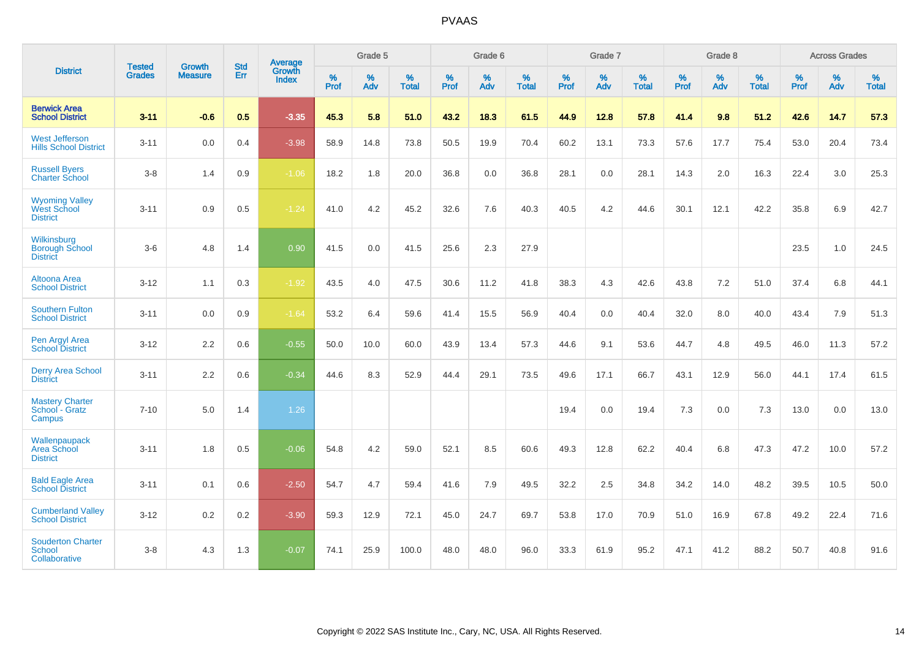|                                                                | <b>Tested</b> | <b>Growth</b>  | <b>Std</b> | Average                       |                     | Grade 5  |                   |              | Grade 6  |                   |                     | Grade 7  |                   |                     | Grade 8  |                   |              | <b>Across Grades</b> |                   |
|----------------------------------------------------------------|---------------|----------------|------------|-------------------------------|---------------------|----------|-------------------|--------------|----------|-------------------|---------------------|----------|-------------------|---------------------|----------|-------------------|--------------|----------------------|-------------------|
| <b>District</b>                                                | <b>Grades</b> | <b>Measure</b> | Err        | <b>Growth</b><br><b>Index</b> | $\%$<br><b>Prof</b> | %<br>Adv | %<br><b>Total</b> | $\%$<br>Prof | %<br>Adv | %<br><b>Total</b> | $\%$<br><b>Prof</b> | %<br>Adv | %<br><b>Total</b> | $\%$<br><b>Prof</b> | %<br>Adv | %<br><b>Total</b> | $\%$<br>Prof | %<br>Adv             | %<br><b>Total</b> |
| <b>Berwick Area</b><br><b>School District</b>                  | $3 - 11$      | $-0.6$         | 0.5        | $-3.35$                       | 45.3                | 5.8      | 51.0              | 43.2         | 18.3     | 61.5              | 44.9                | 12.8     | 57.8              | 41.4                | 9.8      | 51.2              | 42.6         | 14.7                 | 57.3              |
| <b>West Jefferson</b><br><b>Hills School District</b>          | $3 - 11$      | 0.0            | 0.4        | $-3.98$                       | 58.9                | 14.8     | 73.8              | 50.5         | 19.9     | 70.4              | 60.2                | 13.1     | 73.3              | 57.6                | 17.7     | 75.4              | 53.0         | 20.4                 | 73.4              |
| <b>Russell Byers</b><br><b>Charter School</b>                  | $3-8$         | 1.4            | 0.9        | $-1.06$                       | 18.2                | 1.8      | 20.0              | 36.8         | 0.0      | 36.8              | 28.1                | 0.0      | 28.1              | 14.3                | 2.0      | 16.3              | 22.4         | 3.0                  | 25.3              |
| <b>Wyoming Valley</b><br><b>West School</b><br><b>District</b> | $3 - 11$      | 0.9            | 0.5        | $-1.24$                       | 41.0                | 4.2      | 45.2              | 32.6         | 7.6      | 40.3              | 40.5                | 4.2      | 44.6              | 30.1                | 12.1     | 42.2              | 35.8         | 6.9                  | 42.7              |
| Wilkinsburg<br><b>Borough School</b><br><b>District</b>        | $3-6$         | 4.8            | 1.4        | 0.90                          | 41.5                | 0.0      | 41.5              | 25.6         | 2.3      | 27.9              |                     |          |                   |                     |          |                   | 23.5         | 1.0                  | 24.5              |
| Altoona Area<br><b>School District</b>                         | $3 - 12$      | 1.1            | 0.3        | $-1.92$                       | 43.5                | 4.0      | 47.5              | 30.6         | 11.2     | 41.8              | 38.3                | 4.3      | 42.6              | 43.8                | 7.2      | 51.0              | 37.4         | 6.8                  | 44.1              |
| <b>Southern Fulton</b><br><b>School District</b>               | $3 - 11$      | 0.0            | 0.9        | $-1.64$                       | 53.2                | 6.4      | 59.6              | 41.4         | 15.5     | 56.9              | 40.4                | 0.0      | 40.4              | 32.0                | 8.0      | 40.0              | 43.4         | 7.9                  | 51.3              |
| Pen Argyl Area<br>School District                              | $3 - 12$      | 2.2            | 0.6        | $-0.55$                       | 50.0                | 10.0     | 60.0              | 43.9         | 13.4     | 57.3              | 44.6                | 9.1      | 53.6              | 44.7                | 4.8      | 49.5              | 46.0         | 11.3                 | 57.2              |
| <b>Derry Area School</b><br><b>District</b>                    | $3 - 11$      | 2.2            | 0.6        | $-0.34$                       | 44.6                | 8.3      | 52.9              | 44.4         | 29.1     | 73.5              | 49.6                | 17.1     | 66.7              | 43.1                | 12.9     | 56.0              | 44.1         | 17.4                 | 61.5              |
| <b>Mastery Charter</b><br>School - Gratz<br>Campus             | $7 - 10$      | 5.0            | 1.4        | 1.26                          |                     |          |                   |              |          |                   | 19.4                | 0.0      | 19.4              | 7.3                 | 0.0      | 7.3               | 13.0         | 0.0                  | 13.0              |
| Wallenpaupack<br>Area School<br><b>District</b>                | $3 - 11$      | 1.8            | 0.5        | $-0.06$                       | 54.8                | 4.2      | 59.0              | 52.1         | 8.5      | 60.6              | 49.3                | 12.8     | 62.2              | 40.4                | 6.8      | 47.3              | 47.2         | 10.0                 | 57.2              |
| <b>Bald Eagle Area</b><br><b>School District</b>               | $3 - 11$      | 0.1            | 0.6        | $-2.50$                       | 54.7                | 4.7      | 59.4              | 41.6         | 7.9      | 49.5              | 32.2                | 2.5      | 34.8              | 34.2                | 14.0     | 48.2              | 39.5         | 10.5                 | 50.0              |
| <b>Cumberland Valley</b><br><b>School District</b>             | $3 - 12$      | $0.2\,$        | 0.2        | $-3.90$                       | 59.3                | 12.9     | 72.1              | 45.0         | 24.7     | 69.7              | 53.8                | 17.0     | 70.9              | 51.0                | 16.9     | 67.8              | 49.2         | 22.4                 | 71.6              |
| <b>Souderton Charter</b><br>School<br>Collaborative            | $3 - 8$       | 4.3            | 1.3        | $-0.07$                       | 74.1                | 25.9     | 100.0             | 48.0         | 48.0     | 96.0              | 33.3                | 61.9     | 95.2              | 47.1                | 41.2     | 88.2              | 50.7         | 40.8                 | 91.6              |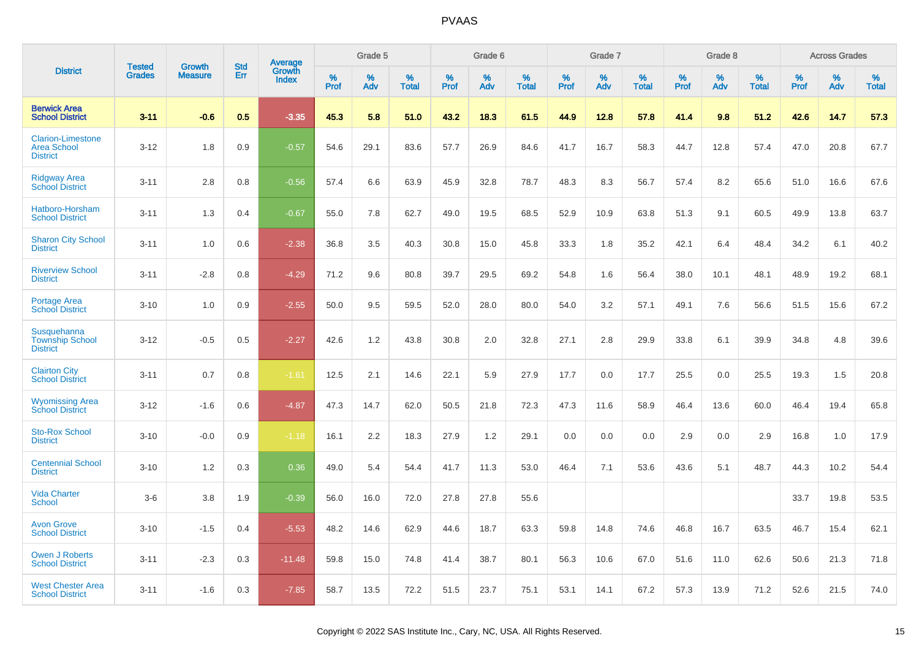|                                                                   | <b>Tested</b> | <b>Growth</b>  | <b>Std</b> | Average                |              | Grade 5  |                   |              | Grade 6  |                   |              | Grade 7  |                   |              | Grade 8  |                   |              | <b>Across Grades</b> |                   |
|-------------------------------------------------------------------|---------------|----------------|------------|------------------------|--------------|----------|-------------------|--------------|----------|-------------------|--------------|----------|-------------------|--------------|----------|-------------------|--------------|----------------------|-------------------|
| <b>District</b>                                                   | <b>Grades</b> | <b>Measure</b> | Err        | Growth<br><b>Index</b> | $\%$<br>Prof | %<br>Adv | %<br><b>Total</b> | $\%$<br>Prof | %<br>Adv | %<br><b>Total</b> | $\%$<br>Prof | %<br>Adv | %<br><b>Total</b> | $\%$<br>Prof | %<br>Adv | %<br><b>Total</b> | $\%$<br>Prof | %<br>Adv             | %<br><b>Total</b> |
| <b>Berwick Area</b><br><b>School District</b>                     | $3 - 11$      | $-0.6$         | 0.5        | $-3.35$                | 45.3         | 5.8      | 51.0              | 43.2         | 18.3     | 61.5              | 44.9         | 12.8     | 57.8              | 41.4         | 9.8      | 51.2              | 42.6         | 14.7                 | 57.3              |
| <b>Clarion-Limestone</b><br><b>Area School</b><br><b>District</b> | $3 - 12$      | 1.8            | 0.9        | $-0.57$                | 54.6         | 29.1     | 83.6              | 57.7         | 26.9     | 84.6              | 41.7         | 16.7     | 58.3              | 44.7         | 12.8     | 57.4              | 47.0         | 20.8                 | 67.7              |
| <b>Ridgway Area</b><br><b>School District</b>                     | $3 - 11$      | 2.8            | 0.8        | $-0.56$                | 57.4         | 6.6      | 63.9              | 45.9         | 32.8     | 78.7              | 48.3         | 8.3      | 56.7              | 57.4         | 8.2      | 65.6              | 51.0         | 16.6                 | 67.6              |
| Hatboro-Horsham<br><b>School District</b>                         | $3 - 11$      | 1.3            | 0.4        | $-0.67$                | 55.0         | 7.8      | 62.7              | 49.0         | 19.5     | 68.5              | 52.9         | 10.9     | 63.8              | 51.3         | 9.1      | 60.5              | 49.9         | 13.8                 | 63.7              |
| <b>Sharon City School</b><br><b>District</b>                      | $3 - 11$      | 1.0            | 0.6        | $-2.38$                | 36.8         | 3.5      | 40.3              | 30.8         | 15.0     | 45.8              | 33.3         | 1.8      | 35.2              | 42.1         | 6.4      | 48.4              | 34.2         | 6.1                  | 40.2              |
| <b>Riverview School</b><br><b>District</b>                        | $3 - 11$      | $-2.8$         | 0.8        | $-4.29$                | 71.2         | 9.6      | 80.8              | 39.7         | 29.5     | 69.2              | 54.8         | 1.6      | 56.4              | 38.0         | 10.1     | 48.1              | 48.9         | 19.2                 | 68.1              |
| <b>Portage Area</b><br><b>School District</b>                     | $3 - 10$      | 1.0            | 0.9        | $-2.55$                | 50.0         | 9.5      | 59.5              | 52.0         | 28.0     | 80.0              | 54.0         | 3.2      | 57.1              | 49.1         | 7.6      | 56.6              | 51.5         | 15.6                 | 67.2              |
| Susquehanna<br><b>Township School</b><br><b>District</b>          | $3 - 12$      | $-0.5$         | 0.5        | $-2.27$                | 42.6         | 1.2      | 43.8              | 30.8         | 2.0      | 32.8              | 27.1         | 2.8      | 29.9              | 33.8         | 6.1      | 39.9              | 34.8         | 4.8                  | 39.6              |
| <b>Clairton City</b><br><b>School District</b>                    | $3 - 11$      | 0.7            | 0.8        | $-1.61$                | 12.5         | 2.1      | 14.6              | 22.1         | 5.9      | 27.9              | 17.7         | 0.0      | 17.7              | 25.5         | 0.0      | 25.5              | 19.3         | 1.5                  | 20.8              |
| <b>Wyomissing Area</b><br><b>School District</b>                  | $3 - 12$      | $-1.6$         | 0.6        | $-4.87$                | 47.3         | 14.7     | 62.0              | 50.5         | 21.8     | 72.3              | 47.3         | 11.6     | 58.9              | 46.4         | 13.6     | 60.0              | 46.4         | 19.4                 | 65.8              |
| <b>Sto-Rox School</b><br><b>District</b>                          | $3 - 10$      | $-0.0$         | 0.9        | $-1.18$                | 16.1         | 2.2      | 18.3              | 27.9         | 1.2      | 29.1              | 0.0          | 0.0      | 0.0               | 2.9          | 0.0      | 2.9               | 16.8         | 1.0                  | 17.9              |
| <b>Centennial School</b><br><b>District</b>                       | $3 - 10$      | 1.2            | 0.3        | 0.36                   | 49.0         | 5.4      | 54.4              | 41.7         | 11.3     | 53.0              | 46.4         | 7.1      | 53.6              | 43.6         | 5.1      | 48.7              | 44.3         | 10.2                 | 54.4              |
| <b>Vida Charter</b><br>School                                     | $3-6$         | 3.8            | 1.9        | $-0.39$                | 56.0         | 16.0     | 72.0              | 27.8         | 27.8     | 55.6              |              |          |                   |              |          |                   | 33.7         | 19.8                 | 53.5              |
| <b>Avon Grove</b><br><b>School District</b>                       | $3 - 10$      | $-1.5$         | 0.4        | $-5.53$                | 48.2         | 14.6     | 62.9              | 44.6         | 18.7     | 63.3              | 59.8         | 14.8     | 74.6              | 46.8         | 16.7     | 63.5              | 46.7         | 15.4                 | 62.1              |
| <b>Owen J Roberts</b><br><b>School District</b>                   | $3 - 11$      | $-2.3$         | 0.3        | $-11.48$               | 59.8         | 15.0     | 74.8              | 41.4         | 38.7     | 80.1              | 56.3         | 10.6     | 67.0              | 51.6         | 11.0     | 62.6              | 50.6         | 21.3                 | 71.8              |
| <b>West Chester Area</b><br><b>School District</b>                | $3 - 11$      | $-1.6$         | 0.3        | $-7.85$                | 58.7         | 13.5     | 72.2              | 51.5         | 23.7     | 75.1              | 53.1         | 14.1     | 67.2              | 57.3         | 13.9     | 71.2              | 52.6         | 21.5                 | 74.0              |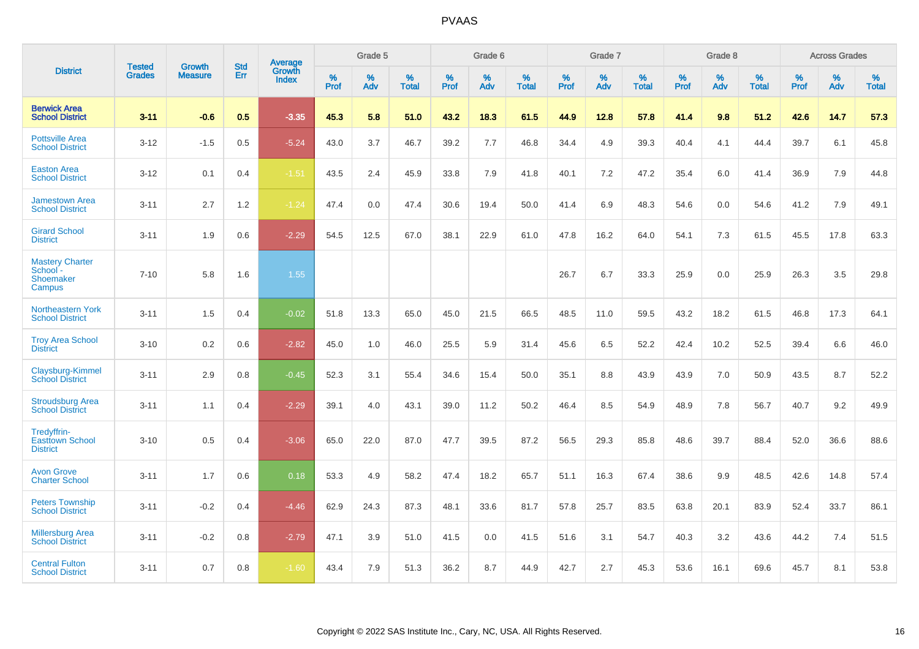|                                                           |                                |                                 | <b>Std</b> | Average                       |           | Grade 5  |                   |           | Grade 6  |                   |           | Grade 7  |                   |           | Grade 8  |                   |           | <b>Across Grades</b> |                   |
|-----------------------------------------------------------|--------------------------------|---------------------------------|------------|-------------------------------|-----------|----------|-------------------|-----------|----------|-------------------|-----------|----------|-------------------|-----------|----------|-------------------|-----------|----------------------|-------------------|
| <b>District</b>                                           | <b>Tested</b><br><b>Grades</b> | <b>Growth</b><br><b>Measure</b> | Err        | <b>Growth</b><br><b>Index</b> | %<br>Prof | %<br>Adv | %<br><b>Total</b> | %<br>Prof | %<br>Adv | %<br><b>Total</b> | %<br>Prof | %<br>Adv | %<br><b>Total</b> | %<br>Prof | %<br>Adv | %<br><b>Total</b> | %<br>Prof | %<br>Adv             | %<br><b>Total</b> |
| <b>Berwick Area</b><br><b>School District</b>             | $3 - 11$                       | $-0.6$                          | 0.5        | $-3.35$                       | 45.3      | 5.8      | 51.0              | 43.2      | 18.3     | 61.5              | 44.9      | 12.8     | 57.8              | 41.4      | 9.8      | 51.2              | 42.6      | 14.7                 | 57.3              |
| <b>Pottsville Area</b><br><b>School District</b>          | $3 - 12$                       | $-1.5$                          | 0.5        | $-5.24$                       | 43.0      | 3.7      | 46.7              | 39.2      | 7.7      | 46.8              | 34.4      | 4.9      | 39.3              | 40.4      | 4.1      | 44.4              | 39.7      | 6.1                  | 45.8              |
| <b>Easton Area</b><br><b>School District</b>              | $3 - 12$                       | 0.1                             | 0.4        | $-1.51$                       | 43.5      | 2.4      | 45.9              | 33.8      | 7.9      | 41.8              | 40.1      | 7.2      | 47.2              | 35.4      | 6.0      | 41.4              | 36.9      | 7.9                  | 44.8              |
| <b>Jamestown Area</b><br><b>School District</b>           | $3 - 11$                       | 2.7                             | 1.2        | $-1.24$                       | 47.4      | 0.0      | 47.4              | 30.6      | 19.4     | 50.0              | 41.4      | 6.9      | 48.3              | 54.6      | 0.0      | 54.6              | 41.2      | 7.9                  | 49.1              |
| <b>Girard School</b><br><b>District</b>                   | $3 - 11$                       | 1.9                             | 0.6        | $-2.29$                       | 54.5      | 12.5     | 67.0              | 38.1      | 22.9     | 61.0              | 47.8      | 16.2     | 64.0              | 54.1      | 7.3      | 61.5              | 45.5      | 17.8                 | 63.3              |
| <b>Mastery Charter</b><br>School -<br>Shoemaker<br>Campus | $7 - 10$                       | 5.8                             | 1.6        | 1.55                          |           |          |                   |           |          |                   | 26.7      | 6.7      | 33.3              | 25.9      | 0.0      | 25.9              | 26.3      | 3.5                  | 29.8              |
| <b>Northeastern York</b><br><b>School District</b>        | $3 - 11$                       | 1.5                             | 0.4        | $-0.02$                       | 51.8      | 13.3     | 65.0              | 45.0      | 21.5     | 66.5              | 48.5      | 11.0     | 59.5              | 43.2      | 18.2     | 61.5              | 46.8      | 17.3                 | 64.1              |
| <b>Troy Area School</b><br><b>District</b>                | $3 - 10$                       | 0.2                             | 0.6        | $-2.82$                       | 45.0      | 1.0      | 46.0              | 25.5      | 5.9      | 31.4              | 45.6      | 6.5      | 52.2              | 42.4      | 10.2     | 52.5              | 39.4      | 6.6                  | 46.0              |
| Claysburg-Kimmel<br><b>School District</b>                | $3 - 11$                       | 2.9                             | 0.8        | $-0.45$                       | 52.3      | 3.1      | 55.4              | 34.6      | 15.4     | 50.0              | 35.1      | 8.8      | 43.9              | 43.9      | 7.0      | 50.9              | 43.5      | 8.7                  | 52.2              |
| <b>Stroudsburg Area</b><br><b>School District</b>         | $3 - 11$                       | 1.1                             | 0.4        | $-2.29$                       | 39.1      | 4.0      | 43.1              | 39.0      | 11.2     | 50.2              | 46.4      | 8.5      | 54.9              | 48.9      | 7.8      | 56.7              | 40.7      | 9.2                  | 49.9              |
| Tredyffrin-<br><b>Easttown School</b><br><b>District</b>  | $3 - 10$                       | 0.5                             | 0.4        | $-3.06$                       | 65.0      | 22.0     | 87.0              | 47.7      | 39.5     | 87.2              | 56.5      | 29.3     | 85.8              | 48.6      | 39.7     | 88.4              | 52.0      | 36.6                 | 88.6              |
| <b>Avon Grove</b><br><b>Charter School</b>                | $3 - 11$                       | 1.7                             | 0.6        | 0.18                          | 53.3      | 4.9      | 58.2              | 47.4      | 18.2     | 65.7              | 51.1      | 16.3     | 67.4              | 38.6      | 9.9      | 48.5              | 42.6      | 14.8                 | 57.4              |
| <b>Peters Township</b><br><b>School District</b>          | $3 - 11$                       | $-0.2$                          | 0.4        | $-4.46$                       | 62.9      | 24.3     | 87.3              | 48.1      | 33.6     | 81.7              | 57.8      | 25.7     | 83.5              | 63.8      | 20.1     | 83.9              | 52.4      | 33.7                 | 86.1              |
| <b>Millersburg Area</b><br><b>School District</b>         | $3 - 11$                       | $-0.2$                          | 0.8        | $-2.79$                       | 47.1      | 3.9      | 51.0              | 41.5      | 0.0      | 41.5              | 51.6      | 3.1      | 54.7              | 40.3      | 3.2      | 43.6              | 44.2      | 7.4                  | 51.5              |
| <b>Central Fulton</b><br><b>School District</b>           | $3 - 11$                       | 0.7                             | 0.8        | $-1.60$                       | 43.4      | 7.9      | 51.3              | 36.2      | 8.7      | 44.9              | 42.7      | 2.7      | 45.3              | 53.6      | 16.1     | 69.6              | 45.7      | 8.1                  | 53.8              |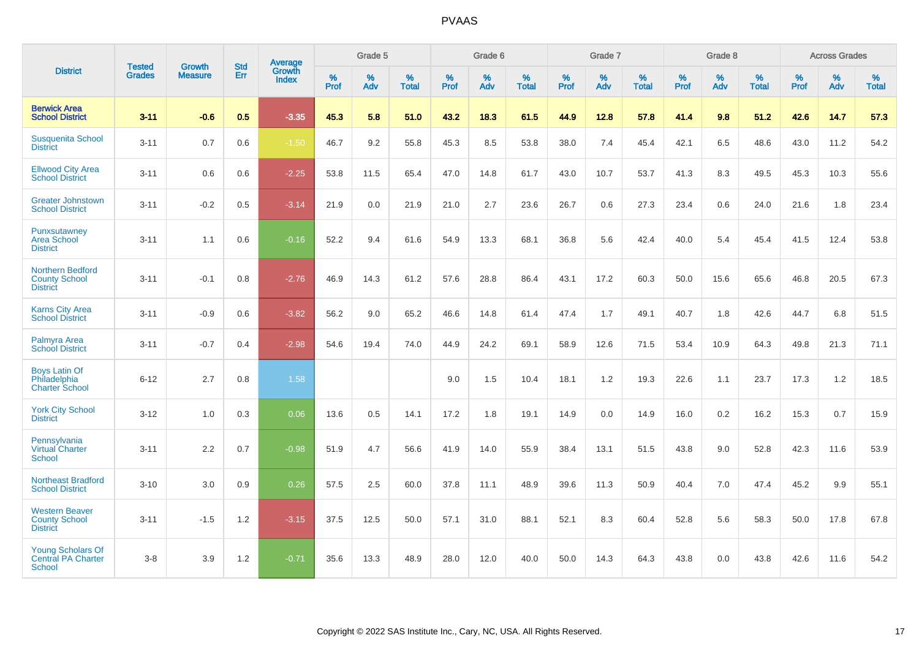|                                                                        |                                |                          | <b>Std</b> | <b>Average</b>         |           | Grade 5  |                   |           | Grade 6  |                   |           | Grade 7  |                   |           | Grade 8  |                   |           | <b>Across Grades</b> |                   |
|------------------------------------------------------------------------|--------------------------------|--------------------------|------------|------------------------|-----------|----------|-------------------|-----------|----------|-------------------|-----------|----------|-------------------|-----------|----------|-------------------|-----------|----------------------|-------------------|
| <b>District</b>                                                        | <b>Tested</b><br><b>Grades</b> | Growth<br><b>Measure</b> | Err        | Growth<br><b>Index</b> | %<br>Prof | %<br>Adv | %<br><b>Total</b> | %<br>Prof | %<br>Adv | %<br><b>Total</b> | %<br>Prof | %<br>Adv | %<br><b>Total</b> | %<br>Prof | %<br>Adv | %<br><b>Total</b> | %<br>Prof | %<br>Adv             | %<br><b>Total</b> |
| <b>Berwick Area</b><br><b>School District</b>                          | $3 - 11$                       | $-0.6$                   | 0.5        | $-3.35$                | 45.3      | 5.8      | 51.0              | 43.2      | 18.3     | 61.5              | 44.9      | 12.8     | 57.8              | 41.4      | 9.8      | 51.2              | 42.6      | 14.7                 | 57.3              |
| <b>Susquenita School</b><br><b>District</b>                            | $3 - 11$                       | 0.7                      | 0.6        | $-1.50$                | 46.7      | 9.2      | 55.8              | 45.3      | 8.5      | 53.8              | 38.0      | 7.4      | 45.4              | 42.1      | 6.5      | 48.6              | 43.0      | 11.2                 | 54.2              |
| <b>Ellwood City Area</b><br><b>School District</b>                     | $3 - 11$                       | 0.6                      | 0.6        | $-2.25$                | 53.8      | 11.5     | 65.4              | 47.0      | 14.8     | 61.7              | 43.0      | 10.7     | 53.7              | 41.3      | 8.3      | 49.5              | 45.3      | 10.3                 | 55.6              |
| <b>Greater Johnstown</b><br><b>School District</b>                     | $3 - 11$                       | $-0.2$                   | 0.5        | $-3.14$                | 21.9      | 0.0      | 21.9              | 21.0      | 2.7      | 23.6              | 26.7      | 0.6      | 27.3              | 23.4      | 0.6      | 24.0              | 21.6      | 1.8                  | 23.4              |
| Punxsutawney<br><b>Area School</b><br><b>District</b>                  | $3 - 11$                       | 1.1                      | 0.6        | $-0.16$                | 52.2      | 9.4      | 61.6              | 54.9      | 13.3     | 68.1              | 36.8      | 5.6      | 42.4              | 40.0      | 5.4      | 45.4              | 41.5      | 12.4                 | 53.8              |
| <b>Northern Bedford</b><br><b>County School</b><br><b>District</b>     | $3 - 11$                       | $-0.1$                   | 0.8        | $-2.76$                | 46.9      | 14.3     | 61.2              | 57.6      | 28.8     | 86.4              | 43.1      | 17.2     | 60.3              | 50.0      | 15.6     | 65.6              | 46.8      | 20.5                 | 67.3              |
| <b>Karns City Area</b><br><b>School District</b>                       | $3 - 11$                       | $-0.9$                   | 0.6        | $-3.82$                | 56.2      | 9.0      | 65.2              | 46.6      | 14.8     | 61.4              | 47.4      | 1.7      | 49.1              | 40.7      | 1.8      | 42.6              | 44.7      | 6.8                  | 51.5              |
| Palmyra Area<br><b>School District</b>                                 | $3 - 11$                       | $-0.7$                   | 0.4        | $-2.98$                | 54.6      | 19.4     | 74.0              | 44.9      | 24.2     | 69.1              | 58.9      | 12.6     | 71.5              | 53.4      | 10.9     | 64.3              | 49.8      | 21.3                 | 71.1              |
| <b>Boys Latin Of</b><br>Philadelphia<br><b>Charter School</b>          | $6 - 12$                       | 2.7                      | 0.8        | 1.58                   |           |          |                   | 9.0       | 1.5      | 10.4              | 18.1      | 1.2      | 19.3              | 22.6      | 1.1      | 23.7              | 17.3      | 1.2                  | 18.5              |
| <b>York City School</b><br><b>District</b>                             | $3 - 12$                       | 1.0                      | 0.3        | 0.06                   | 13.6      | 0.5      | 14.1              | 17.2      | 1.8      | 19.1              | 14.9      | 0.0      | 14.9              | 16.0      | 0.2      | 16.2              | 15.3      | 0.7                  | 15.9              |
| Pennsylvania<br>Virtual Charter<br><b>School</b>                       | $3 - 11$                       | 2.2                      | 0.7        | $-0.98$                | 51.9      | 4.7      | 56.6              | 41.9      | 14.0     | 55.9              | 38.4      | 13.1     | 51.5              | 43.8      | 9.0      | 52.8              | 42.3      | 11.6                 | 53.9              |
| <b>Northeast Bradford</b><br><b>School District</b>                    | $3 - 10$                       | 3.0                      | 0.9        | 0.26                   | 57.5      | 2.5      | 60.0              | 37.8      | 11.1     | 48.9              | 39.6      | 11.3     | 50.9              | 40.4      | 7.0      | 47.4              | 45.2      | 9.9                  | 55.1              |
| <b>Western Beaver</b><br><b>County School</b><br><b>District</b>       | $3 - 11$                       | $-1.5$                   | 1.2        | $-3.15$                | 37.5      | 12.5     | 50.0              | 57.1      | 31.0     | 88.1              | 52.1      | 8.3      | 60.4              | 52.8      | 5.6      | 58.3              | 50.0      | 17.8                 | 67.8              |
| <b>Young Scholars Of</b><br><b>Central PA Charter</b><br><b>School</b> | $3 - 8$                        | 3.9                      | 1.2        | $-0.71$                | 35.6      | 13.3     | 48.9              | 28.0      | 12.0     | 40.0              | 50.0      | 14.3     | 64.3              | 43.8      | 0.0      | 43.8              | 42.6      | 11.6                 | 54.2              |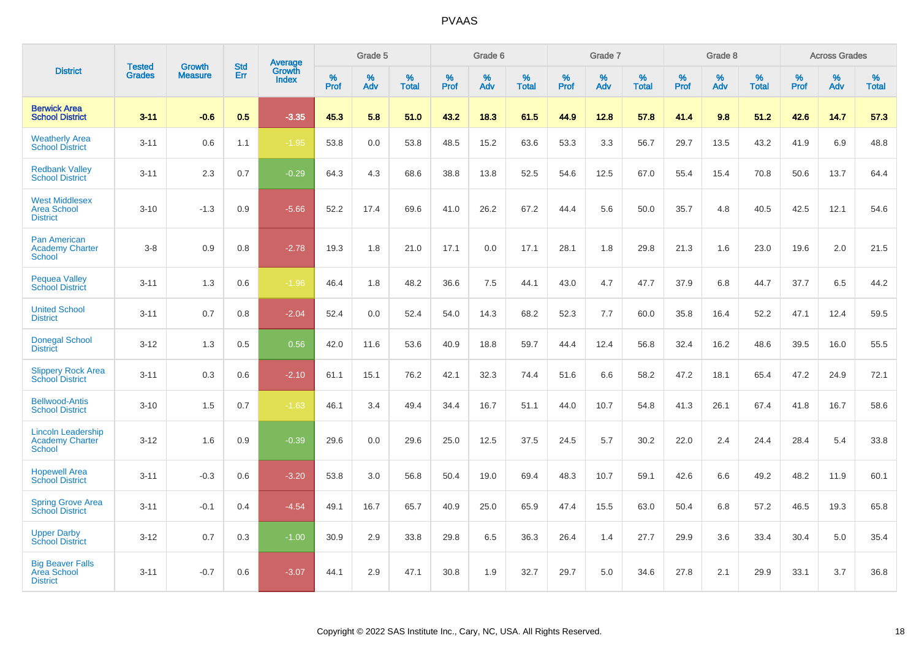|                                                                      |                                |                                 | <b>Std</b> | Average         |           | Grade 5  |                   |           | Grade 6  |                   |           | Grade 7  |                   |           | Grade 8  |                   |           | <b>Across Grades</b> |                   |
|----------------------------------------------------------------------|--------------------------------|---------------------------------|------------|-----------------|-----------|----------|-------------------|-----------|----------|-------------------|-----------|----------|-------------------|-----------|----------|-------------------|-----------|----------------------|-------------------|
| <b>District</b>                                                      | <b>Tested</b><br><b>Grades</b> | <b>Growth</b><br><b>Measure</b> | Err        | Growth<br>Index | %<br>Prof | %<br>Adv | %<br><b>Total</b> | %<br>Prof | %<br>Adv | %<br><b>Total</b> | %<br>Prof | %<br>Adv | %<br><b>Total</b> | %<br>Prof | %<br>Adv | %<br><b>Total</b> | %<br>Prof | %<br>Adv             | %<br><b>Total</b> |
| <b>Berwick Area</b><br><b>School District</b>                        | $3 - 11$                       | $-0.6$                          | 0.5        | $-3.35$         | 45.3      | 5.8      | 51.0              | 43.2      | 18.3     | 61.5              | 44.9      | 12.8     | 57.8              | 41.4      | 9.8      | 51.2              | 42.6      | 14.7                 | 57.3              |
| <b>Weatherly Area</b><br><b>School District</b>                      | $3 - 11$                       | 0.6                             | 1.1        | $-1.95$         | 53.8      | 0.0      | 53.8              | 48.5      | 15.2     | 63.6              | 53.3      | 3.3      | 56.7              | 29.7      | 13.5     | 43.2              | 41.9      | 6.9                  | 48.8              |
| <b>Redbank Valley</b><br><b>School District</b>                      | $3 - 11$                       | 2.3                             | 0.7        | $-0.29$         | 64.3      | 4.3      | 68.6              | 38.8      | 13.8     | 52.5              | 54.6      | 12.5     | 67.0              | 55.4      | 15.4     | 70.8              | 50.6      | 13.7                 | 64.4              |
| <b>West Middlesex</b><br><b>Area School</b><br><b>District</b>       | $3 - 10$                       | $-1.3$                          | 0.9        | $-5.66$         | 52.2      | 17.4     | 69.6              | 41.0      | 26.2     | 67.2              | 44.4      | 5.6      | 50.0              | 35.7      | 4.8      | 40.5              | 42.5      | 12.1                 | 54.6              |
| <b>Pan American</b><br><b>Academy Charter</b><br><b>School</b>       | $3 - 8$                        | 0.9                             | 0.8        | $-2.78$         | 19.3      | 1.8      | 21.0              | 17.1      | 0.0      | 17.1              | 28.1      | 1.8      | 29.8              | 21.3      | 1.6      | 23.0              | 19.6      | 2.0                  | 21.5              |
| <b>Pequea Valley</b><br><b>School District</b>                       | $3 - 11$                       | 1.3                             | 0.6        | $-1.96$         | 46.4      | 1.8      | 48.2              | 36.6      | 7.5      | 44.1              | 43.0      | 4.7      | 47.7              | 37.9      | 6.8      | 44.7              | 37.7      | 6.5                  | 44.2              |
| <b>United School</b><br><b>District</b>                              | $3 - 11$                       | 0.7                             | 0.8        | $-2.04$         | 52.4      | 0.0      | 52.4              | 54.0      | 14.3     | 68.2              | 52.3      | 7.7      | 60.0              | 35.8      | 16.4     | 52.2              | 47.1      | 12.4                 | 59.5              |
| <b>Donegal School</b><br><b>District</b>                             | $3 - 12$                       | 1.3                             | 0.5        | 0.56            | 42.0      | 11.6     | 53.6              | 40.9      | 18.8     | 59.7              | 44.4      | 12.4     | 56.8              | 32.4      | 16.2     | 48.6              | 39.5      | 16.0                 | 55.5              |
| <b>Slippery Rock Area</b><br><b>School District</b>                  | $3 - 11$                       | 0.3                             | 0.6        | $-2.10$         | 61.1      | 15.1     | 76.2              | 42.1      | 32.3     | 74.4              | 51.6      | 6.6      | 58.2              | 47.2      | 18.1     | 65.4              | 47.2      | 24.9                 | 72.1              |
| <b>Bellwood-Antis</b><br><b>School District</b>                      | $3 - 10$                       | 1.5                             | 0.7        | $-1.63$         | 46.1      | 3.4      | 49.4              | 34.4      | 16.7     | 51.1              | 44.0      | 10.7     | 54.8              | 41.3      | 26.1     | 67.4              | 41.8      | 16.7                 | 58.6              |
| <b>Lincoln Leadership</b><br><b>Academy Charter</b><br><b>School</b> | $3 - 12$                       | 1.6                             | 0.9        | $-0.39$         | 29.6      | 0.0      | 29.6              | 25.0      | 12.5     | 37.5              | 24.5      | 5.7      | 30.2              | 22.0      | 2.4      | 24.4              | 28.4      | 5.4                  | 33.8              |
| <b>Hopewell Area</b><br><b>School District</b>                       | $3 - 11$                       | $-0.3$                          | 0.6        | $-3.20$         | 53.8      | 3.0      | 56.8              | 50.4      | 19.0     | 69.4              | 48.3      | 10.7     | 59.1              | 42.6      | 6.6      | 49.2              | 48.2      | 11.9                 | 60.1              |
| <b>Spring Grove Area</b><br><b>School District</b>                   | $3 - 11$                       | $-0.1$                          | 0.4        | $-4.54$         | 49.1      | 16.7     | 65.7              | 40.9      | 25.0     | 65.9              | 47.4      | 15.5     | 63.0              | 50.4      | 6.8      | 57.2              | 46.5      | 19.3                 | 65.8              |
| <b>Upper Darby</b><br><b>School District</b>                         | $3 - 12$                       | 0.7                             | 0.3        | $-1.00$         | 30.9      | 2.9      | 33.8              | 29.8      | 6.5      | 36.3              | 26.4      | 1.4      | 27.7              | 29.9      | 3.6      | 33.4              | 30.4      | 5.0                  | 35.4              |
| <b>Big Beaver Falls</b><br>Area School<br><b>District</b>            | $3 - 11$                       | $-0.7$                          | 0.6        | $-3.07$         | 44.1      | 2.9      | 47.1              | 30.8      | 1.9      | 32.7              | 29.7      | 5.0      | 34.6              | 27.8      | 2.1      | 29.9              | 33.1      | 3.7                  | 36.8              |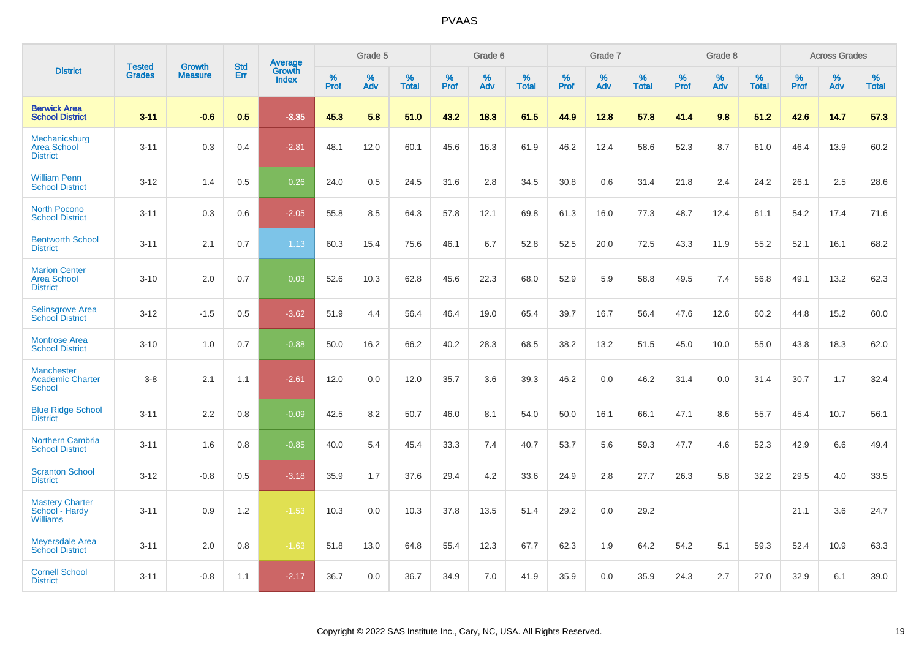|                                                               |                                | <b>Growth</b>  | <b>Std</b> |                                   |              | Grade 5  |                   |           | Grade 6  |                   |              | Grade 7  |                   |              | Grade 8  |                   |              | <b>Across Grades</b> |                   |
|---------------------------------------------------------------|--------------------------------|----------------|------------|-----------------------------------|--------------|----------|-------------------|-----------|----------|-------------------|--------------|----------|-------------------|--------------|----------|-------------------|--------------|----------------------|-------------------|
| <b>District</b>                                               | <b>Tested</b><br><b>Grades</b> | <b>Measure</b> | <b>Err</b> | <b>Average</b><br>Growth<br>Index | $\%$<br>Prof | %<br>Adv | %<br><b>Total</b> | %<br>Prof | %<br>Adv | %<br><b>Total</b> | $\%$<br>Prof | %<br>Adv | %<br><b>Total</b> | $\%$<br>Prof | %<br>Adv | %<br><b>Total</b> | $\%$<br>Prof | %<br>Adv             | %<br><b>Total</b> |
| <b>Berwick Area</b><br><b>School District</b>                 | $3 - 11$                       | $-0.6$         | 0.5        | $-3.35$                           | 45.3         | 5.8      | 51.0              | 43.2      | 18.3     | 61.5              | 44.9         | 12.8     | 57.8              | 41.4         | 9.8      | 51.2              | 42.6         | 14.7                 | 57.3              |
| Mechanicsburg<br><b>Area School</b><br><b>District</b>        | $3 - 11$                       | 0.3            | 0.4        | $-2.81$                           | 48.1         | 12.0     | 60.1              | 45.6      | 16.3     | 61.9              | 46.2         | 12.4     | 58.6              | 52.3         | 8.7      | 61.0              | 46.4         | 13.9                 | 60.2              |
| <b>William Penn</b><br><b>School District</b>                 | $3 - 12$                       | 1.4            | 0.5        | 0.26                              | 24.0         | 0.5      | 24.5              | 31.6      | 2.8      | 34.5              | 30.8         | 0.6      | 31.4              | 21.8         | 2.4      | 24.2              | 26.1         | 2.5                  | 28.6              |
| <b>North Pocono</b><br><b>School District</b>                 | $3 - 11$                       | 0.3            | 0.6        | $-2.05$                           | 55.8         | 8.5      | 64.3              | 57.8      | 12.1     | 69.8              | 61.3         | 16.0     | 77.3              | 48.7         | 12.4     | 61.1              | 54.2         | 17.4                 | 71.6              |
| <b>Bentworth School</b><br><b>District</b>                    | $3 - 11$                       | 2.1            | 0.7        | 1.13                              | 60.3         | 15.4     | 75.6              | 46.1      | 6.7      | 52.8              | 52.5         | 20.0     | 72.5              | 43.3         | 11.9     | 55.2              | 52.1         | 16.1                 | 68.2              |
| <b>Marion Center</b><br><b>Area School</b><br><b>District</b> | $3 - 10$                       | 2.0            | 0.7        | 0.03                              | 52.6         | 10.3     | 62.8              | 45.6      | 22.3     | 68.0              | 52.9         | 5.9      | 58.8              | 49.5         | 7.4      | 56.8              | 49.1         | 13.2                 | 62.3              |
| Selinsgrove Area<br><b>School District</b>                    | $3 - 12$                       | $-1.5$         | 0.5        | $-3.62$                           | 51.9         | 4.4      | 56.4              | 46.4      | 19.0     | 65.4              | 39.7         | 16.7     | 56.4              | 47.6         | 12.6     | 60.2              | 44.8         | 15.2                 | 60.0              |
| <b>Montrose Area</b><br><b>School District</b>                | $3 - 10$                       | 1.0            | 0.7        | $-0.88$                           | 50.0         | 16.2     | 66.2              | 40.2      | 28.3     | 68.5              | 38.2         | 13.2     | 51.5              | 45.0         | 10.0     | 55.0              | 43.8         | 18.3                 | 62.0              |
| <b>Manchester</b><br><b>Academic Charter</b><br>School        | $3 - 8$                        | 2.1            | 1.1        | $-2.61$                           | 12.0         | 0.0      | 12.0              | 35.7      | 3.6      | 39.3              | 46.2         | 0.0      | 46.2              | 31.4         | 0.0      | 31.4              | 30.7         | 1.7                  | 32.4              |
| <b>Blue Ridge School</b><br><b>District</b>                   | $3 - 11$                       | 2.2            | 0.8        | $-0.09$                           | 42.5         | 8.2      | 50.7              | 46.0      | 8.1      | 54.0              | 50.0         | 16.1     | 66.1              | 47.1         | 8.6      | 55.7              | 45.4         | 10.7                 | 56.1              |
| <b>Northern Cambria</b><br><b>School District</b>             | $3 - 11$                       | 1.6            | 0.8        | $-0.85$                           | 40.0         | 5.4      | 45.4              | 33.3      | 7.4      | 40.7              | 53.7         | 5.6      | 59.3              | 47.7         | 4.6      | 52.3              | 42.9         | 6.6                  | 49.4              |
| <b>Scranton School</b><br><b>District</b>                     | $3 - 12$                       | $-0.8$         | 0.5        | $-3.18$                           | 35.9         | 1.7      | 37.6              | 29.4      | 4.2      | 33.6              | 24.9         | 2.8      | 27.7              | 26.3         | 5.8      | 32.2              | 29.5         | 4.0                  | 33.5              |
| <b>Mastery Charter</b><br>School - Hardy<br><b>Williams</b>   | $3 - 11$                       | 0.9            | 1.2        | $-1.53$                           | 10.3         | 0.0      | 10.3              | 37.8      | 13.5     | 51.4              | 29.2         | 0.0      | 29.2              |              |          |                   | 21.1         | 3.6                  | 24.7              |
| <b>Meyersdale Area</b><br><b>School District</b>              | $3 - 11$                       | 2.0            | 0.8        | $-1.63$                           | 51.8         | 13.0     | 64.8              | 55.4      | 12.3     | 67.7              | 62.3         | 1.9      | 64.2              | 54.2         | 5.1      | 59.3              | 52.4         | 10.9                 | 63.3              |
| <b>Cornell School</b><br><b>District</b>                      | $3 - 11$                       | $-0.8$         | 1.1        | $-2.17$                           | 36.7         | 0.0      | 36.7              | 34.9      | 7.0      | 41.9              | 35.9         | 0.0      | 35.9              | 24.3         | 2.7      | 27.0              | 32.9         | 6.1                  | 39.0              |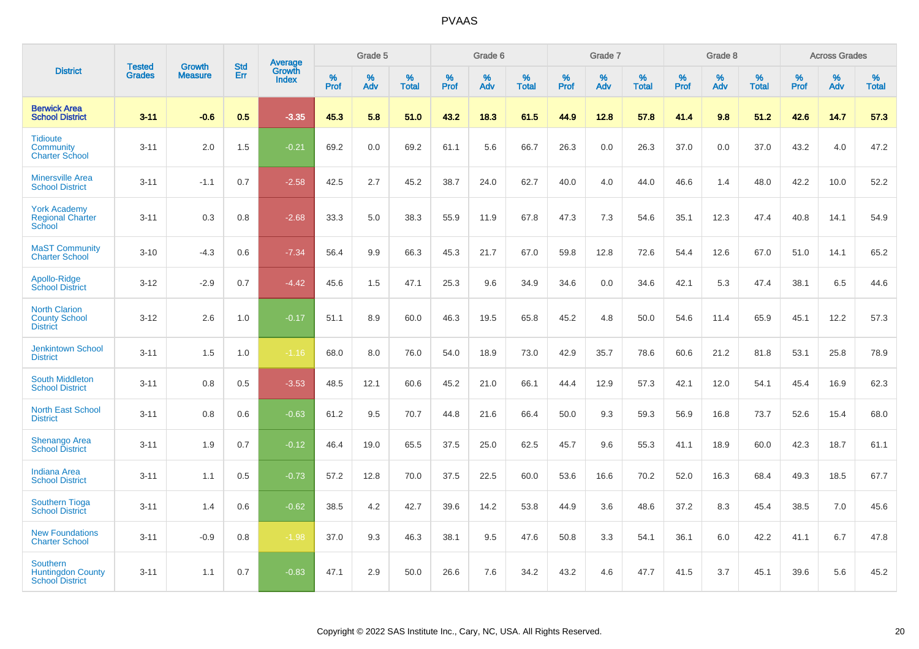|                                                                       |                                |                                 | <b>Std</b> | Average                |              | Grade 5  |                   |           | Grade 6  |                   |           | Grade 7  |                   |           | Grade 8  |                   |              | <b>Across Grades</b> |                   |
|-----------------------------------------------------------------------|--------------------------------|---------------------------------|------------|------------------------|--------------|----------|-------------------|-----------|----------|-------------------|-----------|----------|-------------------|-----------|----------|-------------------|--------------|----------------------|-------------------|
| <b>District</b>                                                       | <b>Tested</b><br><b>Grades</b> | <b>Growth</b><br><b>Measure</b> | <b>Err</b> | Growth<br><b>Index</b> | $\%$<br>Prof | %<br>Adv | %<br><b>Total</b> | %<br>Prof | %<br>Adv | %<br><b>Total</b> | %<br>Prof | %<br>Adv | %<br><b>Total</b> | %<br>Prof | %<br>Adv | %<br><b>Total</b> | $\%$<br>Prof | %<br>Adv             | %<br><b>Total</b> |
| <b>Berwick Area</b><br><b>School District</b>                         | $3 - 11$                       | $-0.6$                          | 0.5        | $-3.35$                | 45.3         | 5.8      | 51.0              | 43.2      | 18.3     | 61.5              | 44.9      | 12.8     | 57.8              | 41.4      | 9.8      | 51.2              | 42.6         | 14.7                 | 57.3              |
| <b>Tidioute</b><br>Community<br><b>Charter School</b>                 | $3 - 11$                       | 2.0                             | 1.5        | $-0.21$                | 69.2         | 0.0      | 69.2              | 61.1      | 5.6      | 66.7              | 26.3      | 0.0      | 26.3              | 37.0      | 0.0      | 37.0              | 43.2         | 4.0                  | 47.2              |
| <b>Minersville Area</b><br><b>School District</b>                     | $3 - 11$                       | $-1.1$                          | 0.7        | $-2.58$                | 42.5         | 2.7      | 45.2              | 38.7      | 24.0     | 62.7              | 40.0      | 4.0      | 44.0              | 46.6      | 1.4      | 48.0              | 42.2         | 10.0                 | 52.2              |
| <b>York Academy</b><br><b>Regional Charter</b><br>School              | $3 - 11$                       | 0.3                             | 0.8        | $-2.68$                | 33.3         | 5.0      | 38.3              | 55.9      | 11.9     | 67.8              | 47.3      | 7.3      | 54.6              | 35.1      | 12.3     | 47.4              | 40.8         | 14.1                 | 54.9              |
| <b>MaST Community</b><br><b>Charter School</b>                        | $3 - 10$                       | $-4.3$                          | 0.6        | $-7.34$                | 56.4         | 9.9      | 66.3              | 45.3      | 21.7     | 67.0              | 59.8      | 12.8     | 72.6              | 54.4      | 12.6     | 67.0              | 51.0         | 14.1                 | 65.2              |
| Apollo-Ridge<br><b>School District</b>                                | $3 - 12$                       | $-2.9$                          | 0.7        | $-4.42$                | 45.6         | 1.5      | 47.1              | 25.3      | 9.6      | 34.9              | 34.6      | 0.0      | 34.6              | 42.1      | 5.3      | 47.4              | 38.1         | 6.5                  | 44.6              |
| <b>North Clarion</b><br><b>County School</b><br><b>District</b>       | $3 - 12$                       | 2.6                             | 1.0        | $-0.17$                | 51.1         | 8.9      | 60.0              | 46.3      | 19.5     | 65.8              | 45.2      | 4.8      | 50.0              | 54.6      | 11.4     | 65.9              | 45.1         | 12.2                 | 57.3              |
| <b>Jenkintown School</b><br><b>District</b>                           | $3 - 11$                       | 1.5                             | 1.0        | $-1.16$                | 68.0         | 8.0      | 76.0              | 54.0      | 18.9     | 73.0              | 42.9      | 35.7     | 78.6              | 60.6      | 21.2     | 81.8              | 53.1         | 25.8                 | 78.9              |
| <b>South Middleton</b><br><b>School District</b>                      | $3 - 11$                       | 0.8                             | 0.5        | $-3.53$                | 48.5         | 12.1     | 60.6              | 45.2      | 21.0     | 66.1              | 44.4      | 12.9     | 57.3              | 42.1      | 12.0     | 54.1              | 45.4         | 16.9                 | 62.3              |
| <b>North East School</b><br><b>District</b>                           | $3 - 11$                       | 0.8                             | 0.6        | $-0.63$                | 61.2         | 9.5      | 70.7              | 44.8      | 21.6     | 66.4              | 50.0      | 9.3      | 59.3              | 56.9      | 16.8     | 73.7              | 52.6         | 15.4                 | 68.0              |
| <b>Shenango Area</b><br><b>School District</b>                        | $3 - 11$                       | 1.9                             | 0.7        | $-0.12$                | 46.4         | 19.0     | 65.5              | 37.5      | 25.0     | 62.5              | 45.7      | 9.6      | 55.3              | 41.1      | 18.9     | 60.0              | 42.3         | 18.7                 | 61.1              |
| <b>Indiana Area</b><br><b>School District</b>                         | $3 - 11$                       | 1.1                             | 0.5        | $-0.73$                | 57.2         | 12.8     | 70.0              | 37.5      | 22.5     | 60.0              | 53.6      | 16.6     | 70.2              | 52.0      | 16.3     | 68.4              | 49.3         | 18.5                 | 67.7              |
| <b>Southern Tioga</b><br><b>School District</b>                       | $3 - 11$                       | 1.4                             | 0.6        | $-0.62$                | 38.5         | 4.2      | 42.7              | 39.6      | 14.2     | 53.8              | 44.9      | 3.6      | 48.6              | 37.2      | 8.3      | 45.4              | 38.5         | 7.0                  | 45.6              |
| <b>New Foundations</b><br><b>Charter School</b>                       | $3 - 11$                       | $-0.9$                          | 0.8        | $-1.98$                | 37.0         | 9.3      | 46.3              | 38.1      | 9.5      | 47.6              | 50.8      | 3.3      | 54.1              | 36.1      | 6.0      | 42.2              | 41.1         | 6.7                  | 47.8              |
| <b>Southern</b><br><b>Huntingdon County</b><br><b>School District</b> | $3 - 11$                       | 1.1                             | 0.7        | $-0.83$                | 47.1         | 2.9      | 50.0              | 26.6      | 7.6      | 34.2              | 43.2      | 4.6      | 47.7              | 41.5      | 3.7      | 45.1              | 39.6         | 5.6                  | 45.2              |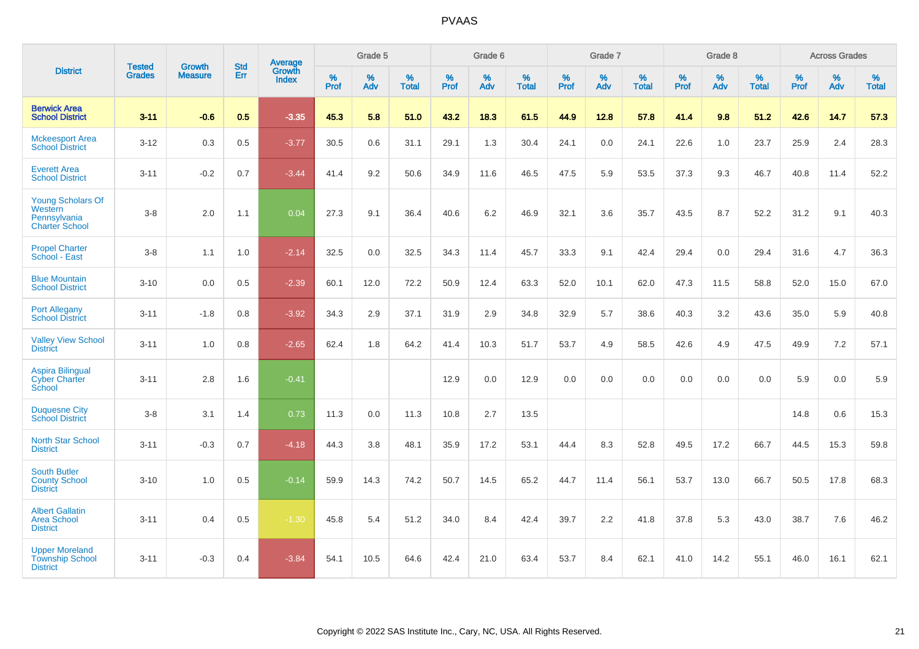|                                                                       |                                |                                 | <b>Std</b> | <b>Average</b>         |           | Grade 5  |                   |           | Grade 6  |                   |           | Grade 7  |                   |           | Grade 8  |                   |           | <b>Across Grades</b> |                   |
|-----------------------------------------------------------------------|--------------------------------|---------------------------------|------------|------------------------|-----------|----------|-------------------|-----------|----------|-------------------|-----------|----------|-------------------|-----------|----------|-------------------|-----------|----------------------|-------------------|
| <b>District</b>                                                       | <b>Tested</b><br><b>Grades</b> | <b>Growth</b><br><b>Measure</b> | Err        | Growth<br><b>Index</b> | %<br>Prof | %<br>Adv | %<br><b>Total</b> | %<br>Prof | %<br>Adv | %<br><b>Total</b> | %<br>Prof | %<br>Adv | %<br><b>Total</b> | %<br>Prof | %<br>Adv | %<br><b>Total</b> | %<br>Prof | %<br>Adv             | %<br><b>Total</b> |
| <b>Berwick Area</b><br><b>School District</b>                         | $3 - 11$                       | $-0.6$                          | 0.5        | $-3.35$                | 45.3      | 5.8      | 51.0              | 43.2      | 18.3     | 61.5              | 44.9      | 12.8     | 57.8              | 41.4      | 9.8      | 51.2              | 42.6      | 14.7                 | 57.3              |
| <b>Mckeesport Area</b><br><b>School District</b>                      | $3 - 12$                       | 0.3                             | 0.5        | $-3.77$                | 30.5      | 0.6      | 31.1              | 29.1      | 1.3      | 30.4              | 24.1      | 0.0      | 24.1              | 22.6      | 1.0      | 23.7              | 25.9      | 2.4                  | 28.3              |
| <b>Everett Area</b><br><b>School District</b>                         | $3 - 11$                       | $-0.2$                          | 0.7        | $-3.44$                | 41.4      | 9.2      | 50.6              | 34.9      | 11.6     | 46.5              | 47.5      | 5.9      | 53.5              | 37.3      | 9.3      | 46.7              | 40.8      | 11.4                 | 52.2              |
| Young Scholars Of<br>Western<br>Pennsylvania<br><b>Charter School</b> | $3 - 8$                        | 2.0                             | 1.1        | 0.04                   | 27.3      | 9.1      | 36.4              | 40.6      | 6.2      | 46.9              | 32.1      | 3.6      | 35.7              | 43.5      | 8.7      | 52.2              | 31.2      | 9.1                  | 40.3              |
| <b>Propel Charter</b><br>School - East                                | $3 - 8$                        | 1.1                             | 1.0        | $-2.14$                | 32.5      | 0.0      | 32.5              | 34.3      | 11.4     | 45.7              | 33.3      | 9.1      | 42.4              | 29.4      | 0.0      | 29.4              | 31.6      | 4.7                  | 36.3              |
| <b>Blue Mountain</b><br><b>School District</b>                        | $3 - 10$                       | 0.0                             | 0.5        | $-2.39$                | 60.1      | 12.0     | 72.2              | 50.9      | 12.4     | 63.3              | 52.0      | 10.1     | 62.0              | 47.3      | 11.5     | 58.8              | 52.0      | 15.0                 | 67.0              |
| <b>Port Allegany</b><br><b>School District</b>                        | $3 - 11$                       | $-1.8$                          | 0.8        | $-3.92$                | 34.3      | 2.9      | 37.1              | 31.9      | 2.9      | 34.8              | 32.9      | 5.7      | 38.6              | 40.3      | 3.2      | 43.6              | 35.0      | 5.9                  | 40.8              |
| <b>Valley View School</b><br><b>District</b>                          | $3 - 11$                       | 1.0                             | 0.8        | $-2.65$                | 62.4      | 1.8      | 64.2              | 41.4      | 10.3     | 51.7              | 53.7      | 4.9      | 58.5              | 42.6      | 4.9      | 47.5              | 49.9      | 7.2                  | 57.1              |
| <b>Aspira Bilingual</b><br><b>Cyber Charter</b><br>School             | $3 - 11$                       | 2.8                             | 1.6        | $-0.41$                |           |          |                   | 12.9      | 0.0      | 12.9              | 0.0       | 0.0      | 0.0               | 0.0       | 0.0      | 0.0               | 5.9       | 0.0                  | 5.9               |
| <b>Duquesne City</b><br><b>School District</b>                        | $3-8$                          | 3.1                             | 1.4        | 0.73                   | 11.3      | 0.0      | 11.3              | 10.8      | 2.7      | 13.5              |           |          |                   |           |          |                   | 14.8      | 0.6                  | 15.3              |
| <b>North Star School</b><br><b>District</b>                           | $3 - 11$                       | $-0.3$                          | 0.7        | $-4.18$                | 44.3      | 3.8      | 48.1              | 35.9      | 17.2     | 53.1              | 44.4      | 8.3      | 52.8              | 49.5      | 17.2     | 66.7              | 44.5      | 15.3                 | 59.8              |
| <b>South Butler</b><br><b>County School</b><br><b>District</b>        | $3 - 10$                       | 1.0                             | 0.5        | $-0.14$                | 59.9      | 14.3     | 74.2              | 50.7      | 14.5     | 65.2              | 44.7      | 11.4     | 56.1              | 53.7      | 13.0     | 66.7              | 50.5      | 17.8                 | 68.3              |
| <b>Albert Gallatin</b><br>Area School<br><b>District</b>              | $3 - 11$                       | 0.4                             | 0.5        | $-1.30$                | 45.8      | 5.4      | 51.2              | 34.0      | 8.4      | 42.4              | 39.7      | 2.2      | 41.8              | 37.8      | 5.3      | 43.0              | 38.7      | 7.6                  | 46.2              |
| <b>Upper Moreland</b><br><b>Township School</b><br><b>District</b>    | $3 - 11$                       | $-0.3$                          | 0.4        | $-3.84$                | 54.1      | 10.5     | 64.6              | 42.4      | 21.0     | 63.4              | 53.7      | 8.4      | 62.1              | 41.0      | 14.2     | 55.1              | 46.0      | 16.1                 | 62.1              |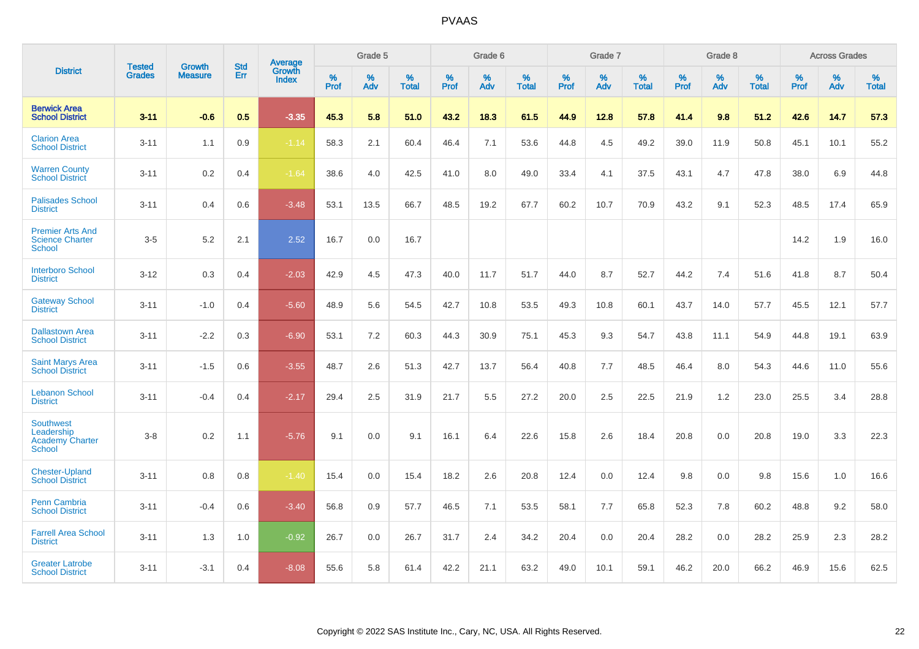|                                                                           |                                |                                 | <b>Std</b> | Average                       |           | Grade 5  |                   |           | Grade 6  |                   |           | Grade 7  |                   |           | Grade 8  |                   |           | <b>Across Grades</b> |                   |
|---------------------------------------------------------------------------|--------------------------------|---------------------------------|------------|-------------------------------|-----------|----------|-------------------|-----------|----------|-------------------|-----------|----------|-------------------|-----------|----------|-------------------|-----------|----------------------|-------------------|
| <b>District</b>                                                           | <b>Tested</b><br><b>Grades</b> | <b>Growth</b><br><b>Measure</b> | Err        | <b>Growth</b><br><b>Index</b> | %<br>Prof | %<br>Adv | %<br><b>Total</b> | %<br>Prof | %<br>Adv | %<br><b>Total</b> | %<br>Prof | %<br>Adv | %<br><b>Total</b> | %<br>Prof | %<br>Adv | %<br><b>Total</b> | %<br>Prof | %<br>Adv             | %<br><b>Total</b> |
| <b>Berwick Area</b><br><b>School District</b>                             | $3 - 11$                       | $-0.6$                          | 0.5        | $-3.35$                       | 45.3      | 5.8      | 51.0              | 43.2      | 18.3     | 61.5              | 44.9      | 12.8     | 57.8              | 41.4      | 9.8      | 51.2              | 42.6      | 14.7                 | 57.3              |
| <b>Clarion Area</b><br><b>School District</b>                             | $3 - 11$                       | 1.1                             | 0.9        | $-1.14$                       | 58.3      | 2.1      | 60.4              | 46.4      | 7.1      | 53.6              | 44.8      | 4.5      | 49.2              | 39.0      | 11.9     | 50.8              | 45.1      | 10.1                 | 55.2              |
| <b>Warren County</b><br><b>School District</b>                            | $3 - 11$                       | 0.2                             | 0.4        | $-1.64$                       | 38.6      | 4.0      | 42.5              | 41.0      | 8.0      | 49.0              | 33.4      | 4.1      | 37.5              | 43.1      | 4.7      | 47.8              | 38.0      | 6.9                  | 44.8              |
| <b>Palisades School</b><br><b>District</b>                                | $3 - 11$                       | 0.4                             | 0.6        | $-3.48$                       | 53.1      | 13.5     | 66.7              | 48.5      | 19.2     | 67.7              | 60.2      | 10.7     | 70.9              | 43.2      | 9.1      | 52.3              | 48.5      | 17.4                 | 65.9              |
| <b>Premier Arts And</b><br><b>Science Charter</b><br><b>School</b>        | $3-5$                          | 5.2                             | 2.1        | 2.52                          | 16.7      | 0.0      | 16.7              |           |          |                   |           |          |                   |           |          |                   | 14.2      | 1.9                  | 16.0              |
| <b>Interboro School</b><br><b>District</b>                                | $3 - 12$                       | 0.3                             | 0.4        | $-2.03$                       | 42.9      | 4.5      | 47.3              | 40.0      | 11.7     | 51.7              | 44.0      | 8.7      | 52.7              | 44.2      | 7.4      | 51.6              | 41.8      | 8.7                  | 50.4              |
| <b>Gateway School</b><br><b>District</b>                                  | $3 - 11$                       | $-1.0$                          | 0.4        | $-5.60$                       | 48.9      | 5.6      | 54.5              | 42.7      | 10.8     | 53.5              | 49.3      | 10.8     | 60.1              | 43.7      | 14.0     | 57.7              | 45.5      | 12.1                 | 57.7              |
| <b>Dallastown Area</b><br><b>School District</b>                          | $3 - 11$                       | $-2.2$                          | 0.3        | $-6.90$                       | 53.1      | 7.2      | 60.3              | 44.3      | 30.9     | 75.1              | 45.3      | 9.3      | 54.7              | 43.8      | 11.1     | 54.9              | 44.8      | 19.1                 | 63.9              |
| <b>Saint Marys Area</b><br><b>School District</b>                         | $3 - 11$                       | $-1.5$                          | 0.6        | $-3.55$                       | 48.7      | 2.6      | 51.3              | 42.7      | 13.7     | 56.4              | 40.8      | 7.7      | 48.5              | 46.4      | 8.0      | 54.3              | 44.6      | 11.0                 | 55.6              |
| <b>Lebanon School</b><br><b>District</b>                                  | $3 - 11$                       | $-0.4$                          | 0.4        | $-2.17$                       | 29.4      | 2.5      | 31.9              | 21.7      | 5.5      | 27.2              | 20.0      | 2.5      | 22.5              | 21.9      | 1.2      | 23.0              | 25.5      | 3.4                  | 28.8              |
| <b>Southwest</b><br>Leadership<br><b>Academy Charter</b><br><b>School</b> | $3 - 8$                        | 0.2                             | 1.1        | $-5.76$                       | 9.1       | 0.0      | 9.1               | 16.1      | 6.4      | 22.6              | 15.8      | 2.6      | 18.4              | 20.8      | 0.0      | 20.8              | 19.0      | 3.3                  | 22.3              |
| <b>Chester-Upland</b><br><b>School District</b>                           | $3 - 11$                       | 0.8                             | 0.8        | $-1.40$                       | 15.4      | 0.0      | 15.4              | 18.2      | 2.6      | 20.8              | 12.4      | 0.0      | 12.4              | 9.8       | 0.0      | 9.8               | 15.6      | 1.0                  | 16.6              |
| Penn Cambria<br><b>School District</b>                                    | $3 - 11$                       | $-0.4$                          | 0.6        | $-3.40$                       | 56.8      | 0.9      | 57.7              | 46.5      | 7.1      | 53.5              | 58.1      | 7.7      | 65.8              | 52.3      | 7.8      | 60.2              | 48.8      | 9.2                  | 58.0              |
| <b>Farrell Area School</b><br><b>District</b>                             | $3 - 11$                       | 1.3                             | 1.0        | $-0.92$                       | 26.7      | 0.0      | 26.7              | 31.7      | 2.4      | 34.2              | 20.4      | 0.0      | 20.4              | 28.2      | 0.0      | 28.2              | 25.9      | 2.3                  | 28.2              |
| <b>Greater Latrobe</b><br><b>School District</b>                          | $3 - 11$                       | $-3.1$                          | 0.4        | $-8.08$                       | 55.6      | 5.8      | 61.4              | 42.2      | 21.1     | 63.2              | 49.0      | 10.1     | 59.1              | 46.2      | 20.0     | 66.2              | 46.9      | 15.6                 | 62.5              |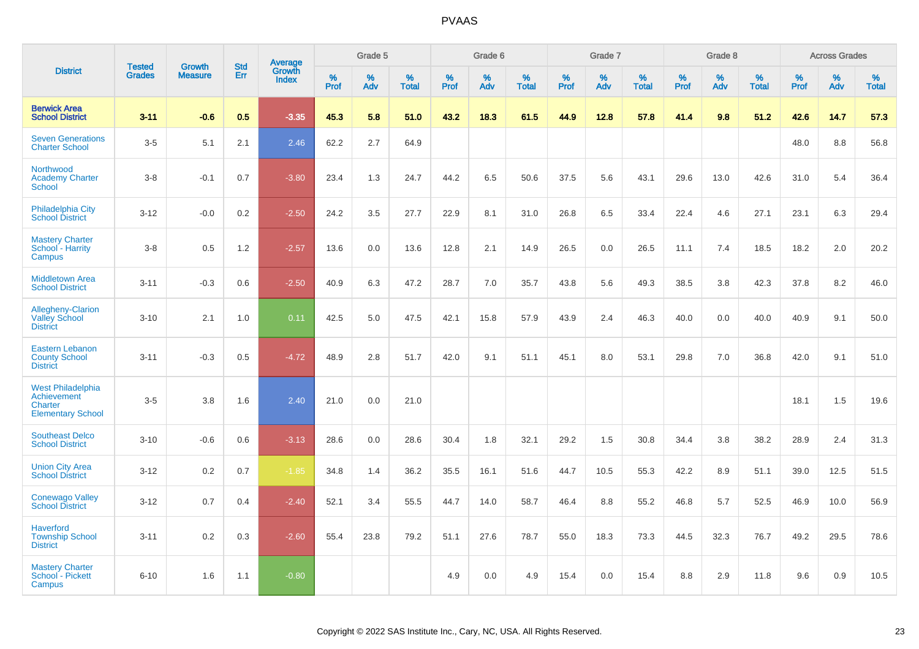|                                                                                |                                |                                 | <b>Std</b> | Average                |              | Grade 5  |                      |              | Grade 6  |                      |              | Grade 7  |                      |              | Grade 8  |                   |              | <b>Across Grades</b> |                   |
|--------------------------------------------------------------------------------|--------------------------------|---------------------------------|------------|------------------------|--------------|----------|----------------------|--------------|----------|----------------------|--------------|----------|----------------------|--------------|----------|-------------------|--------------|----------------------|-------------------|
| <b>District</b>                                                                | <b>Tested</b><br><b>Grades</b> | <b>Growth</b><br><b>Measure</b> | Err        | Growth<br><b>Index</b> | $\%$<br>Prof | %<br>Adv | $\%$<br><b>Total</b> | $\%$<br>Prof | %<br>Adv | $\%$<br><b>Total</b> | $\%$<br>Prof | %<br>Adv | $\%$<br><b>Total</b> | $\%$<br>Prof | %<br>Adv | %<br><b>Total</b> | $\%$<br>Prof | $\%$<br>Adv          | %<br><b>Total</b> |
| <b>Berwick Area</b><br><b>School District</b>                                  | $3 - 11$                       | $-0.6$                          | 0.5        | $-3.35$                | 45.3         | 5.8      | 51.0                 | 43.2         | 18.3     | 61.5                 | 44.9         | 12.8     | 57.8                 | 41.4         | 9.8      | 51.2              | 42.6         | 14.7                 | 57.3              |
| <b>Seven Generations</b><br><b>Charter School</b>                              | $3-5$                          | 5.1                             | 2.1        | 2.46                   | 62.2         | 2.7      | 64.9                 |              |          |                      |              |          |                      |              |          |                   | 48.0         | 8.8                  | 56.8              |
| Northwood<br><b>Academy Charter</b><br>School                                  | $3 - 8$                        | $-0.1$                          | 0.7        | $-3.80$                | 23.4         | 1.3      | 24.7                 | 44.2         | 6.5      | 50.6                 | 37.5         | 5.6      | 43.1                 | 29.6         | 13.0     | 42.6              | 31.0         | 5.4                  | 36.4              |
| Philadelphia City<br><b>School District</b>                                    | $3 - 12$                       | $-0.0$                          | 0.2        | $-2.50$                | 24.2         | 3.5      | 27.7                 | 22.9         | 8.1      | 31.0                 | 26.8         | 6.5      | 33.4                 | 22.4         | 4.6      | 27.1              | 23.1         | 6.3                  | 29.4              |
| <b>Mastery Charter</b><br>School - Harrity<br>Campus                           | $3 - 8$                        | 0.5                             | 1.2        | $-2.57$                | 13.6         | 0.0      | 13.6                 | 12.8         | 2.1      | 14.9                 | 26.5         | 0.0      | 26.5                 | 11.1         | 7.4      | 18.5              | 18.2         | 2.0                  | 20.2              |
| <b>Middletown Area</b><br><b>School District</b>                               | $3 - 11$                       | $-0.3$                          | 0.6        | $-2.50$                | 40.9         | 6.3      | 47.2                 | 28.7         | 7.0      | 35.7                 | 43.8         | 5.6      | 49.3                 | 38.5         | 3.8      | 42.3              | 37.8         | 8.2                  | 46.0              |
| Allegheny-Clarion<br><b>Valley School</b><br><b>District</b>                   | $3 - 10$                       | 2.1                             | 1.0        | 0.11                   | 42.5         | 5.0      | 47.5                 | 42.1         | 15.8     | 57.9                 | 43.9         | 2.4      | 46.3                 | 40.0         | 0.0      | 40.0              | 40.9         | 9.1                  | 50.0              |
| <b>Eastern Lebanon</b><br><b>County School</b><br><b>District</b>              | $3 - 11$                       | $-0.3$                          | 0.5        | $-4.72$                | 48.9         | 2.8      | 51.7                 | 42.0         | 9.1      | 51.1                 | 45.1         | 8.0      | 53.1                 | 29.8         | 7.0      | 36.8              | 42.0         | 9.1                  | 51.0              |
| <b>West Philadelphia</b><br>Achievement<br>Charter<br><b>Elementary School</b> | $3-5$                          | 3.8                             | 1.6        | 2.40                   | 21.0         | 0.0      | 21.0                 |              |          |                      |              |          |                      |              |          |                   | 18.1         | 1.5                  | 19.6              |
| <b>Southeast Delco</b><br><b>School District</b>                               | $3 - 10$                       | $-0.6$                          | 0.6        | $-3.13$                | 28.6         | 0.0      | 28.6                 | 30.4         | 1.8      | 32.1                 | 29.2         | 1.5      | 30.8                 | 34.4         | 3.8      | 38.2              | 28.9         | 2.4                  | 31.3              |
| <b>Union City Area</b><br><b>School District</b>                               | $3 - 12$                       | 0.2                             | 0.7        | $-1.85$                | 34.8         | 1.4      | 36.2                 | 35.5         | 16.1     | 51.6                 | 44.7         | 10.5     | 55.3                 | 42.2         | 8.9      | 51.1              | 39.0         | 12.5                 | 51.5              |
| <b>Conewago Valley</b><br><b>School District</b>                               | $3 - 12$                       | 0.7                             | 0.4        | $-2.40$                | 52.1         | 3.4      | 55.5                 | 44.7         | 14.0     | 58.7                 | 46.4         | 8.8      | 55.2                 | 46.8         | 5.7      | 52.5              | 46.9         | 10.0                 | 56.9              |
| <b>Haverford</b><br><b>Township School</b><br><b>District</b>                  | $3 - 11$                       | 0.2                             | 0.3        | $-2.60$                | 55.4         | 23.8     | 79.2                 | 51.1         | 27.6     | 78.7                 | 55.0         | 18.3     | 73.3                 | 44.5         | 32.3     | 76.7              | 49.2         | 29.5                 | 78.6              |
| <b>Mastery Charter</b><br>School - Pickett<br>Campus                           | $6 - 10$                       | 1.6                             | 1.1        | $-0.80$                |              |          |                      | 4.9          | $0.0\,$  | 4.9                  | 15.4         | 0.0      | 15.4                 | 8.8          | 2.9      | 11.8              | 9.6          | $0.9\,$              | 10.5              |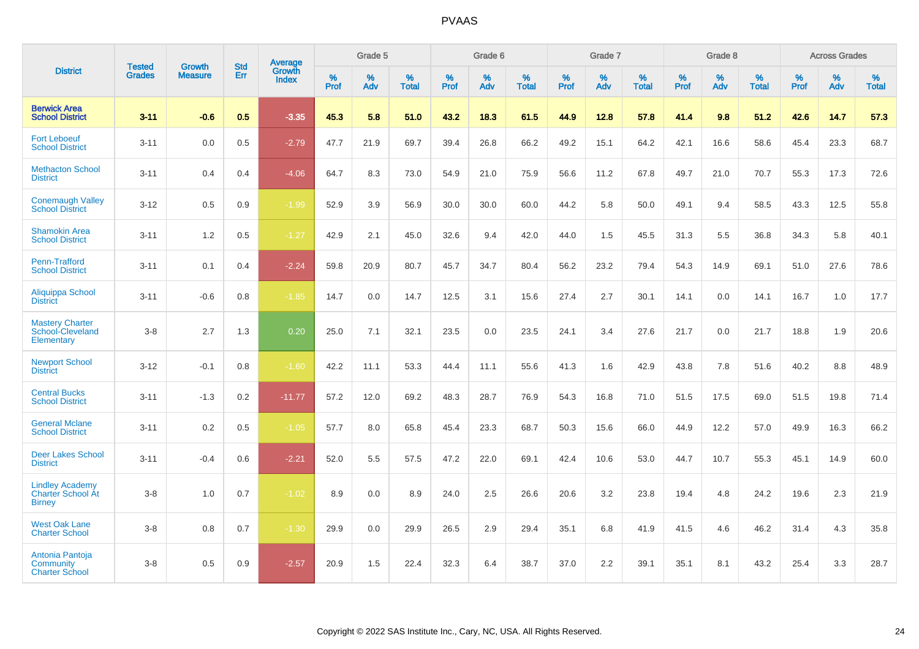|                                                                     |                                |                                 | <b>Std</b> | Average                |           | Grade 5  |                   |           | Grade 6  |                   |           | Grade 7  |                   |           | Grade 8  |                   |           | <b>Across Grades</b> |                   |
|---------------------------------------------------------------------|--------------------------------|---------------------------------|------------|------------------------|-----------|----------|-------------------|-----------|----------|-------------------|-----------|----------|-------------------|-----------|----------|-------------------|-----------|----------------------|-------------------|
| <b>District</b>                                                     | <b>Tested</b><br><b>Grades</b> | <b>Growth</b><br><b>Measure</b> | Err        | Growth<br><b>Index</b> | %<br>Prof | %<br>Adv | %<br><b>Total</b> | %<br>Prof | %<br>Adv | %<br><b>Total</b> | %<br>Prof | %<br>Adv | %<br><b>Total</b> | %<br>Prof | %<br>Adv | %<br><b>Total</b> | %<br>Prof | %<br>Adv             | %<br><b>Total</b> |
| <b>Berwick Area</b><br><b>School District</b>                       | $3 - 11$                       | $-0.6$                          | 0.5        | $-3.35$                | 45.3      | 5.8      | 51.0              | 43.2      | 18.3     | 61.5              | 44.9      | 12.8     | 57.8              | 41.4      | 9.8      | 51.2              | 42.6      | 14.7                 | 57.3              |
| <b>Fort Leboeuf</b><br><b>School District</b>                       | $3 - 11$                       | 0.0                             | 0.5        | $-2.79$                | 47.7      | 21.9     | 69.7              | 39.4      | 26.8     | 66.2              | 49.2      | 15.1     | 64.2              | 42.1      | 16.6     | 58.6              | 45.4      | 23.3                 | 68.7              |
| <b>Methacton School</b><br><b>District</b>                          | $3 - 11$                       | 0.4                             | 0.4        | $-4.06$                | 64.7      | 8.3      | 73.0              | 54.9      | 21.0     | 75.9              | 56.6      | 11.2     | 67.8              | 49.7      | 21.0     | 70.7              | 55.3      | 17.3                 | 72.6              |
| <b>Conemaugh Valley</b><br><b>School District</b>                   | $3 - 12$                       | 0.5                             | 0.9        | $-1.99$                | 52.9      | 3.9      | 56.9              | 30.0      | 30.0     | 60.0              | 44.2      | 5.8      | 50.0              | 49.1      | 9.4      | 58.5              | 43.3      | 12.5                 | 55.8              |
| <b>Shamokin Area</b><br><b>School District</b>                      | $3 - 11$                       | 1.2                             | 0.5        | $-1.27$                | 42.9      | 2.1      | 45.0              | 32.6      | 9.4      | 42.0              | 44.0      | 1.5      | 45.5              | 31.3      | 5.5      | 36.8              | 34.3      | 5.8                  | 40.1              |
| Penn-Trafford<br><b>School District</b>                             | $3 - 11$                       | 0.1                             | 0.4        | $-2.24$                | 59.8      | 20.9     | 80.7              | 45.7      | 34.7     | 80.4              | 56.2      | 23.2     | 79.4              | 54.3      | 14.9     | 69.1              | 51.0      | 27.6                 | 78.6              |
| Aliquippa School<br><b>District</b>                                 | $3 - 11$                       | $-0.6$                          | 0.8        | $-1.85$                | 14.7      | 0.0      | 14.7              | 12.5      | 3.1      | 15.6              | 27.4      | 2.7      | 30.1              | 14.1      | 0.0      | 14.1              | 16.7      | 1.0                  | 17.7              |
| <b>Mastery Charter</b><br>School-Cleveland<br>Elementary            | $3 - 8$                        | 2.7                             | 1.3        | 0.20                   | 25.0      | 7.1      | 32.1              | 23.5      | 0.0      | 23.5              | 24.1      | 3.4      | 27.6              | 21.7      | 0.0      | 21.7              | 18.8      | 1.9                  | 20.6              |
| <b>Newport School</b><br><b>District</b>                            | $3 - 12$                       | $-0.1$                          | 0.8        | $-1.60$                | 42.2      | 11.1     | 53.3              | 44.4      | 11.1     | 55.6              | 41.3      | 1.6      | 42.9              | 43.8      | 7.8      | 51.6              | 40.2      | 8.8                  | 48.9              |
| <b>Central Bucks</b><br><b>School District</b>                      | $3 - 11$                       | $-1.3$                          | 0.2        | $-11.77$               | 57.2      | 12.0     | 69.2              | 48.3      | 28.7     | 76.9              | 54.3      | 16.8     | 71.0              | 51.5      | 17.5     | 69.0              | 51.5      | 19.8                 | 71.4              |
| <b>General Mclane</b><br><b>School District</b>                     | $3 - 11$                       | 0.2                             | 0.5        | $-1.05$                | 57.7      | 8.0      | 65.8              | 45.4      | 23.3     | 68.7              | 50.3      | 15.6     | 66.0              | 44.9      | 12.2     | 57.0              | 49.9      | 16.3                 | 66.2              |
| <b>Deer Lakes School</b><br><b>District</b>                         | $3 - 11$                       | $-0.4$                          | 0.6        | $-2.21$                | 52.0      | 5.5      | 57.5              | 47.2      | 22.0     | 69.1              | 42.4      | 10.6     | 53.0              | 44.7      | 10.7     | 55.3              | 45.1      | 14.9                 | 60.0              |
| <b>Lindley Academy</b><br><b>Charter School At</b><br><b>Birney</b> | $3 - 8$                        | 1.0                             | 0.7        | $-1.02$                | 8.9       | 0.0      | 8.9               | 24.0      | 2.5      | 26.6              | 20.6      | 3.2      | 23.8              | 19.4      | 4.8      | 24.2              | 19.6      | 2.3                  | 21.9              |
| <b>West Oak Lane</b><br><b>Charter School</b>                       | $3 - 8$                        | 0.8                             | 0.7        | $-1.30$                | 29.9      | 0.0      | 29.9              | 26.5      | 2.9      | 29.4              | 35.1      | 6.8      | 41.9              | 41.5      | 4.6      | 46.2              | 31.4      | 4.3                  | 35.8              |
| Antonia Pantoja<br>Community<br><b>Charter School</b>               | $3 - 8$                        | 0.5                             | 0.9        | $-2.57$                | 20.9      | 1.5      | 22.4              | 32.3      | 6.4      | 38.7              | 37.0      | 2.2      | 39.1              | 35.1      | 8.1      | 43.2              | 25.4      | 3.3                  | 28.7              |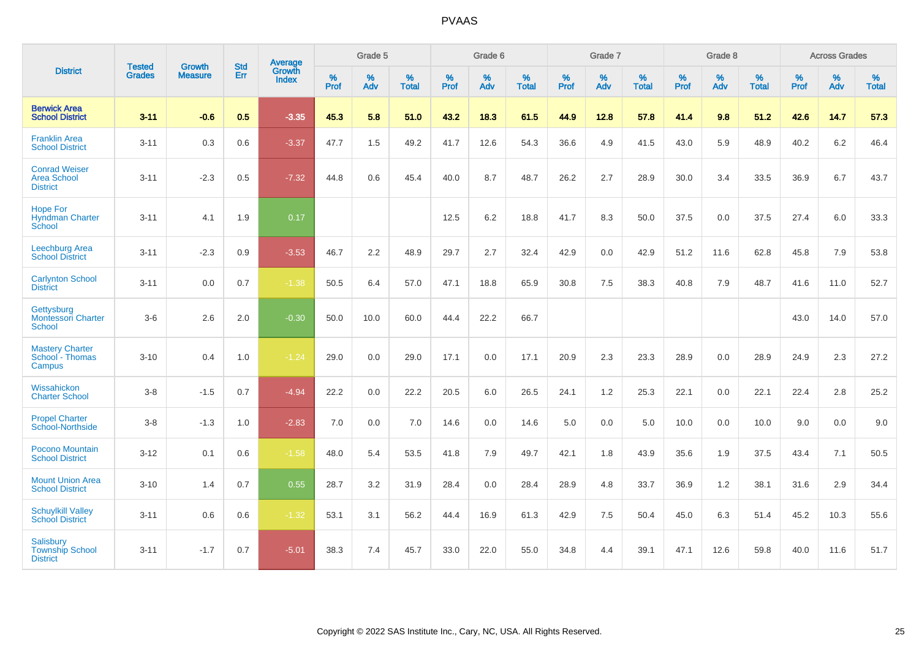|                                                               | <b>Tested</b> | <b>Growth</b>  | <b>Std</b> | Average                |              | Grade 5  |                   |                     | Grade 6  |                   |              | Grade 7  |                   |                     | Grade 8  |                   |                     | <b>Across Grades</b> |                   |
|---------------------------------------------------------------|---------------|----------------|------------|------------------------|--------------|----------|-------------------|---------------------|----------|-------------------|--------------|----------|-------------------|---------------------|----------|-------------------|---------------------|----------------------|-------------------|
| <b>District</b>                                               | <b>Grades</b> | <b>Measure</b> | Err        | Growth<br><b>Index</b> | $\%$<br>Prof | %<br>Adv | %<br><b>Total</b> | $\%$<br><b>Prof</b> | %<br>Adv | %<br><b>Total</b> | $\%$<br>Prof | %<br>Adv | %<br><b>Total</b> | $\%$<br><b>Prof</b> | %<br>Adv | %<br><b>Total</b> | $\%$<br><b>Prof</b> | $\%$<br>Adv          | %<br><b>Total</b> |
| <b>Berwick Area</b><br><b>School District</b>                 | $3 - 11$      | $-0.6$         | 0.5        | $-3.35$                | 45.3         | 5.8      | 51.0              | 43.2                | 18.3     | 61.5              | 44.9         | 12.8     | 57.8              | 41.4                | 9.8      | 51.2              | 42.6                | 14.7                 | 57.3              |
| <b>Franklin Area</b><br><b>School District</b>                | $3 - 11$      | 0.3            | 0.6        | $-3.37$                | 47.7         | 1.5      | 49.2              | 41.7                | 12.6     | 54.3              | 36.6         | 4.9      | 41.5              | 43.0                | 5.9      | 48.9              | 40.2                | 6.2                  | 46.4              |
| <b>Conrad Weiser</b><br><b>Area School</b><br><b>District</b> | $3 - 11$      | $-2.3$         | 0.5        | $-7.32$                | 44.8         | 0.6      | 45.4              | 40.0                | 8.7      | 48.7              | 26.2         | 2.7      | 28.9              | 30.0                | 3.4      | 33.5              | 36.9                | 6.7                  | 43.7              |
| <b>Hope For</b><br><b>Hyndman Charter</b><br>School           | $3 - 11$      | 4.1            | 1.9        | 0.17                   |              |          |                   | 12.5                | 6.2      | 18.8              | 41.7         | 8.3      | 50.0              | 37.5                | 0.0      | 37.5              | 27.4                | 6.0                  | 33.3              |
| <b>Leechburg Area</b><br><b>School District</b>               | $3 - 11$      | $-2.3$         | 0.9        | $-3.53$                | 46.7         | 2.2      | 48.9              | 29.7                | 2.7      | 32.4              | 42.9         | 0.0      | 42.9              | 51.2                | 11.6     | 62.8              | 45.8                | 7.9                  | 53.8              |
| <b>Carlynton School</b><br><b>District</b>                    | $3 - 11$      | 0.0            | 0.7        | $-1.38$                | 50.5         | 6.4      | 57.0              | 47.1                | 18.8     | 65.9              | 30.8         | 7.5      | 38.3              | 40.8                | 7.9      | 48.7              | 41.6                | 11.0                 | 52.7              |
| Gettysburg<br><b>Montessori Charter</b><br><b>School</b>      | $3-6$         | 2.6            | 2.0        | $-0.30$                | 50.0         | 10.0     | 60.0              | 44.4                | 22.2     | 66.7              |              |          |                   |                     |          |                   | 43.0                | 14.0                 | 57.0              |
| <b>Mastery Charter</b><br>School - Thomas<br>Campus           | $3 - 10$      | 0.4            | 1.0        | $-1.24$                | 29.0         | 0.0      | 29.0              | 17.1                | 0.0      | 17.1              | 20.9         | 2.3      | 23.3              | 28.9                | 0.0      | 28.9              | 24.9                | 2.3                  | 27.2              |
| Wissahickon<br><b>Charter School</b>                          | $3 - 8$       | $-1.5$         | 0.7        | $-4.94$                | 22.2         | 0.0      | 22.2              | 20.5                | 6.0      | 26.5              | 24.1         | 1.2      | 25.3              | 22.1                | 0.0      | 22.1              | 22.4                | 2.8                  | 25.2              |
| <b>Propel Charter</b><br>School-Northside                     | $3-8$         | $-1.3$         | 1.0        | $-2.83$                | 7.0          | 0.0      | 7.0               | 14.6                | 0.0      | 14.6              | 5.0          | 0.0      | 5.0               | 10.0                | 0.0      | 10.0              | 9.0                 | 0.0                  | 9.0               |
| Pocono Mountain<br><b>School District</b>                     | $3 - 12$      | 0.1            | 0.6        | $-1.58$                | 48.0         | 5.4      | 53.5              | 41.8                | 7.9      | 49.7              | 42.1         | 1.8      | 43.9              | 35.6                | 1.9      | 37.5              | 43.4                | 7.1                  | 50.5              |
| <b>Mount Union Area</b><br><b>School District</b>             | $3 - 10$      | 1.4            | 0.7        | 0.55                   | 28.7         | 3.2      | 31.9              | 28.4                | 0.0      | 28.4              | 28.9         | 4.8      | 33.7              | 36.9                | 1.2      | 38.1              | 31.6                | 2.9                  | 34.4              |
| <b>Schuylkill Valley</b><br><b>School District</b>            | $3 - 11$      | 0.6            | 0.6        | $-1.32$                | 53.1         | 3.1      | 56.2              | 44.4                | 16.9     | 61.3              | 42.9         | 7.5      | 50.4              | 45.0                | 6.3      | 51.4              | 45.2                | 10.3                 | 55.6              |
| <b>Salisbury</b><br><b>Township School</b><br><b>District</b> | $3 - 11$      | $-1.7$         | 0.7        | $-5.01$                | 38.3         | 7.4      | 45.7              | 33.0                | 22.0     | 55.0              | 34.8         | 4.4      | 39.1              | 47.1                | 12.6     | 59.8              | 40.0                | 11.6                 | 51.7              |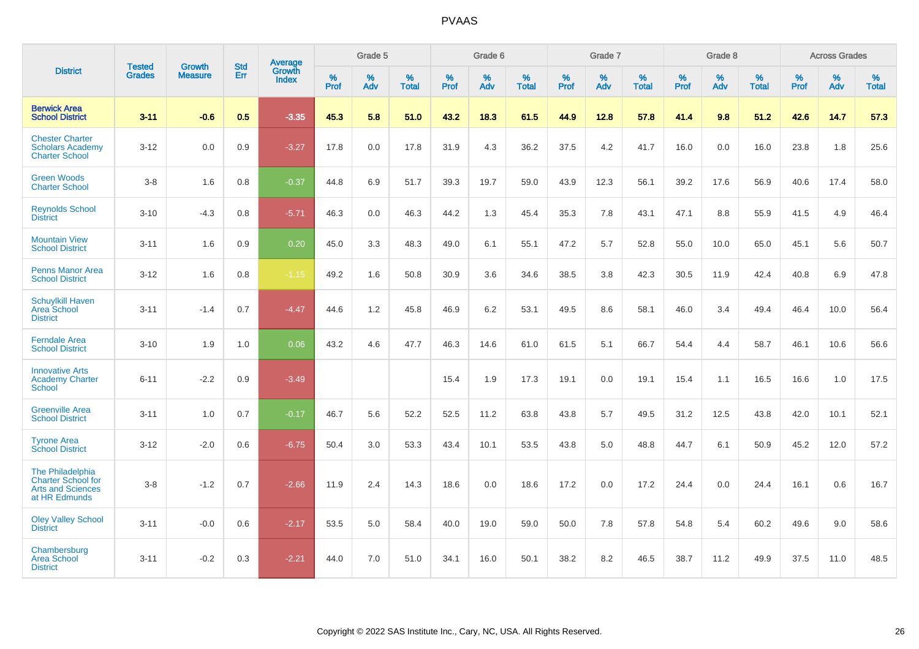|                                                                                     | <b>Tested</b> | <b>Growth</b>  | <b>Std</b> | Average                |           | Grade 5  |                   |           | Grade 6  |                   |           | Grade 7  |                   |           | Grade 8  |                   |           | <b>Across Grades</b> |                   |
|-------------------------------------------------------------------------------------|---------------|----------------|------------|------------------------|-----------|----------|-------------------|-----------|----------|-------------------|-----------|----------|-------------------|-----------|----------|-------------------|-----------|----------------------|-------------------|
| <b>District</b>                                                                     | <b>Grades</b> | <b>Measure</b> | Err        | Growth<br><b>Index</b> | %<br>Prof | %<br>Adv | %<br><b>Total</b> | %<br>Prof | %<br>Adv | %<br><b>Total</b> | %<br>Prof | %<br>Adv | %<br><b>Total</b> | %<br>Prof | %<br>Adv | %<br><b>Total</b> | %<br>Prof | %<br>Adv             | %<br><b>Total</b> |
| <b>Berwick Area</b><br><b>School District</b>                                       | $3 - 11$      | $-0.6$         | 0.5        | $-3.35$                | 45.3      | 5.8      | 51.0              | 43.2      | 18.3     | 61.5              | 44.9      | 12.8     | 57.8              | 41.4      | 9.8      | 51.2              | 42.6      | 14.7                 | 57.3              |
| <b>Chester Charter</b><br><b>Scholars Academy</b><br><b>Charter School</b>          | $3 - 12$      | 0.0            | 0.9        | $-3.27$                | 17.8      | 0.0      | 17.8              | 31.9      | 4.3      | 36.2              | 37.5      | 4.2      | 41.7              | 16.0      | 0.0      | 16.0              | 23.8      | 1.8                  | 25.6              |
| <b>Green Woods</b><br><b>Charter School</b>                                         | $3 - 8$       | 1.6            | 0.8        | $-0.37$                | 44.8      | 6.9      | 51.7              | 39.3      | 19.7     | 59.0              | 43.9      | 12.3     | 56.1              | 39.2      | 17.6     | 56.9              | 40.6      | 17.4                 | 58.0              |
| <b>Reynolds School</b><br><b>District</b>                                           | $3 - 10$      | $-4.3$         | 0.8        | $-5.71$                | 46.3      | 0.0      | 46.3              | 44.2      | 1.3      | 45.4              | 35.3      | 7.8      | 43.1              | 47.1      | 8.8      | 55.9              | 41.5      | 4.9                  | 46.4              |
| <b>Mountain View</b><br><b>School District</b>                                      | $3 - 11$      | 1.6            | 0.9        | 0.20                   | 45.0      | 3.3      | 48.3              | 49.0      | 6.1      | 55.1              | 47.2      | 5.7      | 52.8              | 55.0      | 10.0     | 65.0              | 45.1      | 5.6                  | 50.7              |
| <b>Penns Manor Area</b><br><b>School District</b>                                   | $3 - 12$      | 1.6            | 0.8        | $-1.15$                | 49.2      | 1.6      | 50.8              | 30.9      | 3.6      | 34.6              | 38.5      | 3.8      | 42.3              | 30.5      | 11.9     | 42.4              | 40.8      | 6.9                  | 47.8              |
| <b>Schuylkill Haven</b><br><b>Area School</b><br><b>District</b>                    | $3 - 11$      | $-1.4$         | 0.7        | $-4.47$                | 44.6      | 1.2      | 45.8              | 46.9      | 6.2      | 53.1              | 49.5      | 8.6      | 58.1              | 46.0      | 3.4      | 49.4              | 46.4      | 10.0                 | 56.4              |
| <b>Ferndale Area</b><br><b>School District</b>                                      | $3 - 10$      | 1.9            | 1.0        | 0.06                   | 43.2      | 4.6      | 47.7              | 46.3      | 14.6     | 61.0              | 61.5      | 5.1      | 66.7              | 54.4      | 4.4      | 58.7              | 46.1      | 10.6                 | 56.6              |
| <b>Innovative Arts</b><br><b>Academy Charter</b><br>School                          | $6 - 11$      | $-2.2$         | 0.9        | $-3.49$                |           |          |                   | 15.4      | 1.9      | 17.3              | 19.1      | 0.0      | 19.1              | 15.4      | 1.1      | 16.5              | 16.6      | 1.0                  | 17.5              |
| <b>Greenville Area</b><br><b>School District</b>                                    | $3 - 11$      | 1.0            | 0.7        | $-0.17$                | 46.7      | 5.6      | 52.2              | 52.5      | 11.2     | 63.8              | 43.8      | 5.7      | 49.5              | 31.2      | 12.5     | 43.8              | 42.0      | 10.1                 | 52.1              |
| <b>Tyrone Area</b><br><b>School District</b>                                        | $3 - 12$      | $-2.0$         | 0.6        | $-6.75$                | 50.4      | 3.0      | 53.3              | 43.4      | 10.1     | 53.5              | 43.8      | 5.0      | 48.8              | 44.7      | 6.1      | 50.9              | 45.2      | 12.0                 | 57.2              |
| The Philadelphia<br>Charter School for<br><b>Arts and Sciences</b><br>at HR Edmunds | $3 - 8$       | $-1.2$         | 0.7        | $-2.66$                | 11.9      | 2.4      | 14.3              | 18.6      | 0.0      | 18.6              | 17.2      | 0.0      | 17.2              | 24.4      | 0.0      | 24.4              | 16.1      | 0.6                  | 16.7              |
| <b>Oley Valley School</b><br><b>District</b>                                        | $3 - 11$      | $-0.0$         | 0.6        | $-2.17$                | 53.5      | 5.0      | 58.4              | 40.0      | 19.0     | 59.0              | 50.0      | 7.8      | 57.8              | 54.8      | 5.4      | 60.2              | 49.6      | 9.0                  | 58.6              |
| Chambersburg<br><b>Area School</b><br><b>District</b>                               | $3 - 11$      | $-0.2$         | 0.3        | $-2.21$                | 44.0      | 7.0      | 51.0              | 34.1      | 16.0     | 50.1              | 38.2      | 8.2      | 46.5              | 38.7      | 11.2     | 49.9              | 37.5      | 11.0                 | 48.5              |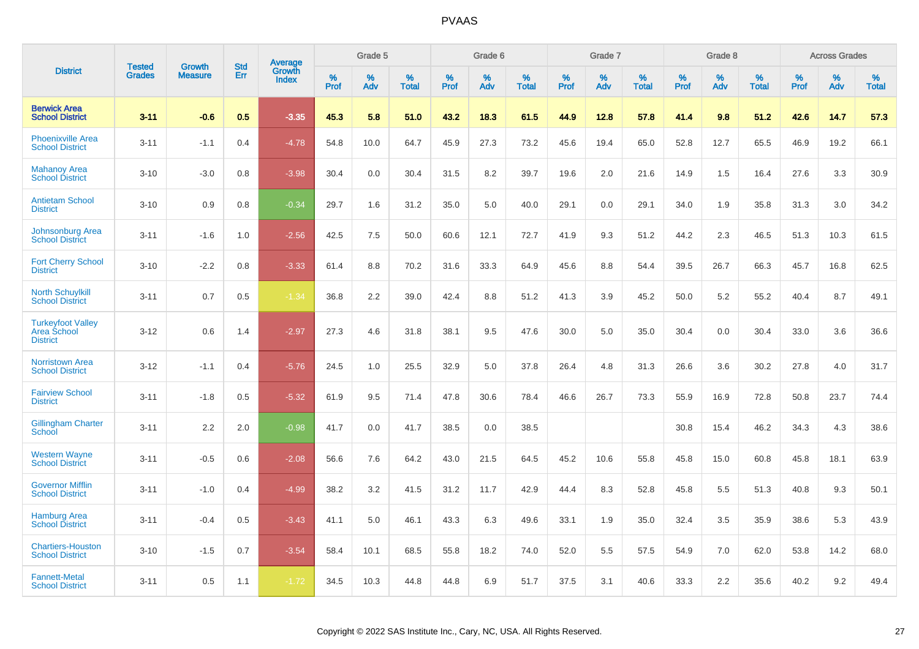|                                                            |                         |                                 | <b>Std</b> | Average                |              | Grade 5     |                      |              | Grade 6     |                      |              | Grade 7     |                      |              | Grade 8     |                      |                     | <b>Across Grades</b> |                      |
|------------------------------------------------------------|-------------------------|---------------------------------|------------|------------------------|--------------|-------------|----------------------|--------------|-------------|----------------------|--------------|-------------|----------------------|--------------|-------------|----------------------|---------------------|----------------------|----------------------|
| <b>District</b>                                            | Tested<br><b>Grades</b> | <b>Growth</b><br><b>Measure</b> | Err        | Growth<br><b>Index</b> | $\%$<br>Prof | $\%$<br>Adv | $\%$<br><b>Total</b> | $\%$<br>Prof | $\%$<br>Adv | $\%$<br><b>Total</b> | $\%$<br>Prof | $\%$<br>Adv | $\%$<br><b>Total</b> | $\%$<br>Prof | $\%$<br>Adv | $\%$<br><b>Total</b> | $\%$<br><b>Prof</b> | $\%$<br>Adv          | $\%$<br><b>Total</b> |
| <b>Berwick Area</b><br><b>School District</b>              | $3 - 11$                | $-0.6$                          | 0.5        | $-3.35$                | 45.3         | 5.8         | 51.0                 | 43.2         | 18.3        | 61.5                 | 44.9         | 12.8        | 57.8                 | 41.4         | 9.8         | 51.2                 | 42.6                | 14.7                 | 57.3                 |
| <b>Phoenixville Area</b><br><b>School District</b>         | $3 - 11$                | $-1.1$                          | 0.4        | $-4.78$                | 54.8         | 10.0        | 64.7                 | 45.9         | 27.3        | 73.2                 | 45.6         | 19.4        | 65.0                 | 52.8         | 12.7        | 65.5                 | 46.9                | 19.2                 | 66.1                 |
| <b>Mahanoy Area</b><br><b>School District</b>              | $3 - 10$                | $-3.0$                          | 0.8        | $-3.98$                | 30.4         | 0.0         | 30.4                 | 31.5         | 8.2         | 39.7                 | 19.6         | 2.0         | 21.6                 | 14.9         | 1.5         | 16.4                 | 27.6                | 3.3                  | 30.9                 |
| <b>Antietam School</b><br><b>District</b>                  | $3 - 10$                | 0.9                             | 0.8        | $-0.34$                | 29.7         | 1.6         | 31.2                 | 35.0         | 5.0         | 40.0                 | 29.1         | 0.0         | 29.1                 | 34.0         | 1.9         | 35.8                 | 31.3                | 3.0                  | 34.2                 |
| <b>Johnsonburg Area</b><br><b>School District</b>          | $3 - 11$                | $-1.6$                          | 1.0        | $-2.56$                | 42.5         | 7.5         | 50.0                 | 60.6         | 12.1        | 72.7                 | 41.9         | 9.3         | 51.2                 | 44.2         | 2.3         | 46.5                 | 51.3                | 10.3                 | 61.5                 |
| <b>Fort Cherry School</b><br><b>District</b>               | $3 - 10$                | $-2.2$                          | 0.8        | $-3.33$                | 61.4         | 8.8         | 70.2                 | 31.6         | 33.3        | 64.9                 | 45.6         | 8.8         | 54.4                 | 39.5         | 26.7        | 66.3                 | 45.7                | 16.8                 | 62.5                 |
| <b>North Schuylkill</b><br><b>School District</b>          | $3 - 11$                | 0.7                             | 0.5        | $-1.34$                | 36.8         | 2.2         | 39.0                 | 42.4         | 8.8         | 51.2                 | 41.3         | 3.9         | 45.2                 | 50.0         | $5.2\,$     | 55.2                 | 40.4                | 8.7                  | 49.1                 |
| <b>Turkeyfoot Valley</b><br>Area School<br><b>District</b> | $3 - 12$                | 0.6                             | 1.4        | $-2.97$                | 27.3         | 4.6         | 31.8                 | 38.1         | 9.5         | 47.6                 | 30.0         | 5.0         | 35.0                 | 30.4         | 0.0         | 30.4                 | 33.0                | 3.6                  | 36.6                 |
| <b>Norristown Area</b><br><b>School District</b>           | $3 - 12$                | $-1.1$                          | 0.4        | $-5.76$                | 24.5         | 1.0         | 25.5                 | 32.9         | 5.0         | 37.8                 | 26.4         | 4.8         | 31.3                 | 26.6         | 3.6         | 30.2                 | 27.8                | 4.0                  | 31.7                 |
| <b>Fairview School</b><br><b>District</b>                  | $3 - 11$                | $-1.8$                          | 0.5        | $-5.32$                | 61.9         | 9.5         | 71.4                 | 47.8         | 30.6        | 78.4                 | 46.6         | 26.7        | 73.3                 | 55.9         | 16.9        | 72.8                 | 50.8                | 23.7                 | 74.4                 |
| <b>Gillingham Charter</b><br>School                        | $3 - 11$                | 2.2                             | 2.0        | $-0.98$                | 41.7         | 0.0         | 41.7                 | 38.5         | 0.0         | 38.5                 |              |             |                      | 30.8         | 15.4        | 46.2                 | 34.3                | 4.3                  | 38.6                 |
| <b>Western Wayne</b><br><b>School District</b>             | $3 - 11$                | $-0.5$                          | 0.6        | $-2.08$                | 56.6         | 7.6         | 64.2                 | 43.0         | 21.5        | 64.5                 | 45.2         | 10.6        | 55.8                 | 45.8         | 15.0        | 60.8                 | 45.8                | 18.1                 | 63.9                 |
| <b>Governor Mifflin</b><br><b>School District</b>          | $3 - 11$                | $-1.0$                          | 0.4        | $-4.99$                | 38.2         | 3.2         | 41.5                 | 31.2         | 11.7        | 42.9                 | 44.4         | 8.3         | 52.8                 | 45.8         | 5.5         | 51.3                 | 40.8                | 9.3                  | 50.1                 |
| <b>Hamburg Area</b><br><b>School District</b>              | $3 - 11$                | $-0.4$                          | 0.5        | $-3.43$                | 41.1         | 5.0         | 46.1                 | 43.3         | 6.3         | 49.6                 | 33.1         | 1.9         | 35.0                 | 32.4         | 3.5         | 35.9                 | 38.6                | 5.3                  | 43.9                 |
| <b>Chartiers-Houston</b><br><b>School District</b>         | $3 - 10$                | $-1.5$                          | 0.7        | $-3.54$                | 58.4         | 10.1        | 68.5                 | 55.8         | 18.2        | 74.0                 | 52.0         | 5.5         | 57.5                 | 54.9         | 7.0         | 62.0                 | 53.8                | 14.2                 | 68.0                 |
| <b>Fannett-Metal</b><br><b>School District</b>             | $3 - 11$                | 0.5                             | 1.1        | $-1.72$                | 34.5         | 10.3        | 44.8                 | 44.8         | 6.9         | 51.7                 | 37.5         | 3.1         | 40.6                 | 33.3         | 2.2         | 35.6                 | 40.2                | 9.2                  | 49.4                 |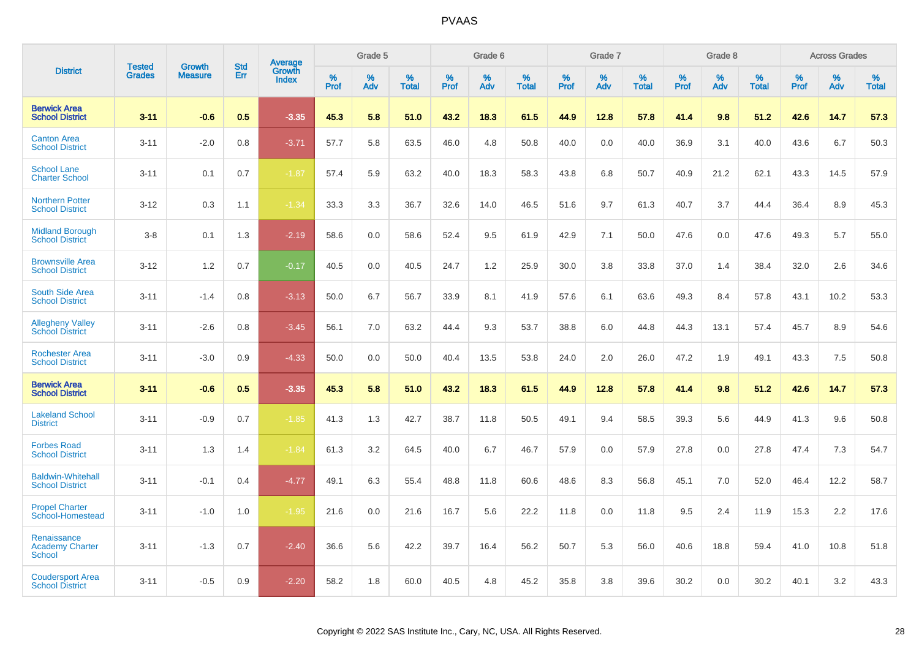|                                                        |                                | <b>Growth</b>  | <b>Std</b> | Average                |              | Grade 5     |                      |                     | Grade 6  |                   |              | Grade 7     |                   |              | Grade 8  |                   |                     | <b>Across Grades</b> |                      |
|--------------------------------------------------------|--------------------------------|----------------|------------|------------------------|--------------|-------------|----------------------|---------------------|----------|-------------------|--------------|-------------|-------------------|--------------|----------|-------------------|---------------------|----------------------|----------------------|
| <b>District</b>                                        | <b>Tested</b><br><b>Grades</b> | <b>Measure</b> | Err        | Growth<br><b>Index</b> | $\%$<br>Prof | $\%$<br>Adv | $\%$<br><b>Total</b> | $\%$<br><b>Prof</b> | %<br>Adv | %<br><b>Total</b> | $\%$<br>Prof | $\%$<br>Adv | %<br><b>Total</b> | $\%$<br>Prof | %<br>Adv | %<br><b>Total</b> | $\%$<br><b>Prof</b> | $\%$<br>Adv          | $\%$<br><b>Total</b> |
| <b>Berwick Area</b><br><b>School District</b>          | $3 - 11$                       | $-0.6$         | 0.5        | $-3.35$                | 45.3         | 5.8         | 51.0                 | 43.2                | 18.3     | 61.5              | 44.9         | 12.8        | 57.8              | 41.4         | 9.8      | 51.2              | 42.6                | 14.7                 | 57.3                 |
| <b>Canton Area</b><br><b>School District</b>           | $3 - 11$                       | $-2.0$         | 0.8        | $-3.71$                | 57.7         | 5.8         | 63.5                 | 46.0                | 4.8      | 50.8              | 40.0         | 0.0         | 40.0              | 36.9         | 3.1      | 40.0              | 43.6                | 6.7                  | 50.3                 |
| <b>School Lane</b><br><b>Charter School</b>            | $3 - 11$                       | 0.1            | 0.7        | $-1.87$                | 57.4         | 5.9         | 63.2                 | 40.0                | 18.3     | 58.3              | 43.8         | 6.8         | 50.7              | 40.9         | 21.2     | 62.1              | 43.3                | 14.5                 | 57.9                 |
| <b>Northern Potter</b><br><b>School District</b>       | $3 - 12$                       | 0.3            | 1.1        | $-1.34$                | 33.3         | 3.3         | 36.7                 | 32.6                | 14.0     | 46.5              | 51.6         | 9.7         | 61.3              | 40.7         | 3.7      | 44.4              | 36.4                | 8.9                  | 45.3                 |
| <b>Midland Borough</b><br><b>School District</b>       | $3-8$                          | 0.1            | 1.3        | $-2.19$                | 58.6         | 0.0         | 58.6                 | 52.4                | 9.5      | 61.9              | 42.9         | 7.1         | 50.0              | 47.6         | 0.0      | 47.6              | 49.3                | 5.7                  | 55.0                 |
| <b>Brownsville Area</b><br><b>School District</b>      | $3 - 12$                       | 1.2            | 0.7        | $-0.17$                | 40.5         | 0.0         | 40.5                 | 24.7                | 1.2      | 25.9              | 30.0         | 3.8         | 33.8              | 37.0         | 1.4      | 38.4              | 32.0                | 2.6                  | 34.6                 |
| <b>South Side Area</b><br><b>School District</b>       | $3 - 11$                       | $-1.4$         | 0.8        | $-3.13$                | 50.0         | 6.7         | 56.7                 | 33.9                | 8.1      | 41.9              | 57.6         | 6.1         | 63.6              | 49.3         | 8.4      | 57.8              | 43.1                | 10.2                 | 53.3                 |
| <b>Allegheny Valley</b><br><b>School District</b>      | $3 - 11$                       | $-2.6$         | 0.8        | $-3.45$                | 56.1         | 7.0         | 63.2                 | 44.4                | 9.3      | 53.7              | 38.8         | 6.0         | 44.8              | 44.3         | 13.1     | 57.4              | 45.7                | 8.9                  | 54.6                 |
| <b>Rochester Area</b><br><b>School District</b>        | $3 - 11$                       | $-3.0$         | 0.9        | $-4.33$                | 50.0         | 0.0         | 50.0                 | 40.4                | 13.5     | 53.8              | 24.0         | 2.0         | 26.0              | 47.2         | 1.9      | 49.1              | 43.3                | 7.5                  | 50.8                 |
| <b>Berwick Area</b><br><b>School District</b>          | $3 - 11$                       | $-0.6$         | 0.5        | $-3.35$                | 45.3         | 5.8         | 51.0                 | 43.2                | 18.3     | 61.5              | 44.9         | 12.8        | 57.8              | 41.4         | 9.8      | 51.2              | 42.6                | 14.7                 | 57.3                 |
| <b>Lakeland School</b><br><b>District</b>              | $3 - 11$                       | $-0.9$         | 0.7        | $-1.85$                | 41.3         | 1.3         | 42.7                 | 38.7                | 11.8     | 50.5              | 49.1         | 9.4         | 58.5              | 39.3         | 5.6      | 44.9              | 41.3                | 9.6                  | 50.8                 |
| <b>Forbes Road</b><br><b>School District</b>           | $3 - 11$                       | 1.3            | 1.4        | $-1.84$                | 61.3         | 3.2         | 64.5                 | 40.0                | 6.7      | 46.7              | 57.9         | 0.0         | 57.9              | 27.8         | 0.0      | 27.8              | 47.4                | 7.3                  | 54.7                 |
| <b>Baldwin-Whitehall</b><br><b>School District</b>     | $3 - 11$                       | $-0.1$         | 0.4        | $-4.77$                | 49.1         | 6.3         | 55.4                 | 48.8                | 11.8     | 60.6              | 48.6         | 8.3         | 56.8              | 45.1         | 7.0      | 52.0              | 46.4                | 12.2                 | 58.7                 |
| <b>Propel Charter</b><br>School-Homestead              | $3 - 11$                       | $-1.0$         | 1.0        | $-1.95$                | 21.6         | 0.0         | 21.6                 | 16.7                | 5.6      | 22.2              | 11.8         | 0.0         | 11.8              | 9.5          | 2.4      | 11.9              | 15.3                | 2.2                  | 17.6                 |
| Renaissance<br><b>Academy Charter</b><br><b>School</b> | $3 - 11$                       | $-1.3$         | 0.7        | $-2.40$                | 36.6         | 5.6         | 42.2                 | 39.7                | 16.4     | 56.2              | 50.7         | 5.3         | 56.0              | 40.6         | 18.8     | 59.4              | 41.0                | 10.8                 | 51.8                 |
| <b>Coudersport Area</b><br><b>School District</b>      | $3 - 11$                       | $-0.5$         | 0.9        | $-2.20$                | 58.2         | 1.8         | 60.0                 | 40.5                | 4.8      | 45.2              | 35.8         | 3.8         | 39.6              | 30.2         | 0.0      | 30.2              | 40.1                | 3.2                  | 43.3                 |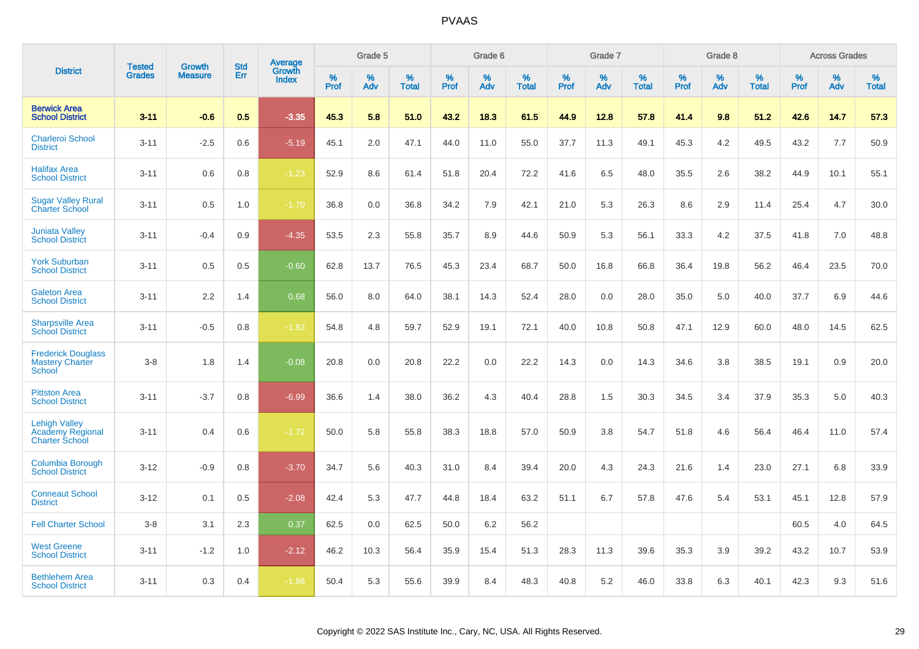|                                                                   |                                |                          | <b>Std</b> | Average         |                     | Grade 5  |                      |              | Grade 6     |                      |              | Grade 7  |                      |              | Grade 8     |                      |              | <b>Across Grades</b> |                      |
|-------------------------------------------------------------------|--------------------------------|--------------------------|------------|-----------------|---------------------|----------|----------------------|--------------|-------------|----------------------|--------------|----------|----------------------|--------------|-------------|----------------------|--------------|----------------------|----------------------|
| <b>District</b>                                                   | <b>Tested</b><br><b>Grades</b> | Growth<br><b>Measure</b> | Err        | Growth<br>Index | $\%$<br><b>Prof</b> | %<br>Adv | $\%$<br><b>Total</b> | $\%$<br>Prof | $\%$<br>Adv | $\%$<br><b>Total</b> | $\%$<br>Prof | %<br>Adv | $\%$<br><b>Total</b> | $\%$<br>Prof | $\%$<br>Adv | $\%$<br><b>Total</b> | $\%$<br>Prof | $\%$<br>Adv          | $\%$<br><b>Total</b> |
| <b>Berwick Area</b><br><b>School District</b>                     | $3 - 11$                       | $-0.6$                   | 0.5        | $-3.35$         | 45.3                | 5.8      | 51.0                 | 43.2         | 18.3        | 61.5                 | 44.9         | 12.8     | 57.8                 | 41.4         | 9.8         | 51.2                 | 42.6         | 14.7                 | 57.3                 |
| <b>Charleroi School</b><br><b>District</b>                        | $3 - 11$                       | $-2.5$                   | 0.6        | $-5.19$         | 45.1                | 2.0      | 47.1                 | 44.0         | 11.0        | 55.0                 | 37.7         | 11.3     | 49.1                 | 45.3         | 4.2         | 49.5                 | 43.2         | 7.7                  | 50.9                 |
| <b>Halifax Area</b><br><b>School District</b>                     | $3 - 11$                       | 0.6                      | 0.8        | $-1.23$         | 52.9                | 8.6      | 61.4                 | 51.8         | 20.4        | 72.2                 | 41.6         | 6.5      | 48.0                 | 35.5         | 2.6         | 38.2                 | 44.9         | 10.1                 | 55.1                 |
| <b>Sugar Valley Rural</b><br><b>Charter School</b>                | $3 - 11$                       | 0.5                      | 1.0        | $-1.70$         | 36.8                | 0.0      | 36.8                 | 34.2         | 7.9         | 42.1                 | 21.0         | 5.3      | 26.3                 | 8.6          | 2.9         | 11.4                 | 25.4         | 4.7                  | 30.0                 |
| <b>Juniata Valley</b><br><b>School District</b>                   | $3 - 11$                       | $-0.4$                   | 0.9        | $-4.35$         | 53.5                | 2.3      | 55.8                 | 35.7         | 8.9         | 44.6                 | 50.9         | 5.3      | 56.1                 | 33.3         | 4.2         | 37.5                 | 41.8         | 7.0                  | 48.8                 |
| <b>York Suburban</b><br><b>School District</b>                    | $3 - 11$                       | 0.5                      | 0.5        | $-0.60$         | 62.8                | 13.7     | 76.5                 | 45.3         | 23.4        | 68.7                 | 50.0         | 16.8     | 66.8                 | 36.4         | 19.8        | 56.2                 | 46.4         | 23.5                 | 70.0                 |
| <b>Galeton Area</b><br><b>School District</b>                     | $3 - 11$                       | 2.2                      | 1.4        | 0.68            | 56.0                | 8.0      | 64.0                 | 38.1         | 14.3        | 52.4                 | 28.0         | 0.0      | 28.0                 | 35.0         | 5.0         | 40.0                 | 37.7         | 6.9                  | 44.6                 |
| <b>Sharpsville Area</b><br><b>School District</b>                 | $3 - 11$                       | $-0.5$                   | 0.8        | $-1.83$         | 54.8                | 4.8      | 59.7                 | 52.9         | 19.1        | 72.1                 | 40.0         | 10.8     | 50.8                 | 47.1         | 12.9        | 60.0                 | 48.0         | 14.5                 | 62.5                 |
| <b>Frederick Douglass</b><br><b>Mastery Charter</b><br>School     | $3 - 8$                        | 1.8                      | 1.4        | $-0.08$         | 20.8                | 0.0      | 20.8                 | 22.2         | 0.0         | 22.2                 | 14.3         | 0.0      | 14.3                 | 34.6         | 3.8         | 38.5                 | 19.1         | 0.9                  | 20.0                 |
| <b>Pittston Area</b><br><b>School District</b>                    | $3 - 11$                       | $-3.7$                   | 0.8        | $-6.99$         | 36.6                | 1.4      | 38.0                 | 36.2         | 4.3         | 40.4                 | 28.8         | 1.5      | 30.3                 | 34.5         | 3.4         | 37.9                 | 35.3         | 5.0                  | 40.3                 |
| <b>Lehigh Valley</b><br>Academy Regional<br><b>Charter School</b> | $3 - 11$                       | 0.4                      | 0.6        | $-1.72$         | 50.0                | 5.8      | 55.8                 | 38.3         | 18.8        | 57.0                 | 50.9         | 3.8      | 54.7                 | 51.8         | 4.6         | 56.4                 | 46.4         | 11.0                 | 57.4                 |
| <b>Columbia Borough</b><br><b>School District</b>                 | $3 - 12$                       | $-0.9$                   | 0.8        | $-3.70$         | 34.7                | 5.6      | 40.3                 | 31.0         | 8.4         | 39.4                 | 20.0         | 4.3      | 24.3                 | 21.6         | 1.4         | 23.0                 | 27.1         | 6.8                  | 33.9                 |
| <b>Conneaut School</b><br><b>District</b>                         | $3 - 12$                       | 0.1                      | 0.5        | $-2.08$         | 42.4                | 5.3      | 47.7                 | 44.8         | 18.4        | 63.2                 | 51.1         | 6.7      | 57.8                 | 47.6         | 5.4         | 53.1                 | 45.1         | 12.8                 | 57.9                 |
| <b>Fell Charter School</b>                                        | $3 - 8$                        | 3.1                      | 2.3        | 0.37            | 62.5                | 0.0      | 62.5                 | 50.0         | 6.2         | 56.2                 |              |          |                      |              |             |                      | 60.5         | 4.0                  | 64.5                 |
| <b>West Greene</b><br><b>School District</b>                      | $3 - 11$                       | $-1.2$                   | 1.0        | $-2.12$         | 46.2                | 10.3     | 56.4                 | 35.9         | 15.4        | 51.3                 | 28.3         | 11.3     | 39.6                 | 35.3         | 3.9         | 39.2                 | 43.2         | 10.7                 | 53.9                 |
| <b>Bethlehem Area</b><br><b>School District</b>                   | $3 - 11$                       | 0.3                      | 0.4        | $-1.86$         | 50.4                | 5.3      | 55.6                 | 39.9         | 8.4         | 48.3                 | 40.8         | 5.2      | 46.0                 | 33.8         | 6.3         | 40.1                 | 42.3         | 9.3                  | 51.6                 |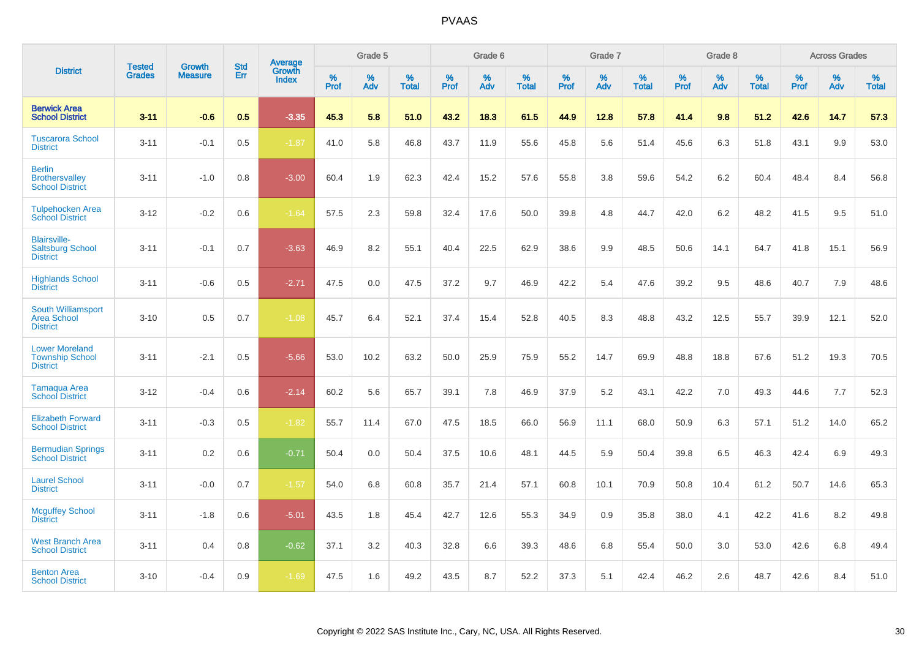|                                                                    |                                | <b>Growth</b>  | <b>Std</b> | Average                |              | Grade 5  |                   |           | Grade 6  |                   |           | Grade 7  |                   |           | Grade 8  |                   |              | <b>Across Grades</b> |                   |
|--------------------------------------------------------------------|--------------------------------|----------------|------------|------------------------|--------------|----------|-------------------|-----------|----------|-------------------|-----------|----------|-------------------|-----------|----------|-------------------|--------------|----------------------|-------------------|
| <b>District</b>                                                    | <b>Tested</b><br><b>Grades</b> | <b>Measure</b> | <b>Err</b> | Growth<br><b>Index</b> | $\%$<br>Prof | %<br>Adv | %<br><b>Total</b> | %<br>Prof | %<br>Adv | %<br><b>Total</b> | %<br>Prof | %<br>Adv | %<br><b>Total</b> | %<br>Prof | %<br>Adv | %<br><b>Total</b> | $\%$<br>Prof | %<br>Adv             | %<br><b>Total</b> |
| <b>Berwick Area</b><br><b>School District</b>                      | $3 - 11$                       | $-0.6$         | 0.5        | $-3.35$                | 45.3         | 5.8      | 51.0              | 43.2      | 18.3     | 61.5              | 44.9      | 12.8     | 57.8              | 41.4      | 9.8      | 51.2              | 42.6         | 14.7                 | 57.3              |
| <b>Tuscarora School</b><br><b>District</b>                         | $3 - 11$                       | $-0.1$         | 0.5        | $-1.87$                | 41.0         | 5.8      | 46.8              | 43.7      | 11.9     | 55.6              | 45.8      | 5.6      | 51.4              | 45.6      | 6.3      | 51.8              | 43.1         | 9.9                  | 53.0              |
| <b>Berlin</b><br><b>Brothersvalley</b><br><b>School District</b>   | $3 - 11$                       | $-1.0$         | 0.8        | $-3.00$                | 60.4         | 1.9      | 62.3              | 42.4      | 15.2     | 57.6              | 55.8      | 3.8      | 59.6              | 54.2      | 6.2      | 60.4              | 48.4         | 8.4                  | 56.8              |
| <b>Tulpehocken Area</b><br><b>School District</b>                  | $3 - 12$                       | $-0.2$         | 0.6        | $-1.64$                | 57.5         | 2.3      | 59.8              | 32.4      | 17.6     | 50.0              | 39.8      | 4.8      | 44.7              | 42.0      | 6.2      | 48.2              | 41.5         | 9.5                  | 51.0              |
| <b>Blairsville-</b><br><b>Saltsburg School</b><br><b>District</b>  | $3 - 11$                       | $-0.1$         | 0.7        | $-3.63$                | 46.9         | 8.2      | 55.1              | 40.4      | 22.5     | 62.9              | 38.6      | 9.9      | 48.5              | 50.6      | 14.1     | 64.7              | 41.8         | 15.1                 | 56.9              |
| <b>Highlands School</b><br><b>District</b>                         | $3 - 11$                       | $-0.6$         | 0.5        | $-2.71$                | 47.5         | 0.0      | 47.5              | 37.2      | 9.7      | 46.9              | 42.2      | 5.4      | 47.6              | 39.2      | 9.5      | 48.6              | 40.7         | 7.9                  | 48.6              |
| South Williamsport<br><b>Area School</b><br><b>District</b>        | $3 - 10$                       | 0.5            | 0.7        | $-1.08$                | 45.7         | 6.4      | 52.1              | 37.4      | 15.4     | 52.8              | 40.5      | 8.3      | 48.8              | 43.2      | 12.5     | 55.7              | 39.9         | 12.1                 | 52.0              |
| <b>Lower Moreland</b><br><b>Township School</b><br><b>District</b> | $3 - 11$                       | $-2.1$         | 0.5        | $-5.66$                | 53.0         | 10.2     | 63.2              | 50.0      | 25.9     | 75.9              | 55.2      | 14.7     | 69.9              | 48.8      | 18.8     | 67.6              | 51.2         | 19.3                 | 70.5              |
| Tamaqua Area<br><b>School District</b>                             | $3 - 12$                       | $-0.4$         | 0.6        | $-2.14$                | 60.2         | 5.6      | 65.7              | 39.1      | 7.8      | 46.9              | 37.9      | 5.2      | 43.1              | 42.2      | 7.0      | 49.3              | 44.6         | 7.7                  | 52.3              |
| <b>Elizabeth Forward</b><br><b>School District</b>                 | $3 - 11$                       | $-0.3$         | 0.5        | $-1.82$                | 55.7         | 11.4     | 67.0              | 47.5      | 18.5     | 66.0              | 56.9      | 11.1     | 68.0              | 50.9      | 6.3      | 57.1              | 51.2         | 14.0                 | 65.2              |
| <b>Bermudian Springs</b><br><b>School District</b>                 | $3 - 11$                       | 0.2            | 0.6        | $-0.71$                | 50.4         | 0.0      | 50.4              | 37.5      | 10.6     | 48.1              | 44.5      | 5.9      | 50.4              | 39.8      | 6.5      | 46.3              | 42.4         | 6.9                  | 49.3              |
| <b>Laurel School</b><br><b>District</b>                            | $3 - 11$                       | $-0.0$         | 0.7        | $-1.57$                | 54.0         | 6.8      | 60.8              | 35.7      | 21.4     | 57.1              | 60.8      | 10.1     | 70.9              | 50.8      | 10.4     | 61.2              | 50.7         | 14.6                 | 65.3              |
| <b>Mcguffey School</b><br><b>District</b>                          | $3 - 11$                       | $-1.8$         | 0.6        | $-5.01$                | 43.5         | 1.8      | 45.4              | 42.7      | 12.6     | 55.3              | 34.9      | 0.9      | 35.8              | 38.0      | 4.1      | 42.2              | 41.6         | 8.2                  | 49.8              |
| <b>West Branch Area</b><br><b>School District</b>                  | $3 - 11$                       | 0.4            | 0.8        | $-0.62$                | 37.1         | 3.2      | 40.3              | 32.8      | 6.6      | 39.3              | 48.6      | 6.8      | 55.4              | 50.0      | 3.0      | 53.0              | 42.6         | 6.8                  | 49.4              |
| <b>Benton Area</b><br><b>School District</b>                       | $3 - 10$                       | $-0.4$         | 0.9        | $-1.69$                | 47.5         | 1.6      | 49.2              | 43.5      | 8.7      | 52.2              | 37.3      | 5.1      | 42.4              | 46.2      | 2.6      | 48.7              | 42.6         | 8.4                  | 51.0              |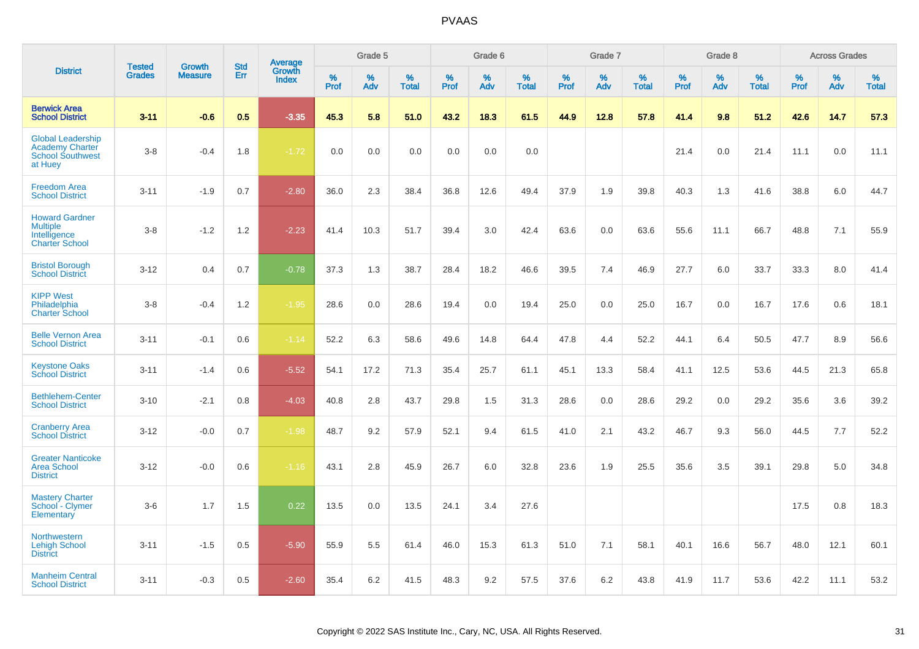|                                                                                          | <b>Tested</b> | <b>Growth</b>  | <b>Std</b> |                                   |              | Grade 5  |                   |              | Grade 6  |                   |              | Grade 7  |                   |              | Grade 8  |                   |           | <b>Across Grades</b> |                   |
|------------------------------------------------------------------------------------------|---------------|----------------|------------|-----------------------------------|--------------|----------|-------------------|--------------|----------|-------------------|--------------|----------|-------------------|--------------|----------|-------------------|-----------|----------------------|-------------------|
| <b>District</b>                                                                          | <b>Grades</b> | <b>Measure</b> | Err        | Average<br>Growth<br><b>Index</b> | $\%$<br>Prof | %<br>Adv | %<br><b>Total</b> | $\%$<br>Prof | %<br>Adv | %<br><b>Total</b> | $\%$<br>Prof | %<br>Adv | %<br><b>Total</b> | $\%$<br>Prof | %<br>Adv | %<br><b>Total</b> | %<br>Prof | %<br>Adv             | %<br><b>Total</b> |
| <b>Berwick Area</b><br><b>School District</b>                                            | $3 - 11$      | $-0.6$         | 0.5        | $-3.35$                           | 45.3         | 5.8      | 51.0              | 43.2         | 18.3     | 61.5              | 44.9         | 12.8     | 57.8              | 41.4         | 9.8      | 51.2              | 42.6      | 14.7                 | 57.3              |
| <b>Global Leadership</b><br><b>Academy Charter</b><br><b>School Southwest</b><br>at Huey | $3-8$         | $-0.4$         | 1.8        | $-1.72$                           | 0.0          | 0.0      | 0.0               | 0.0          | 0.0      | 0.0               |              |          |                   | 21.4         | 0.0      | 21.4              | 11.1      | 0.0                  | 11.1              |
| <b>Freedom Area</b><br><b>School District</b>                                            | $3 - 11$      | $-1.9$         | 0.7        | $-2.80$                           | 36.0         | 2.3      | 38.4              | 36.8         | 12.6     | 49.4              | 37.9         | 1.9      | 39.8              | 40.3         | 1.3      | 41.6              | 38.8      | 6.0                  | 44.7              |
| <b>Howard Gardner</b><br><b>Multiple</b><br>Intelligence<br><b>Charter School</b>        | $3 - 8$       | $-1.2$         | 1.2        | $-2.23$                           | 41.4         | 10.3     | 51.7              | 39.4         | 3.0      | 42.4              | 63.6         | 0.0      | 63.6              | 55.6         | 11.1     | 66.7              | 48.8      | 7.1                  | 55.9              |
| <b>Bristol Borough</b><br><b>School District</b>                                         | $3 - 12$      | 0.4            | 0.7        | $-0.78$                           | 37.3         | 1.3      | 38.7              | 28.4         | 18.2     | 46.6              | 39.5         | 7.4      | 46.9              | 27.7         | 6.0      | 33.7              | 33.3      | 8.0                  | 41.4              |
| <b>KIPP West</b><br>Philadelphia<br><b>Charter School</b>                                | $3-8$         | $-0.4$         | 1.2        | $-1.95$                           | 28.6         | 0.0      | 28.6              | 19.4         | 0.0      | 19.4              | 25.0         | 0.0      | 25.0              | 16.7         | 0.0      | 16.7              | 17.6      | 0.6                  | 18.1              |
| <b>Belle Vernon Area</b><br><b>School District</b>                                       | $3 - 11$      | $-0.1$         | 0.6        | $-1.14$                           | 52.2         | 6.3      | 58.6              | 49.6         | 14.8     | 64.4              | 47.8         | 4.4      | 52.2              | 44.1         | 6.4      | 50.5              | 47.7      | 8.9                  | 56.6              |
| <b>Keystone Oaks</b><br><b>School District</b>                                           | $3 - 11$      | $-1.4$         | 0.6        | $-5.52$                           | 54.1         | 17.2     | 71.3              | 35.4         | 25.7     | 61.1              | 45.1         | 13.3     | 58.4              | 41.1         | 12.5     | 53.6              | 44.5      | 21.3                 | 65.8              |
| <b>Bethlehem-Center</b><br><b>School District</b>                                        | $3 - 10$      | $-2.1$         | 0.8        | $-4.03$                           | 40.8         | 2.8      | 43.7              | 29.8         | 1.5      | 31.3              | 28.6         | 0.0      | 28.6              | 29.2         | 0.0      | 29.2              | 35.6      | 3.6                  | 39.2              |
| <b>Cranberry Area</b><br><b>School District</b>                                          | $3 - 12$      | $-0.0$         | 0.7        | $-1.98$                           | 48.7         | 9.2      | 57.9              | 52.1         | 9.4      | 61.5              | 41.0         | 2.1      | 43.2              | 46.7         | 9.3      | 56.0              | 44.5      | 7.7                  | 52.2              |
| <b>Greater Nanticoke</b><br><b>Area School</b><br><b>District</b>                        | $3 - 12$      | $-0.0$         | 0.6        | $-1.16$                           | 43.1         | 2.8      | 45.9              | 26.7         | 6.0      | 32.8              | 23.6         | 1.9      | 25.5              | 35.6         | 3.5      | 39.1              | 29.8      | 5.0                  | 34.8              |
| <b>Mastery Charter</b><br>School - Clymer<br>Elementary                                  | $3-6$         | 1.7            | 1.5        | 0.22                              | 13.5         | 0.0      | 13.5              | 24.1         | 3.4      | 27.6              |              |          |                   |              |          |                   | 17.5      | 0.8                  | 18.3              |
| <b>Northwestern</b><br><b>Lehigh School</b><br><b>District</b>                           | $3 - 11$      | $-1.5$         | 0.5        | $-5.90$                           | 55.9         | 5.5      | 61.4              | 46.0         | 15.3     | 61.3              | 51.0         | 7.1      | 58.1              | 40.1         | 16.6     | 56.7              | 48.0      | 12.1                 | 60.1              |
| <b>Manheim Central</b><br><b>School District</b>                                         | $3 - 11$      | $-0.3$         | 0.5        | $-2.60$                           | 35.4         | 6.2      | 41.5              | 48.3         | 9.2      | 57.5              | 37.6         | 6.2      | 43.8              | 41.9         | 11.7     | 53.6              | 42.2      | 11.1                 | 53.2              |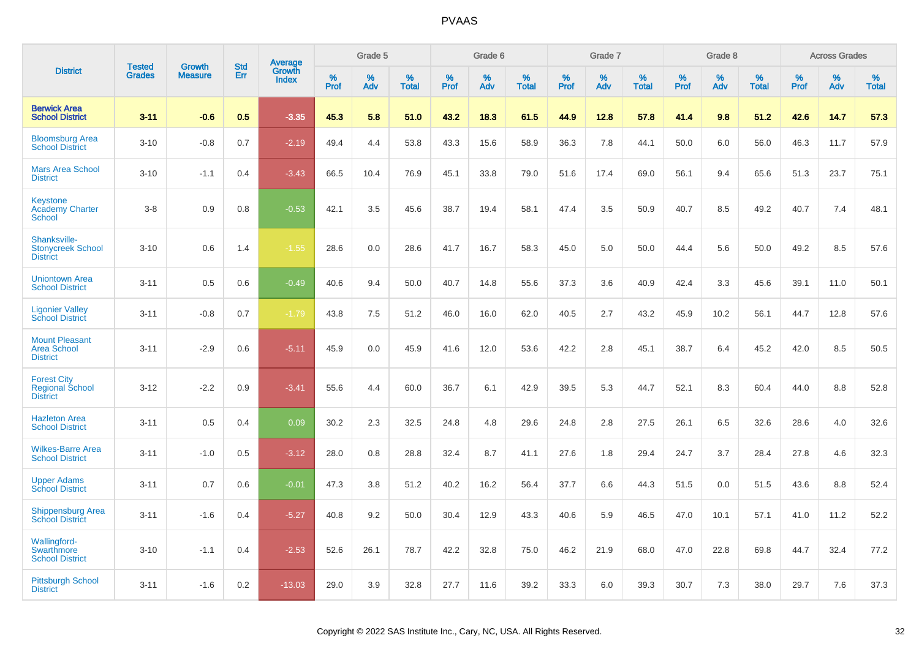|                                                                 | <b>Tested</b> | <b>Growth</b>  | <b>Std</b> |                                          |              | Grade 5  |                   |           | Grade 6  |                   |           | Grade 7  |                   |           | Grade 8  |                   |              | <b>Across Grades</b> |                   |
|-----------------------------------------------------------------|---------------|----------------|------------|------------------------------------------|--------------|----------|-------------------|-----------|----------|-------------------|-----------|----------|-------------------|-----------|----------|-------------------|--------------|----------------------|-------------------|
| <b>District</b>                                                 | <b>Grades</b> | <b>Measure</b> | <b>Err</b> | <b>Average</b><br>Growth<br><b>Index</b> | $\%$<br>Prof | %<br>Adv | %<br><b>Total</b> | %<br>Prof | %<br>Adv | %<br><b>Total</b> | %<br>Prof | %<br>Adv | %<br><b>Total</b> | %<br>Prof | %<br>Adv | %<br><b>Total</b> | $\%$<br>Prof | %<br>Adv             | %<br><b>Total</b> |
| <b>Berwick Area</b><br><b>School District</b>                   | $3 - 11$      | $-0.6$         | 0.5        | $-3.35$                                  | 45.3         | 5.8      | 51.0              | 43.2      | 18.3     | 61.5              | 44.9      | 12.8     | 57.8              | 41.4      | 9.8      | 51.2              | 42.6         | 14.7                 | 57.3              |
| <b>Bloomsburg Area</b><br><b>School District</b>                | $3 - 10$      | $-0.8$         | 0.7        | $-2.19$                                  | 49.4         | 4.4      | 53.8              | 43.3      | 15.6     | 58.9              | 36.3      | 7.8      | 44.1              | 50.0      | 6.0      | 56.0              | 46.3         | 11.7                 | 57.9              |
| <b>Mars Area School</b><br><b>District</b>                      | $3 - 10$      | $-1.1$         | 0.4        | $-3.43$                                  | 66.5         | 10.4     | 76.9              | 45.1      | 33.8     | 79.0              | 51.6      | 17.4     | 69.0              | 56.1      | 9.4      | 65.6              | 51.3         | 23.7                 | 75.1              |
| <b>Keystone</b><br><b>Academy Charter</b><br><b>School</b>      | $3 - 8$       | 0.9            | 0.8        | $-0.53$                                  | 42.1         | 3.5      | 45.6              | 38.7      | 19.4     | 58.1              | 47.4      | 3.5      | 50.9              | 40.7      | 8.5      | 49.2              | 40.7         | 7.4                  | 48.1              |
| Shanksville-<br><b>Stonycreek School</b><br><b>District</b>     | $3 - 10$      | 0.6            | 1.4        | $-1.55$                                  | 28.6         | 0.0      | 28.6              | 41.7      | 16.7     | 58.3              | 45.0      | 5.0      | 50.0              | 44.4      | 5.6      | 50.0              | 49.2         | 8.5                  | 57.6              |
| <b>Uniontown Area</b><br><b>School District</b>                 | $3 - 11$      | 0.5            | 0.6        | $-0.49$                                  | 40.6         | 9.4      | 50.0              | 40.7      | 14.8     | 55.6              | 37.3      | 3.6      | 40.9              | 42.4      | 3.3      | 45.6              | 39.1         | 11.0                 | 50.1              |
| <b>Ligonier Valley</b><br><b>School District</b>                | $3 - 11$      | $-0.8$         | 0.7        | $-1.79$                                  | 43.8         | 7.5      | 51.2              | 46.0      | 16.0     | 62.0              | 40.5      | 2.7      | 43.2              | 45.9      | 10.2     | 56.1              | 44.7         | 12.8                 | 57.6              |
| <b>Mount Pleasant</b><br><b>Area School</b><br><b>District</b>  | $3 - 11$      | $-2.9$         | 0.6        | $-5.11$                                  | 45.9         | 0.0      | 45.9              | 41.6      | 12.0     | 53.6              | 42.2      | 2.8      | 45.1              | 38.7      | 6.4      | 45.2              | 42.0         | 8.5                  | 50.5              |
| <b>Forest City</b><br><b>Regional School</b><br><b>District</b> | $3 - 12$      | $-2.2$         | 0.9        | $-3.41$                                  | 55.6         | 4.4      | 60.0              | 36.7      | 6.1      | 42.9              | 39.5      | 5.3      | 44.7              | 52.1      | 8.3      | 60.4              | 44.0         | 8.8                  | 52.8              |
| <b>Hazleton Area</b><br><b>School District</b>                  | $3 - 11$      | 0.5            | 0.4        | 0.09                                     | 30.2         | 2.3      | 32.5              | 24.8      | 4.8      | 29.6              | 24.8      | 2.8      | 27.5              | 26.1      | 6.5      | 32.6              | 28.6         | 4.0                  | 32.6              |
| <b>Wilkes-Barre Area</b><br><b>School District</b>              | $3 - 11$      | $-1.0$         | 0.5        | $-3.12$                                  | 28.0         | 0.8      | 28.8              | 32.4      | 8.7      | 41.1              | 27.6      | 1.8      | 29.4              | 24.7      | 3.7      | 28.4              | 27.8         | 4.6                  | 32.3              |
| <b>Upper Adams</b><br><b>School District</b>                    | $3 - 11$      | 0.7            | 0.6        | $-0.01$                                  | 47.3         | 3.8      | 51.2              | 40.2      | 16.2     | 56.4              | 37.7      | 6.6      | 44.3              | 51.5      | 0.0      | 51.5              | 43.6         | 8.8                  | 52.4              |
| <b>Shippensburg Area</b><br><b>School District</b>              | $3 - 11$      | $-1.6$         | 0.4        | $-5.27$                                  | 40.8         | 9.2      | 50.0              | 30.4      | 12.9     | 43.3              | 40.6      | 5.9      | 46.5              | 47.0      | 10.1     | 57.1              | 41.0         | 11.2                 | 52.2              |
| Wallingford-<br>Swarthmore<br><b>School District</b>            | $3 - 10$      | $-1.1$         | 0.4        | $-2.53$                                  | 52.6         | 26.1     | 78.7              | 42.2      | 32.8     | 75.0              | 46.2      | 21.9     | 68.0              | 47.0      | 22.8     | 69.8              | 44.7         | 32.4                 | 77.2              |
| <b>Pittsburgh School</b><br><b>District</b>                     | $3 - 11$      | $-1.6$         | 0.2        | $-13.03$                                 | 29.0         | 3.9      | 32.8              | 27.7      | 11.6     | 39.2              | 33.3      | 6.0      | 39.3              | 30.7      | 7.3      | 38.0              | 29.7         | 7.6                  | 37.3              |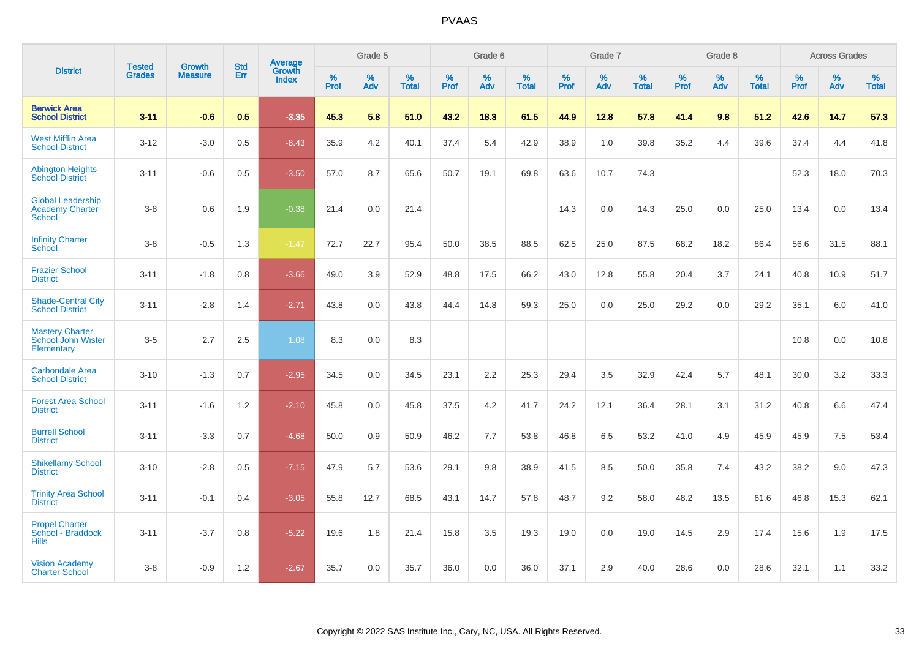|                                                                     | <b>Tested</b> | <b>Growth</b>  | <b>Std</b> | <b>Average</b>         |           | Grade 5  |                   |           | Grade 6  |                   |           | Grade 7  |                   |           | Grade 8  |                   |           | <b>Across Grades</b> |                   |
|---------------------------------------------------------------------|---------------|----------------|------------|------------------------|-----------|----------|-------------------|-----------|----------|-------------------|-----------|----------|-------------------|-----------|----------|-------------------|-----------|----------------------|-------------------|
| <b>District</b>                                                     | <b>Grades</b> | <b>Measure</b> | Err        | Growth<br><b>Index</b> | %<br>Prof | %<br>Adv | %<br><b>Total</b> | %<br>Prof | %<br>Adv | %<br><b>Total</b> | %<br>Prof | %<br>Adv | %<br><b>Total</b> | %<br>Prof | %<br>Adv | %<br><b>Total</b> | %<br>Prof | %<br>Adv             | %<br><b>Total</b> |
| <b>Berwick Area</b><br><b>School District</b>                       | $3 - 11$      | $-0.6$         | 0.5        | $-3.35$                | 45.3      | 5.8      | 51.0              | 43.2      | 18.3     | 61.5              | 44.9      | 12.8     | 57.8              | 41.4      | 9.8      | 51.2              | 42.6      | 14.7                 | 57.3              |
| <b>West Mifflin Area</b><br><b>School District</b>                  | $3 - 12$      | $-3.0$         | 0.5        | $-8.43$                | 35.9      | 4.2      | 40.1              | 37.4      | 5.4      | 42.9              | 38.9      | 1.0      | 39.8              | 35.2      | 4.4      | 39.6              | 37.4      | 4.4                  | 41.8              |
| <b>Abington Heights</b><br><b>School District</b>                   | $3 - 11$      | $-0.6$         | 0.5        | $-3.50$                | 57.0      | 8.7      | 65.6              | 50.7      | 19.1     | 69.8              | 63.6      | 10.7     | 74.3              |           |          |                   | 52.3      | 18.0                 | 70.3              |
| <b>Global Leadership</b><br><b>Academy Charter</b><br><b>School</b> | $3 - 8$       | 0.6            | 1.9        | $-0.38$                | 21.4      | 0.0      | 21.4              |           |          |                   | 14.3      | 0.0      | 14.3              | 25.0      | 0.0      | 25.0              | 13.4      | 0.0                  | 13.4              |
| <b>Infinity Charter</b><br>School                                   | $3-8$         | $-0.5$         | 1.3        | $-1.47$                | 72.7      | 22.7     | 95.4              | 50.0      | 38.5     | 88.5              | 62.5      | 25.0     | 87.5              | 68.2      | 18.2     | 86.4              | 56.6      | 31.5                 | 88.1              |
| <b>Frazier School</b><br><b>District</b>                            | $3 - 11$      | $-1.8$         | 0.8        | $-3.66$                | 49.0      | 3.9      | 52.9              | 48.8      | 17.5     | 66.2              | 43.0      | 12.8     | 55.8              | 20.4      | 3.7      | 24.1              | 40.8      | 10.9                 | 51.7              |
| <b>Shade-Central City</b><br><b>School District</b>                 | $3 - 11$      | $-2.8$         | 1.4        | $-2.71$                | 43.8      | 0.0      | 43.8              | 44.4      | 14.8     | 59.3              | 25.0      | 0.0      | 25.0              | 29.2      | 0.0      | 29.2              | 35.1      | 6.0                  | 41.0              |
| <b>Mastery Charter</b><br>School John Wister<br>Elementary          | $3-5$         | 2.7            | 2.5        | 1.08                   | 8.3       | 0.0      | 8.3               |           |          |                   |           |          |                   |           |          |                   | 10.8      | 0.0                  | 10.8              |
| Carbondale Area<br><b>School District</b>                           | $3 - 10$      | $-1.3$         | 0.7        | $-2.95$                | 34.5      | 0.0      | 34.5              | 23.1      | 2.2      | 25.3              | 29.4      | 3.5      | 32.9              | 42.4      | 5.7      | 48.1              | 30.0      | 3.2                  | 33.3              |
| <b>Forest Area School</b><br><b>District</b>                        | $3 - 11$      | $-1.6$         | 1.2        | $-2.10$                | 45.8      | 0.0      | 45.8              | 37.5      | 4.2      | 41.7              | 24.2      | 12.1     | 36.4              | 28.1      | 3.1      | 31.2              | 40.8      | 6.6                  | 47.4              |
| <b>Burrell School</b><br><b>District</b>                            | $3 - 11$      | $-3.3$         | 0.7        | $-4.68$                | 50.0      | 0.9      | 50.9              | 46.2      | 7.7      | 53.8              | 46.8      | 6.5      | 53.2              | 41.0      | 4.9      | 45.9              | 45.9      | 7.5                  | 53.4              |
| <b>Shikellamy School</b><br><b>District</b>                         | $3 - 10$      | $-2.8$         | 0.5        | $-7.15$                | 47.9      | 5.7      | 53.6              | 29.1      | 9.8      | 38.9              | 41.5      | 8.5      | 50.0              | 35.8      | 7.4      | 43.2              | 38.2      | 9.0                  | 47.3              |
| <b>Trinity Area School</b><br><b>District</b>                       | $3 - 11$      | $-0.1$         | 0.4        | $-3.05$                | 55.8      | 12.7     | 68.5              | 43.1      | 14.7     | 57.8              | 48.7      | 9.2      | 58.0              | 48.2      | 13.5     | 61.6              | 46.8      | 15.3                 | 62.1              |
| <b>Propel Charter</b><br>School - Braddock<br><b>Hills</b>          | $3 - 11$      | $-3.7$         | 0.8        | $-5.22$                | 19.6      | 1.8      | 21.4              | 15.8      | 3.5      | 19.3              | 19.0      | 0.0      | 19.0              | 14.5      | 2.9      | 17.4              | 15.6      | 1.9                  | 17.5              |
| <b>Vision Academy</b><br><b>Charter School</b>                      | $3 - 8$       | $-0.9$         | 1.2        | $-2.67$                | 35.7      | 0.0      | 35.7              | 36.0      | 0.0      | 36.0              | 37.1      | 2.9      | 40.0              | 28.6      | 0.0      | 28.6              | 32.1      | 1.1                  | 33.2              |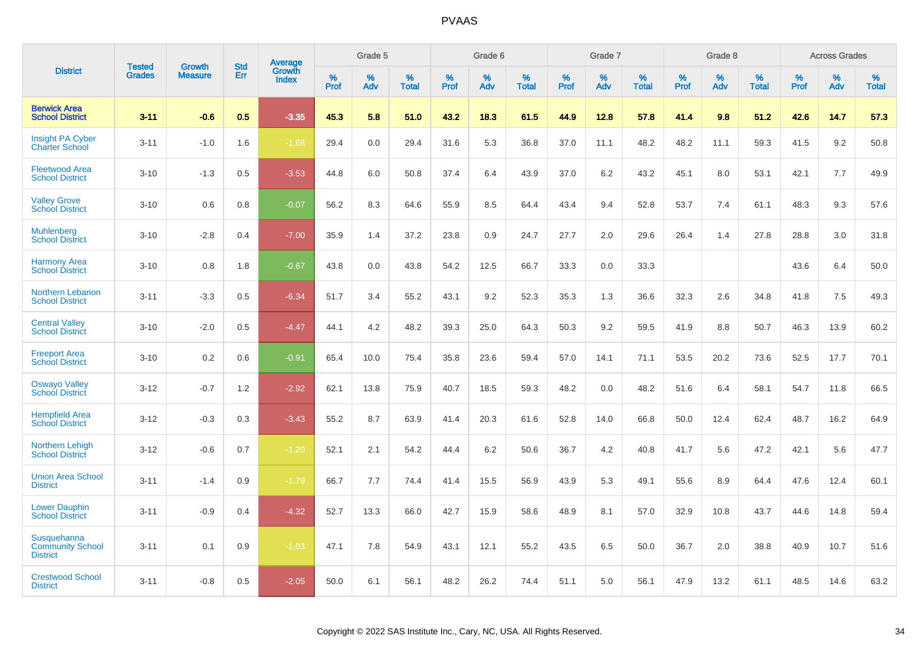|                                                           | <b>Tested</b> | <b>Growth</b>  | <b>Std</b> | Average         |              | Grade 5     |                      |                     | Grade 6     |                      |              | Grade 7     |                      |              | Grade 8     |                   |                     | <b>Across Grades</b> |                      |
|-----------------------------------------------------------|---------------|----------------|------------|-----------------|--------------|-------------|----------------------|---------------------|-------------|----------------------|--------------|-------------|----------------------|--------------|-------------|-------------------|---------------------|----------------------|----------------------|
| <b>District</b>                                           | <b>Grades</b> | <b>Measure</b> | Err        | Growth<br>Index | $\%$<br>Prof | $\%$<br>Adv | $\%$<br><b>Total</b> | $\%$<br><b>Prof</b> | $\%$<br>Adv | $\%$<br><b>Total</b> | $\%$<br>Prof | $\%$<br>Adv | $\%$<br><b>Total</b> | $\%$<br>Prof | $\%$<br>Adv | %<br><b>Total</b> | $\%$<br><b>Prof</b> | $\%$<br>Adv          | $\%$<br><b>Total</b> |
| <b>Berwick Area</b><br><b>School District</b>             | $3 - 11$      | $-0.6$         | 0.5        | $-3.35$         | 45.3         | 5.8         | 51.0                 | 43.2                | 18.3        | 61.5                 | 44.9         | 12.8        | 57.8                 | 41.4         | 9.8         | 51.2              | 42.6                | 14.7                 | 57.3                 |
| <b>Insight PA Cyber</b><br><b>Charter School</b>          | $3 - 11$      | $-1.0$         | 1.6        | $-1.68$         | 29.4         | 0.0         | 29.4                 | 31.6                | 5.3         | 36.8                 | 37.0         | 11.1        | 48.2                 | 48.2         | 11.1        | 59.3              | 41.5                | 9.2                  | 50.8                 |
| <b>Fleetwood Area</b><br><b>School District</b>           | $3 - 10$      | $-1.3$         | 0.5        | $-3.53$         | 44.8         | 6.0         | 50.8                 | 37.4                | 6.4         | 43.9                 | 37.0         | 6.2         | 43.2                 | 45.1         | 8.0         | 53.1              | 42.1                | 7.7                  | 49.9                 |
| <b>Valley Grove</b><br><b>School District</b>             | $3 - 10$      | 0.6            | 0.8        | $-0.07$         | 56.2         | 8.3         | 64.6                 | 55.9                | 8.5         | 64.4                 | 43.4         | 9.4         | 52.8                 | 53.7         | 7.4         | 61.1              | 48.3                | 9.3                  | 57.6                 |
| <b>Muhlenberg</b><br><b>School District</b>               | $3 - 10$      | $-2.8$         | 0.4        | $-7.00$         | 35.9         | 1.4         | 37.2                 | 23.8                | 0.9         | 24.7                 | 27.7         | 2.0         | 29.6                 | 26.4         | 1.4         | 27.8              | 28.8                | 3.0                  | 31.8                 |
| <b>Harmony Area</b><br><b>School District</b>             | $3 - 10$      | 0.8            | 1.8        | $-0.67$         | 43.8         | 0.0         | 43.8                 | 54.2                | 12.5        | 66.7                 | 33.3         | 0.0         | 33.3                 |              |             |                   | 43.6                | 6.4                  | 50.0                 |
| Northern Lebanon<br><b>School District</b>                | $3 - 11$      | $-3.3$         | 0.5        | $-6.34$         | 51.7         | 3.4         | 55.2                 | 43.1                | 9.2         | 52.3                 | 35.3         | 1.3         | 36.6                 | 32.3         | 2.6         | 34.8              | 41.8                | 7.5                  | 49.3                 |
| <b>Central Valley</b><br><b>School District</b>           | $3 - 10$      | $-2.0$         | 0.5        | $-4.47$         | 44.1         | 4.2         | 48.2                 | 39.3                | 25.0        | 64.3                 | 50.3         | 9.2         | 59.5                 | 41.9         | 8.8         | 50.7              | 46.3                | 13.9                 | 60.2                 |
| <b>Freeport Area</b><br><b>School District</b>            | $3 - 10$      | 0.2            | 0.6        | $-0.91$         | 65.4         | 10.0        | 75.4                 | 35.8                | 23.6        | 59.4                 | 57.0         | 14.1        | 71.1                 | 53.5         | 20.2        | 73.6              | 52.5                | 17.7                 | 70.1                 |
| <b>Oswayo Valley</b><br><b>School District</b>            | $3 - 12$      | $-0.7$         | 1.2        | $-2.92$         | 62.1         | 13.8        | 75.9                 | 40.7                | 18.5        | 59.3                 | 48.2         | 0.0         | 48.2                 | 51.6         | 6.4         | 58.1              | 54.7                | 11.8                 | 66.5                 |
| <b>Hempfield Area</b><br><b>School District</b>           | $3 - 12$      | $-0.3$         | 0.3        | $-3.43$         | 55.2         | 8.7         | 63.9                 | 41.4                | 20.3        | 61.6                 | 52.8         | 14.0        | 66.8                 | 50.0         | 12.4        | 62.4              | 48.7                | 16.2                 | 64.9                 |
| Northern Lehigh<br><b>School District</b>                 | $3 - 12$      | $-0.6$         | 0.7        | $-1.20$         | 52.1         | 2.1         | 54.2                 | 44.4                | 6.2         | 50.6                 | 36.7         | 4.2         | 40.8                 | 41.7         | 5.6         | 47.2              | 42.1                | 5.6                  | 47.7                 |
| <b>Union Area School</b><br><b>District</b>               | $3 - 11$      | $-1.4$         | 0.9        | $-1.79$         | 66.7         | 7.7         | 74.4                 | 41.4                | 15.5        | 56.9                 | 43.9         | 5.3         | 49.1                 | 55.6         | 8.9         | 64.4              | 47.6                | 12.4                 | 60.1                 |
| <b>Lower Dauphin</b><br><b>School District</b>            | $3 - 11$      | $-0.9$         | 0.4        | $-4.32$         | 52.7         | 13.3        | 66.0                 | 42.7                | 15.9        | 58.6                 | 48.9         | 8.1         | 57.0                 | 32.9         | 10.8        | 43.7              | 44.6                | 14.8                 | 59.4                 |
| Susquehanna<br><b>Community School</b><br><b>District</b> | $3 - 11$      | 0.1            | 0.9        | $-1.03$         | 47.1         | 7.8         | 54.9                 | 43.1                | 12.1        | 55.2                 | 43.5         | 6.5         | 50.0                 | 36.7         | 2.0         | 38.8              | 40.9                | 10.7                 | 51.6                 |
| <b>Crestwood School</b><br><b>District</b>                | $3 - 11$      | $-0.8$         | 0.5        | $-2.05$         | 50.0         | 6.1         | 56.1                 | 48.2                | 26.2        | 74.4                 | 51.1         | 5.0         | 56.1                 | 47.9         | 13.2        | 61.1              | 48.5                | 14.6                 | 63.2                 |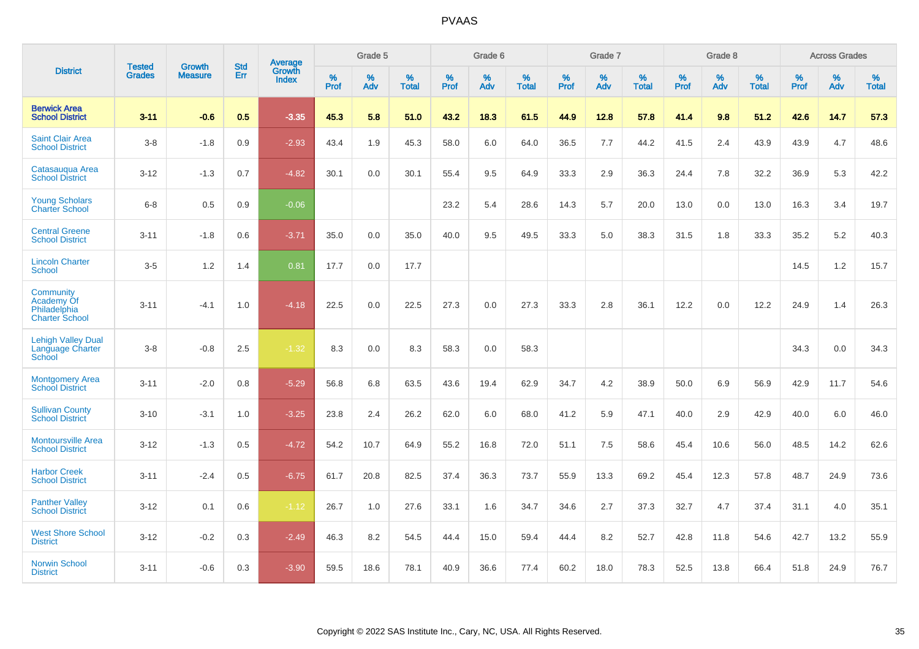|                                                                  | <b>Tested</b> | <b>Growth</b>  | <b>Std</b> | <b>Average</b>         |           | Grade 5  |                   |           | Grade 6  |                   |           | Grade 7  |                   |           | Grade 8  |                   |           | <b>Across Grades</b> |                   |
|------------------------------------------------------------------|---------------|----------------|------------|------------------------|-----------|----------|-------------------|-----------|----------|-------------------|-----------|----------|-------------------|-----------|----------|-------------------|-----------|----------------------|-------------------|
| <b>District</b>                                                  | <b>Grades</b> | <b>Measure</b> | Err        | Growth<br><b>Index</b> | %<br>Prof | %<br>Adv | %<br><b>Total</b> | %<br>Prof | %<br>Adv | %<br><b>Total</b> | %<br>Prof | %<br>Adv | %<br><b>Total</b> | %<br>Prof | %<br>Adv | %<br><b>Total</b> | %<br>Prof | %<br>Adv             | %<br><b>Total</b> |
| <b>Berwick Area</b><br><b>School District</b>                    | $3 - 11$      | $-0.6$         | 0.5        | $-3.35$                | 45.3      | 5.8      | 51.0              | 43.2      | 18.3     | 61.5              | 44.9      | 12.8     | 57.8              | 41.4      | 9.8      | 51.2              | 42.6      | 14.7                 | 57.3              |
| <b>Saint Clair Area</b><br><b>School District</b>                | $3-8$         | $-1.8$         | 0.9        | $-2.93$                | 43.4      | 1.9      | 45.3              | 58.0      | 6.0      | 64.0              | 36.5      | 7.7      | 44.2              | 41.5      | 2.4      | 43.9              | 43.9      | 4.7                  | 48.6              |
| Catasauqua Area<br><b>School District</b>                        | $3 - 12$      | $-1.3$         | 0.7        | $-4.82$                | 30.1      | 0.0      | 30.1              | 55.4      | 9.5      | 64.9              | 33.3      | 2.9      | 36.3              | 24.4      | 7.8      | 32.2              | 36.9      | 5.3                  | 42.2              |
| <b>Young Scholars</b><br><b>Charter School</b>                   | $6 - 8$       | 0.5            | 0.9        | $-0.06$                |           |          |                   | 23.2      | 5.4      | 28.6              | 14.3      | 5.7      | 20.0              | 13.0      | 0.0      | 13.0              | 16.3      | 3.4                  | 19.7              |
| <b>Central Greene</b><br><b>School District</b>                  | $3 - 11$      | $-1.8$         | 0.6        | $-3.71$                | 35.0      | 0.0      | 35.0              | 40.0      | 9.5      | 49.5              | 33.3      | 5.0      | 38.3              | 31.5      | 1.8      | 33.3              | 35.2      | $5.2\,$              | 40.3              |
| <b>Lincoln Charter</b><br><b>School</b>                          | $3-5$         | 1.2            | 1.4        | 0.81                   | 17.7      | 0.0      | 17.7              |           |          |                   |           |          |                   |           |          |                   | 14.5      | 1.2                  | 15.7              |
| Community<br>Academy Of<br>Philadelphia<br><b>Charter School</b> | $3 - 11$      | $-4.1$         | 1.0        | $-4.18$                | 22.5      | 0.0      | 22.5              | 27.3      | 0.0      | 27.3              | 33.3      | 2.8      | 36.1              | 12.2      | 0.0      | 12.2              | 24.9      | 1.4                  | 26.3              |
| <b>Lehigh Valley Dual</b><br>Language Charter<br>School          | $3 - 8$       | $-0.8$         | 2.5        | $-1.32$                | 8.3       | 0.0      | 8.3               | 58.3      | 0.0      | 58.3              |           |          |                   |           |          |                   | 34.3      | 0.0                  | 34.3              |
| <b>Montgomery Area</b><br><b>School District</b>                 | $3 - 11$      | $-2.0$         | 0.8        | $-5.29$                | 56.8      | 6.8      | 63.5              | 43.6      | 19.4     | 62.9              | 34.7      | 4.2      | 38.9              | 50.0      | 6.9      | 56.9              | 42.9      | 11.7                 | 54.6              |
| <b>Sullivan County</b><br><b>School District</b>                 | $3 - 10$      | $-3.1$         | 1.0        | $-3.25$                | 23.8      | 2.4      | 26.2              | 62.0      | 6.0      | 68.0              | 41.2      | 5.9      | 47.1              | 40.0      | 2.9      | 42.9              | 40.0      | 6.0                  | 46.0              |
| <b>Montoursville Area</b><br><b>School District</b>              | $3 - 12$      | $-1.3$         | 0.5        | $-4.72$                | 54.2      | 10.7     | 64.9              | 55.2      | 16.8     | 72.0              | 51.1      | 7.5      | 58.6              | 45.4      | 10.6     | 56.0              | 48.5      | 14.2                 | 62.6              |
| <b>Harbor Creek</b><br><b>School District</b>                    | $3 - 11$      | $-2.4$         | 0.5        | $-6.75$                | 61.7      | 20.8     | 82.5              | 37.4      | 36.3     | 73.7              | 55.9      | 13.3     | 69.2              | 45.4      | 12.3     | 57.8              | 48.7      | 24.9                 | 73.6              |
| <b>Panther Valley</b><br><b>School District</b>                  | $3 - 12$      | 0.1            | 0.6        | $-1.12$                | 26.7      | 1.0      | 27.6              | 33.1      | 1.6      | 34.7              | 34.6      | 2.7      | 37.3              | 32.7      | 4.7      | 37.4              | 31.1      | 4.0                  | 35.1              |
| <b>West Shore School</b><br><b>District</b>                      | $3 - 12$      | $-0.2$         | 0.3        | $-2.49$                | 46.3      | 8.2      | 54.5              | 44.4      | 15.0     | 59.4              | 44.4      | 8.2      | 52.7              | 42.8      | 11.8     | 54.6              | 42.7      | 13.2                 | 55.9              |
| <b>Norwin School</b><br><b>District</b>                          | $3 - 11$      | $-0.6$         | 0.3        | $-3.90$                | 59.5      | 18.6     | 78.1              | 40.9      | 36.6     | 77.4              | 60.2      | 18.0     | 78.3              | 52.5      | 13.8     | 66.4              | 51.8      | 24.9                 | 76.7              |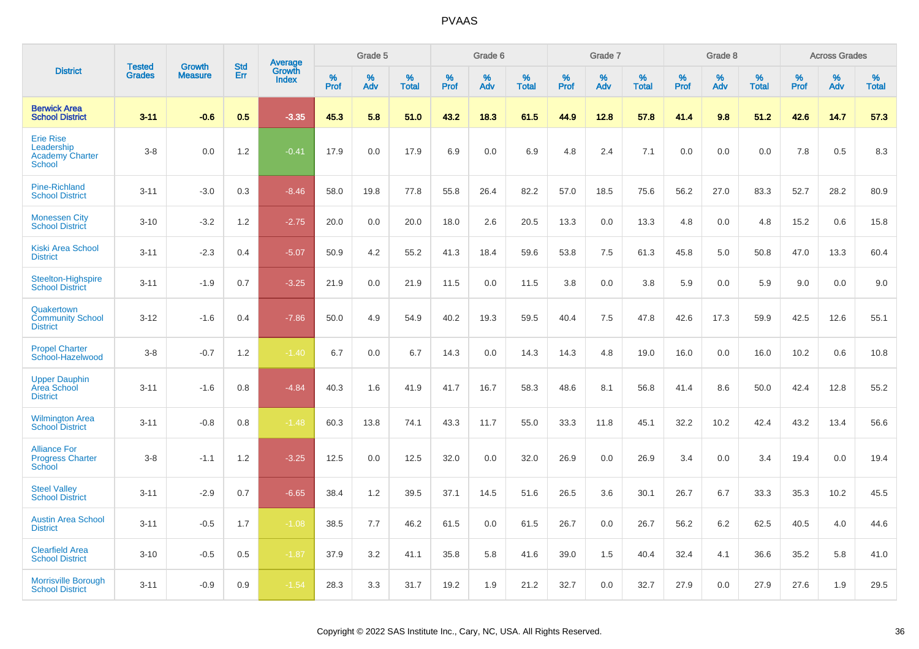|                                                                    |                                |                                 | <b>Std</b> |                                          |                     | Grade 5  |                   |                  | Grade 6  |                   |           | Grade 7  |                   |           | Grade 8  |                   |           | <b>Across Grades</b> |                   |
|--------------------------------------------------------------------|--------------------------------|---------------------------------|------------|------------------------------------------|---------------------|----------|-------------------|------------------|----------|-------------------|-----------|----------|-------------------|-----------|----------|-------------------|-----------|----------------------|-------------------|
| <b>District</b>                                                    | <b>Tested</b><br><b>Grades</b> | <b>Growth</b><br><b>Measure</b> | Err        | <b>Average</b><br>Growth<br><b>Index</b> | $\%$<br><b>Prof</b> | %<br>Adv | %<br><b>Total</b> | %<br><b>Prof</b> | %<br>Adv | %<br><b>Total</b> | %<br>Prof | %<br>Adv | %<br><b>Total</b> | %<br>Prof | %<br>Adv | %<br><b>Total</b> | %<br>Prof | %<br>Adv             | %<br><b>Total</b> |
| <b>Berwick Area</b><br><b>School District</b>                      | $3 - 11$                       | $-0.6$                          | 0.5        | $-3.35$                                  | 45.3                | 5.8      | 51.0              | 43.2             | 18.3     | 61.5              | 44.9      | 12.8     | 57.8              | 41.4      | 9.8      | 51.2              | 42.6      | 14.7                 | 57.3              |
| <b>Erie Rise</b><br>Leadership<br><b>Academy Charter</b><br>School | $3-8$                          | 0.0                             | 1.2        | $-0.41$                                  | 17.9                | 0.0      | 17.9              | 6.9              | 0.0      | 6.9               | 4.8       | 2.4      | 7.1               | 0.0       | 0.0      | 0.0               | 7.8       | 0.5                  | 8.3               |
| <b>Pine-Richland</b><br><b>School District</b>                     | $3 - 11$                       | $-3.0$                          | 0.3        | $-8.46$                                  | 58.0                | 19.8     | 77.8              | 55.8             | 26.4     | 82.2              | 57.0      | 18.5     | 75.6              | 56.2      | 27.0     | 83.3              | 52.7      | 28.2                 | 80.9              |
| <b>Monessen City</b><br><b>School District</b>                     | $3 - 10$                       | $-3.2$                          | 1.2        | $-2.75$                                  | 20.0                | 0.0      | 20.0              | 18.0             | 2.6      | 20.5              | 13.3      | 0.0      | 13.3              | 4.8       | 0.0      | 4.8               | 15.2      | 0.6                  | 15.8              |
| <b>Kiski Area School</b><br><b>District</b>                        | $3 - 11$                       | $-2.3$                          | 0.4        | $-5.07$                                  | 50.9                | 4.2      | 55.2              | 41.3             | 18.4     | 59.6              | 53.8      | 7.5      | 61.3              | 45.8      | 5.0      | 50.8              | 47.0      | 13.3                 | 60.4              |
| Steelton-Highspire<br><b>School District</b>                       | $3 - 11$                       | $-1.9$                          | 0.7        | $-3.25$                                  | 21.9                | 0.0      | 21.9              | 11.5             | 0.0      | 11.5              | 3.8       | 0.0      | 3.8               | 5.9       | 0.0      | 5.9               | 9.0       | 0.0                  | 9.0               |
| Quakertown<br><b>Community School</b><br><b>District</b>           | $3 - 12$                       | $-1.6$                          | 0.4        | $-7.86$                                  | 50.0                | 4.9      | 54.9              | 40.2             | 19.3     | 59.5              | 40.4      | 7.5      | 47.8              | 42.6      | 17.3     | 59.9              | 42.5      | 12.6                 | 55.1              |
| <b>Propel Charter</b><br>School-Hazelwood                          | $3-8$                          | $-0.7$                          | 1.2        | $-1.40$                                  | 6.7                 | 0.0      | 6.7               | 14.3             | 0.0      | 14.3              | 14.3      | 4.8      | 19.0              | 16.0      | 0.0      | 16.0              | 10.2      | 0.6                  | 10.8              |
| <b>Upper Dauphin</b><br><b>Area School</b><br><b>District</b>      | $3 - 11$                       | $-1.6$                          | 0.8        | $-4.84$                                  | 40.3                | 1.6      | 41.9              | 41.7             | 16.7     | 58.3              | 48.6      | 8.1      | 56.8              | 41.4      | 8.6      | 50.0              | 42.4      | 12.8                 | 55.2              |
| <b>Wilmington Area</b><br><b>School District</b>                   | $3 - 11$                       | $-0.8$                          | 0.8        | $-1.48$                                  | 60.3                | 13.8     | 74.1              | 43.3             | 11.7     | 55.0              | 33.3      | 11.8     | 45.1              | 32.2      | 10.2     | 42.4              | 43.2      | 13.4                 | 56.6              |
| <b>Alliance For</b><br><b>Progress Charter</b><br>School           | $3-8$                          | $-1.1$                          | 1.2        | $-3.25$                                  | 12.5                | 0.0      | 12.5              | 32.0             | 0.0      | 32.0              | 26.9      | 0.0      | 26.9              | 3.4       | 0.0      | 3.4               | 19.4      | 0.0                  | 19.4              |
| <b>Steel Valley</b><br><b>School District</b>                      | $3 - 11$                       | $-2.9$                          | 0.7        | $-6.65$                                  | 38.4                | 1.2      | 39.5              | 37.1             | 14.5     | 51.6              | 26.5      | 3.6      | 30.1              | 26.7      | 6.7      | 33.3              | 35.3      | 10.2                 | 45.5              |
| <b>Austin Area School</b><br><b>District</b>                       | $3 - 11$                       | $-0.5$                          | 1.7        | $-1.08$                                  | 38.5                | 7.7      | 46.2              | 61.5             | 0.0      | 61.5              | 26.7      | 0.0      | 26.7              | 56.2      | 6.2      | 62.5              | 40.5      | 4.0                  | 44.6              |
| <b>Clearfield Area</b><br><b>School District</b>                   | $3 - 10$                       | $-0.5$                          | 0.5        | $-1.87$                                  | 37.9                | 3.2      | 41.1              | 35.8             | 5.8      | 41.6              | 39.0      | 1.5      | 40.4              | 32.4      | 4.1      | 36.6              | 35.2      | 5.8                  | 41.0              |
| <b>Morrisville Borough</b><br><b>School District</b>               | $3 - 11$                       | $-0.9$                          | 0.9        | $-1.54$                                  | 28.3                | 3.3      | 31.7              | 19.2             | 1.9      | 21.2              | 32.7      | 0.0      | 32.7              | 27.9      | 0.0      | 27.9              | 27.6      | 1.9                  | 29.5              |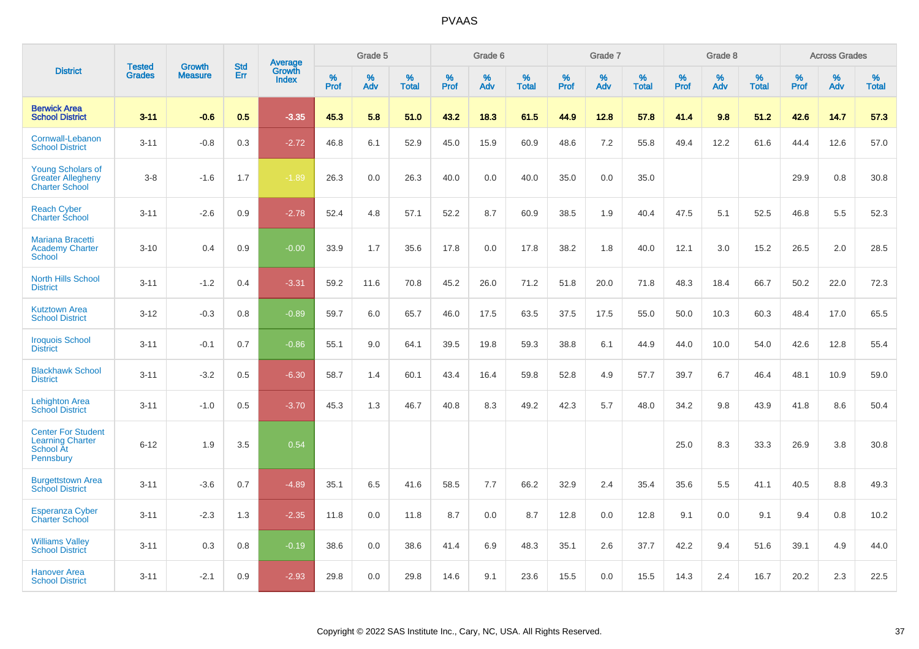|                                                                                |                                |                                 | <b>Std</b> | Average         |              | Grade 5  |                   |           | Grade 6  |                   |           | Grade 7  |                   |           | Grade 8  |                   |              | <b>Across Grades</b> |                   |
|--------------------------------------------------------------------------------|--------------------------------|---------------------------------|------------|-----------------|--------------|----------|-------------------|-----------|----------|-------------------|-----------|----------|-------------------|-----------|----------|-------------------|--------------|----------------------|-------------------|
| <b>District</b>                                                                | <b>Tested</b><br><b>Grades</b> | <b>Growth</b><br><b>Measure</b> | Err        | Growth<br>Index | $\%$<br>Prof | %<br>Adv | %<br><b>Total</b> | %<br>Prof | %<br>Adv | %<br><b>Total</b> | %<br>Prof | %<br>Adv | %<br><b>Total</b> | %<br>Prof | %<br>Adv | %<br><b>Total</b> | $\%$<br>Prof | %<br>Adv             | %<br><b>Total</b> |
| <b>Berwick Area</b><br><b>School District</b>                                  | $3 - 11$                       | $-0.6$                          | 0.5        | $-3.35$         | 45.3         | 5.8      | 51.0              | 43.2      | 18.3     | 61.5              | 44.9      | 12.8     | 57.8              | 41.4      | 9.8      | 51.2              | 42.6         | 14.7                 | 57.3              |
| Cornwall-Lebanon<br><b>School District</b>                                     | $3 - 11$                       | $-0.8$                          | 0.3        | $-2.72$         | 46.8         | 6.1      | 52.9              | 45.0      | 15.9     | 60.9              | 48.6      | 7.2      | 55.8              | 49.4      | 12.2     | 61.6              | 44.4         | 12.6                 | 57.0              |
| <b>Young Scholars of</b><br><b>Greater Allegheny</b><br><b>Charter School</b>  | $3 - 8$                        | $-1.6$                          | 1.7        | $-1.89$         | 26.3         | 0.0      | 26.3              | 40.0      | 0.0      | 40.0              | 35.0      | 0.0      | 35.0              |           |          |                   | 29.9         | 0.8                  | 30.8              |
| <b>Reach Cyber</b><br><b>Charter School</b>                                    | $3 - 11$                       | $-2.6$                          | 0.9        | $-2.78$         | 52.4         | 4.8      | 57.1              | 52.2      | 8.7      | 60.9              | 38.5      | 1.9      | 40.4              | 47.5      | 5.1      | 52.5              | 46.8         | 5.5                  | 52.3              |
| <b>Mariana Bracetti</b><br><b>Academy Charter</b><br><b>School</b>             | $3 - 10$                       | 0.4                             | 0.9        | $-0.00$         | 33.9         | 1.7      | 35.6              | 17.8      | 0.0      | 17.8              | 38.2      | 1.8      | 40.0              | 12.1      | 3.0      | 15.2              | 26.5         | 2.0                  | 28.5              |
| <b>North Hills School</b><br><b>District</b>                                   | $3 - 11$                       | $-1.2$                          | 0.4        | $-3.31$         | 59.2         | 11.6     | 70.8              | 45.2      | 26.0     | 71.2              | 51.8      | 20.0     | 71.8              | 48.3      | 18.4     | 66.7              | 50.2         | 22.0                 | 72.3              |
| <b>Kutztown Area</b><br><b>School District</b>                                 | $3 - 12$                       | $-0.3$                          | 0.8        | $-0.89$         | 59.7         | 6.0      | 65.7              | 46.0      | 17.5     | 63.5              | 37.5      | 17.5     | 55.0              | 50.0      | 10.3     | 60.3              | 48.4         | 17.0                 | 65.5              |
| <b>Iroquois School</b><br><b>District</b>                                      | $3 - 11$                       | $-0.1$                          | 0.7        | $-0.86$         | 55.1         | 9.0      | 64.1              | 39.5      | 19.8     | 59.3              | 38.8      | 6.1      | 44.9              | 44.0      | 10.0     | 54.0              | 42.6         | 12.8                 | 55.4              |
| <b>Blackhawk School</b><br><b>District</b>                                     | $3 - 11$                       | $-3.2$                          | 0.5        | $-6.30$         | 58.7         | 1.4      | 60.1              | 43.4      | 16.4     | 59.8              | 52.8      | 4.9      | 57.7              | 39.7      | 6.7      | 46.4              | 48.1         | 10.9                 | 59.0              |
| <b>Lehighton Area</b><br><b>School District</b>                                | $3 - 11$                       | $-1.0$                          | 0.5        | $-3.70$         | 45.3         | 1.3      | 46.7              | 40.8      | 8.3      | 49.2              | 42.3      | 5.7      | 48.0              | 34.2      | 9.8      | 43.9              | 41.8         | 8.6                  | 50.4              |
| <b>Center For Student</b><br><b>Learning Charter</b><br>School At<br>Pennsbury | $6 - 12$                       | 1.9                             | 3.5        | 0.54            |              |          |                   |           |          |                   |           |          |                   | 25.0      | 8.3      | 33.3              | 26.9         | 3.8                  | 30.8              |
| <b>Burgettstown Area</b><br><b>School District</b>                             | $3 - 11$                       | $-3.6$                          | 0.7        | $-4.89$         | 35.1         | 6.5      | 41.6              | 58.5      | 7.7      | 66.2              | 32.9      | 2.4      | 35.4              | 35.6      | 5.5      | 41.1              | 40.5         | 8.8                  | 49.3              |
| <b>Esperanza Cyber</b><br><b>Charter School</b>                                | $3 - 11$                       | $-2.3$                          | 1.3        | $-2.35$         | 11.8         | 0.0      | 11.8              | 8.7       | 0.0      | 8.7               | 12.8      | 0.0      | 12.8              | 9.1       | 0.0      | 9.1               | 9.4          | 0.8                  | 10.2              |
| <b>Williams Valley</b><br><b>School District</b>                               | $3 - 11$                       | 0.3                             | 0.8        | $-0.19$         | 38.6         | 0.0      | 38.6              | 41.4      | 6.9      | 48.3              | 35.1      | 2.6      | 37.7              | 42.2      | 9.4      | 51.6              | 39.1         | 4.9                  | 44.0              |
| <b>Hanover Area</b><br><b>School District</b>                                  | $3 - 11$                       | $-2.1$                          | 0.9        | $-2.93$         | 29.8         | 0.0      | 29.8              | 14.6      | 9.1      | 23.6              | 15.5      | 0.0      | 15.5              | 14.3      | 2.4      | 16.7              | 20.2         | 2.3                  | 22.5              |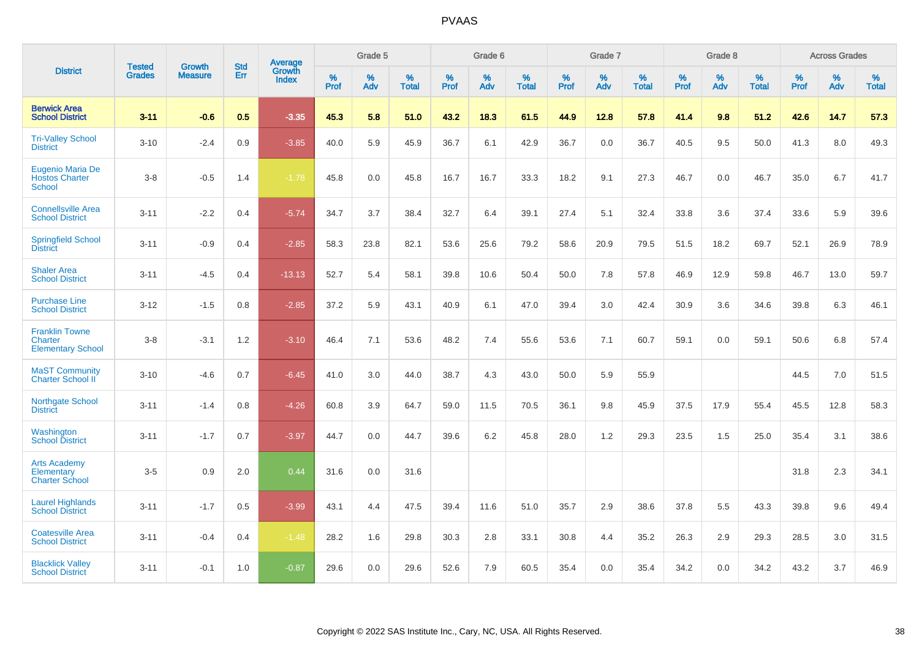|                                                              | <b>Tested</b> | <b>Growth</b>  | <b>Std</b> | Average                |              | Grade 5  |                   |           | Grade 6  |                   |              | Grade 7  |                   |           | Grade 8  |                   |           | <b>Across Grades</b> |                   |
|--------------------------------------------------------------|---------------|----------------|------------|------------------------|--------------|----------|-------------------|-----------|----------|-------------------|--------------|----------|-------------------|-----------|----------|-------------------|-----------|----------------------|-------------------|
| <b>District</b>                                              | <b>Grades</b> | <b>Measure</b> | Err        | Growth<br><b>Index</b> | $\%$<br>Prof | %<br>Adv | %<br><b>Total</b> | %<br>Prof | %<br>Adv | %<br><b>Total</b> | $\%$<br>Prof | %<br>Adv | %<br><b>Total</b> | %<br>Prof | %<br>Adv | %<br><b>Total</b> | %<br>Prof | %<br>Adv             | %<br><b>Total</b> |
| <b>Berwick Area</b><br><b>School District</b>                | $3 - 11$      | $-0.6$         | 0.5        | $-3.35$                | 45.3         | 5.8      | 51.0              | 43.2      | 18.3     | 61.5              | 44.9         | 12.8     | 57.8              | 41.4      | 9.8      | 51.2              | 42.6      | 14.7                 | 57.3              |
| <b>Tri-Valley School</b><br><b>District</b>                  | $3 - 10$      | $-2.4$         | 0.9        | $-3.85$                | 40.0         | 5.9      | 45.9              | 36.7      | 6.1      | 42.9              | 36.7         | 0.0      | 36.7              | 40.5      | 9.5      | 50.0              | 41.3      | 8.0                  | 49.3              |
| Eugenio Maria De<br><b>Hostos Charter</b><br><b>School</b>   | $3-8$         | $-0.5$         | 1.4        | $-1.78$                | 45.8         | 0.0      | 45.8              | 16.7      | 16.7     | 33.3              | 18.2         | 9.1      | 27.3              | 46.7      | 0.0      | 46.7              | 35.0      | 6.7                  | 41.7              |
| <b>Connellsville Area</b><br><b>School District</b>          | $3 - 11$      | $-2.2$         | 0.4        | $-5.74$                | 34.7         | 3.7      | 38.4              | 32.7      | 6.4      | 39.1              | 27.4         | 5.1      | 32.4              | 33.8      | 3.6      | 37.4              | 33.6      | 5.9                  | 39.6              |
| <b>Springfield School</b><br><b>District</b>                 | $3 - 11$      | $-0.9$         | 0.4        | $-2.85$                | 58.3         | 23.8     | 82.1              | 53.6      | 25.6     | 79.2              | 58.6         | 20.9     | 79.5              | 51.5      | 18.2     | 69.7              | 52.1      | 26.9                 | 78.9              |
| <b>Shaler Area</b><br><b>School District</b>                 | $3 - 11$      | $-4.5$         | 0.4        | $-13.13$               | 52.7         | 5.4      | 58.1              | 39.8      | 10.6     | 50.4              | 50.0         | 7.8      | 57.8              | 46.9      | 12.9     | 59.8              | 46.7      | 13.0                 | 59.7              |
| <b>Purchase Line</b><br><b>School District</b>               | $3 - 12$      | $-1.5$         | 0.8        | $-2.85$                | 37.2         | 5.9      | 43.1              | 40.9      | 6.1      | 47.0              | 39.4         | 3.0      | 42.4              | 30.9      | 3.6      | 34.6              | 39.8      | 6.3                  | 46.1              |
| <b>Franklin Towne</b><br>Charter<br><b>Elementary School</b> | $3-8$         | $-3.1$         | 1.2        | $-3.10$                | 46.4         | 7.1      | 53.6              | 48.2      | 7.4      | 55.6              | 53.6         | 7.1      | 60.7              | 59.1      | 0.0      | 59.1              | 50.6      | 6.8                  | 57.4              |
| <b>MaST Community</b><br>Charter School II                   | $3 - 10$      | $-4.6$         | 0.7        | $-6.45$                | 41.0         | 3.0      | 44.0              | 38.7      | 4.3      | 43.0              | 50.0         | 5.9      | 55.9              |           |          |                   | 44.5      | 7.0                  | 51.5              |
| Northgate School<br><b>District</b>                          | $3 - 11$      | $-1.4$         | 0.8        | $-4.26$                | 60.8         | 3.9      | 64.7              | 59.0      | 11.5     | 70.5              | 36.1         | 9.8      | 45.9              | 37.5      | 17.9     | 55.4              | 45.5      | 12.8                 | 58.3              |
| Washington<br><b>School District</b>                         | $3 - 11$      | $-1.7$         | 0.7        | $-3.97$                | 44.7         | 0.0      | 44.7              | 39.6      | 6.2      | 45.8              | 28.0         | 1.2      | 29.3              | 23.5      | 1.5      | 25.0              | 35.4      | 3.1                  | 38.6              |
| <b>Arts Academy</b><br>Elementary<br><b>Charter School</b>   | $3-5$         | 0.9            | 2.0        | 0.44                   | 31.6         | 0.0      | 31.6              |           |          |                   |              |          |                   |           |          |                   | 31.8      | 2.3                  | 34.1              |
| <b>Laurel Highlands</b><br><b>School District</b>            | $3 - 11$      | $-1.7$         | 0.5        | $-3.99$                | 43.1         | 4.4      | 47.5              | 39.4      | 11.6     | 51.0              | 35.7         | 2.9      | 38.6              | 37.8      | 5.5      | 43.3              | 39.8      | 9.6                  | 49.4              |
| <b>Coatesville Area</b><br><b>School District</b>            | $3 - 11$      | $-0.4$         | 0.4        | $-1.48$                | 28.2         | 1.6      | 29.8              | 30.3      | 2.8      | 33.1              | 30.8         | 4.4      | 35.2              | 26.3      | 2.9      | 29.3              | 28.5      | 3.0                  | 31.5              |
| <b>Blacklick Valley</b><br><b>School District</b>            | $3 - 11$      | $-0.1$         | 1.0        | $-0.87$                | 29.6         | 0.0      | 29.6              | 52.6      | 7.9      | 60.5              | 35.4         | 0.0      | 35.4              | 34.2      | 0.0      | 34.2              | 43.2      | 3.7                  | 46.9              |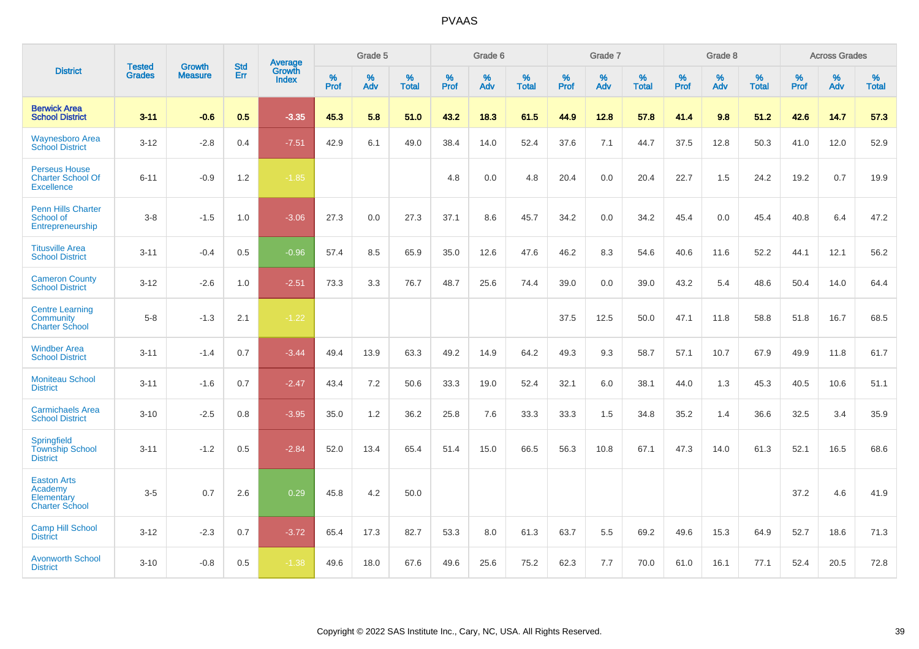|                                                                       | <b>Tested</b> |                          | <b>Std</b> | <b>Average</b>         |           | Grade 5  |                   |           | Grade 6  |                   |           | Grade 7  |                   |           | Grade 8  |                   |           | <b>Across Grades</b> |                   |
|-----------------------------------------------------------------------|---------------|--------------------------|------------|------------------------|-----------|----------|-------------------|-----------|----------|-------------------|-----------|----------|-------------------|-----------|----------|-------------------|-----------|----------------------|-------------------|
| <b>District</b>                                                       | <b>Grades</b> | Growth<br><b>Measure</b> | Err        | Growth<br><b>Index</b> | %<br>Prof | %<br>Adv | %<br><b>Total</b> | %<br>Prof | %<br>Adv | %<br><b>Total</b> | %<br>Prof | %<br>Adv | %<br><b>Total</b> | %<br>Prof | %<br>Adv | %<br><b>Total</b> | %<br>Prof | %<br>Adv             | %<br><b>Total</b> |
| <b>Berwick Area</b><br><b>School District</b>                         | $3 - 11$      | $-0.6$                   | 0.5        | $-3.35$                | 45.3      | 5.8      | 51.0              | 43.2      | 18.3     | 61.5              | 44.9      | 12.8     | 57.8              | 41.4      | 9.8      | 51.2              | 42.6      | 14.7                 | 57.3              |
| <b>Waynesboro Area</b><br><b>School District</b>                      | $3 - 12$      | $-2.8$                   | 0.4        | $-7.51$                | 42.9      | 6.1      | 49.0              | 38.4      | 14.0     | 52.4              | 37.6      | 7.1      | 44.7              | 37.5      | 12.8     | 50.3              | 41.0      | 12.0                 | 52.9              |
| <b>Perseus House</b><br><b>Charter School Of</b><br><b>Excellence</b> | $6 - 11$      | $-0.9$                   | 1.2        | $-1.85$                |           |          |                   | 4.8       | 0.0      | 4.8               | 20.4      | 0.0      | 20.4              | 22.7      | 1.5      | 24.2              | 19.2      | 0.7                  | 19.9              |
| <b>Penn Hills Charter</b><br>School of<br>Entrepreneurship            | $3-8$         | $-1.5$                   | 1.0        | $-3.06$                | 27.3      | 0.0      | 27.3              | 37.1      | 8.6      | 45.7              | 34.2      | 0.0      | 34.2              | 45.4      | 0.0      | 45.4              | 40.8      | 6.4                  | 47.2              |
| <b>Titusville Area</b><br><b>School District</b>                      | $3 - 11$      | $-0.4$                   | 0.5        | $-0.96$                | 57.4      | 8.5      | 65.9              | 35.0      | 12.6     | 47.6              | 46.2      | 8.3      | 54.6              | 40.6      | 11.6     | 52.2              | 44.1      | 12.1                 | 56.2              |
| <b>Cameron County</b><br><b>School District</b>                       | $3 - 12$      | $-2.6$                   | 1.0        | $-2.51$                | 73.3      | 3.3      | 76.7              | 48.7      | 25.6     | 74.4              | 39.0      | 0.0      | 39.0              | 43.2      | 5.4      | 48.6              | 50.4      | 14.0                 | 64.4              |
| <b>Centre Learning</b><br>Community<br><b>Charter School</b>          | $5 - 8$       | $-1.3$                   | 2.1        | $-1.22$                |           |          |                   |           |          |                   | 37.5      | 12.5     | 50.0              | 47.1      | 11.8     | 58.8              | 51.8      | 16.7                 | 68.5              |
| <b>Windber Area</b><br><b>School District</b>                         | $3 - 11$      | $-1.4$                   | 0.7        | $-3.44$                | 49.4      | 13.9     | 63.3              | 49.2      | 14.9     | 64.2              | 49.3      | 9.3      | 58.7              | 57.1      | 10.7     | 67.9              | 49.9      | 11.8                 | 61.7              |
| <b>Moniteau School</b><br><b>District</b>                             | $3 - 11$      | $-1.6$                   | 0.7        | $-2.47$                | 43.4      | 7.2      | 50.6              | 33.3      | 19.0     | 52.4              | 32.1      | 6.0      | 38.1              | 44.0      | 1.3      | 45.3              | 40.5      | 10.6                 | 51.1              |
| <b>Carmichaels Area</b><br><b>School District</b>                     | $3 - 10$      | $-2.5$                   | 0.8        | $-3.95$                | 35.0      | 1.2      | 36.2              | 25.8      | 7.6      | 33.3              | 33.3      | 1.5      | 34.8              | 35.2      | 1.4      | 36.6              | 32.5      | 3.4                  | 35.9              |
| Springfield<br><b>Township School</b><br><b>District</b>              | $3 - 11$      | $-1.2$                   | 0.5        | $-2.84$                | 52.0      | 13.4     | 65.4              | 51.4      | 15.0     | 66.5              | 56.3      | 10.8     | 67.1              | 47.3      | 14.0     | 61.3              | 52.1      | 16.5                 | 68.6              |
| <b>Easton Arts</b><br>Academy<br>Elementary<br><b>Charter School</b>  | $3-5$         | 0.7                      | 2.6        | 0.29                   | 45.8      | 4.2      | 50.0              |           |          |                   |           |          |                   |           |          |                   | 37.2      | 4.6                  | 41.9              |
| <b>Camp Hill School</b><br><b>District</b>                            | $3 - 12$      | $-2.3$                   | 0.7        | $-3.72$                | 65.4      | 17.3     | 82.7              | 53.3      | 8.0      | 61.3              | 63.7      | 5.5      | 69.2              | 49.6      | 15.3     | 64.9              | 52.7      | 18.6                 | 71.3              |
| <b>Avonworth School</b><br><b>District</b>                            | $3 - 10$      | $-0.8$                   | 0.5        | $-1.38$                | 49.6      | 18.0     | 67.6              | 49.6      | 25.6     | 75.2              | 62.3      | 7.7      | 70.0              | 61.0      | 16.1     | 77.1              | 52.4      | 20.5                 | 72.8              |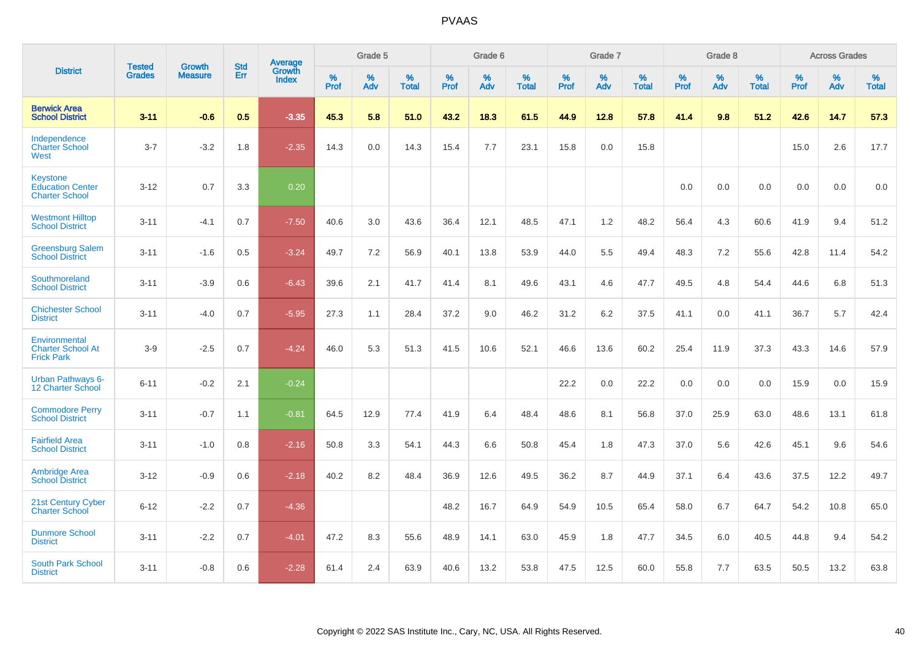|                                                                     | <b>Tested</b> | <b>Growth</b>  | <b>Std</b> | Average                       |           | Grade 5  |                   |           | Grade 6  |                   |           | Grade 7  |                   |           | Grade 8  |                   |           | <b>Across Grades</b> |                   |
|---------------------------------------------------------------------|---------------|----------------|------------|-------------------------------|-----------|----------|-------------------|-----------|----------|-------------------|-----------|----------|-------------------|-----------|----------|-------------------|-----------|----------------------|-------------------|
| <b>District</b>                                                     | <b>Grades</b> | <b>Measure</b> | Err        | <b>Growth</b><br><b>Index</b> | %<br>Prof | %<br>Adv | %<br><b>Total</b> | %<br>Prof | %<br>Adv | %<br><b>Total</b> | %<br>Prof | %<br>Adv | %<br><b>Total</b> | %<br>Prof | %<br>Adv | %<br><b>Total</b> | %<br>Prof | %<br>Adv             | %<br><b>Total</b> |
| <b>Berwick Area</b><br><b>School District</b>                       | $3 - 11$      | $-0.6$         | 0.5        | $-3.35$                       | 45.3      | 5.8      | 51.0              | 43.2      | 18.3     | 61.5              | 44.9      | 12.8     | 57.8              | 41.4      | 9.8      | 51.2              | 42.6      | 14.7                 | 57.3              |
| Independence<br><b>Charter School</b><br>West                       | $3 - 7$       | $-3.2$         | 1.8        | $-2.35$                       | 14.3      | 0.0      | 14.3              | 15.4      | 7.7      | 23.1              | 15.8      | 0.0      | 15.8              |           |          |                   | 15.0      | 2.6                  | 17.7              |
| <b>Keystone</b><br><b>Education Center</b><br><b>Charter School</b> | $3 - 12$      | 0.7            | 3.3        | 0.20                          |           |          |                   |           |          |                   |           |          |                   | 0.0       | 0.0      | 0.0               | 0.0       | 0.0                  | 0.0               |
| <b>Westmont Hilltop</b><br><b>School District</b>                   | $3 - 11$      | $-4.1$         | 0.7        | $-7.50$                       | 40.6      | 3.0      | 43.6              | 36.4      | 12.1     | 48.5              | 47.1      | 1.2      | 48.2              | 56.4      | 4.3      | 60.6              | 41.9      | 9.4                  | 51.2              |
| <b>Greensburg Salem</b><br><b>School District</b>                   | $3 - 11$      | $-1.6$         | 0.5        | $-3.24$                       | 49.7      | 7.2      | 56.9              | 40.1      | 13.8     | 53.9              | 44.0      | 5.5      | 49.4              | 48.3      | 7.2      | 55.6              | 42.8      | 11.4                 | 54.2              |
| Southmoreland<br><b>School District</b>                             | $3 - 11$      | $-3.9$         | 0.6        | $-6.43$                       | 39.6      | 2.1      | 41.7              | 41.4      | 8.1      | 49.6              | 43.1      | 4.6      | 47.7              | 49.5      | 4.8      | 54.4              | 44.6      | 6.8                  | 51.3              |
| <b>Chichester School</b><br><b>District</b>                         | $3 - 11$      | $-4.0$         | 0.7        | $-5.95$                       | 27.3      | 1.1      | 28.4              | 37.2      | 9.0      | 46.2              | 31.2      | 6.2      | 37.5              | 41.1      | 0.0      | 41.1              | 36.7      | 5.7                  | 42.4              |
| Environmental<br><b>Charter School At</b><br><b>Frick Park</b>      | $3-9$         | $-2.5$         | 0.7        | $-4.24$                       | 46.0      | 5.3      | 51.3              | 41.5      | 10.6     | 52.1              | 46.6      | 13.6     | 60.2              | 25.4      | 11.9     | 37.3              | 43.3      | 14.6                 | 57.9              |
| <b>Urban Pathways 6-</b><br>12 Charter School                       | $6 - 11$      | $-0.2$         | 2.1        | $-0.24$                       |           |          |                   |           |          |                   | 22.2      | 0.0      | 22.2              | 0.0       | 0.0      | 0.0               | 15.9      | 0.0                  | 15.9              |
| <b>Commodore Perry</b><br><b>School District</b>                    | $3 - 11$      | $-0.7$         | 1.1        | $-0.81$                       | 64.5      | 12.9     | 77.4              | 41.9      | 6.4      | 48.4              | 48.6      | 8.1      | 56.8              | 37.0      | 25.9     | 63.0              | 48.6      | 13.1                 | 61.8              |
| <b>Fairfield Area</b><br><b>School District</b>                     | $3 - 11$      | $-1.0$         | 0.8        | $-2.16$                       | 50.8      | 3.3      | 54.1              | 44.3      | 6.6      | 50.8              | 45.4      | 1.8      | 47.3              | 37.0      | 5.6      | 42.6              | 45.1      | 9.6                  | 54.6              |
| <b>Ambridge Area</b><br><b>School District</b>                      | $3 - 12$      | $-0.9$         | 0.6        | $-2.18$                       | 40.2      | 8.2      | 48.4              | 36.9      | 12.6     | 49.5              | 36.2      | 8.7      | 44.9              | 37.1      | 6.4      | 43.6              | 37.5      | 12.2                 | 49.7              |
| <b>21st Century Cyber</b><br><b>Charter School</b>                  | $6 - 12$      | $-2.2$         | 0.7        | $-4.36$                       |           |          |                   | 48.2      | 16.7     | 64.9              | 54.9      | 10.5     | 65.4              | 58.0      | 6.7      | 64.7              | 54.2      | 10.8                 | 65.0              |
| <b>Dunmore School</b><br><b>District</b>                            | $3 - 11$      | $-2.2$         | 0.7        | $-4.01$                       | 47.2      | 8.3      | 55.6              | 48.9      | 14.1     | 63.0              | 45.9      | 1.8      | 47.7              | 34.5      | 6.0      | 40.5              | 44.8      | 9.4                  | 54.2              |
| <b>South Park School</b><br><b>District</b>                         | $3 - 11$      | $-0.8$         | 0.6        | $-2.28$                       | 61.4      | 2.4      | 63.9              | 40.6      | 13.2     | 53.8              | 47.5      | 12.5     | 60.0              | 55.8      | 7.7      | 63.5              | 50.5      | 13.2                 | 63.8              |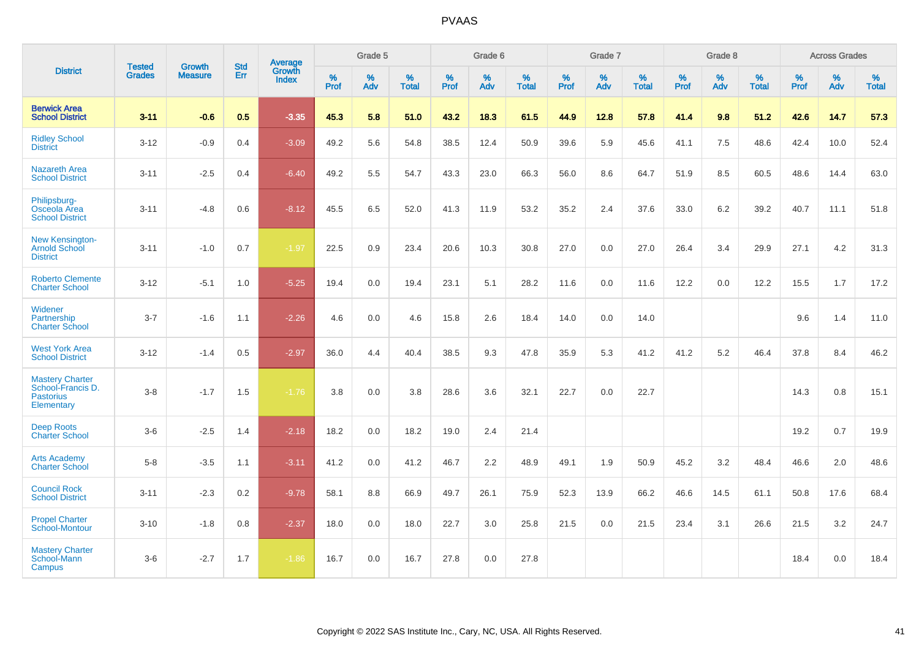|                                                                               | <b>Tested</b> | <b>Growth</b>  | <b>Std</b> | Average         |              | Grade 5  |                   |              | Grade 6  |                   |              | Grade 7  |                   |              | Grade 8  |                   |              | <b>Across Grades</b> |                   |
|-------------------------------------------------------------------------------|---------------|----------------|------------|-----------------|--------------|----------|-------------------|--------------|----------|-------------------|--------------|----------|-------------------|--------------|----------|-------------------|--------------|----------------------|-------------------|
| <b>District</b>                                                               | <b>Grades</b> | <b>Measure</b> | Err        | Growth<br>Index | $\%$<br>Prof | %<br>Adv | %<br><b>Total</b> | $\%$<br>Prof | %<br>Adv | %<br><b>Total</b> | $\%$<br>Prof | %<br>Adv | %<br><b>Total</b> | $\%$<br>Prof | %<br>Adv | %<br><b>Total</b> | $\%$<br>Prof | $\%$<br>Adv          | %<br><b>Total</b> |
| <b>Berwick Area</b><br><b>School District</b>                                 | $3 - 11$      | $-0.6$         | 0.5        | $-3.35$         | 45.3         | 5.8      | 51.0              | 43.2         | 18.3     | 61.5              | 44.9         | 12.8     | 57.8              | 41.4         | 9.8      | 51.2              | 42.6         | 14.7                 | 57.3              |
| <b>Ridley School</b><br><b>District</b>                                       | $3 - 12$      | $-0.9$         | 0.4        | $-3.09$         | 49.2         | 5.6      | 54.8              | 38.5         | 12.4     | 50.9              | 39.6         | 5.9      | 45.6              | 41.1         | 7.5      | 48.6              | 42.4         | 10.0                 | 52.4              |
| <b>Nazareth Area</b><br><b>School District</b>                                | $3 - 11$      | $-2.5$         | 0.4        | $-6.40$         | 49.2         | 5.5      | 54.7              | 43.3         | 23.0     | 66.3              | 56.0         | 8.6      | 64.7              | 51.9         | 8.5      | 60.5              | 48.6         | 14.4                 | 63.0              |
| Philipsburg-<br>Osceola Area<br><b>School District</b>                        | $3 - 11$      | $-4.8$         | 0.6        | $-8.12$         | 45.5         | 6.5      | 52.0              | 41.3         | 11.9     | 53.2              | 35.2         | 2.4      | 37.6              | 33.0         | 6.2      | 39.2              | 40.7         | 11.1                 | 51.8              |
| New Kensington-<br><b>Arnold School</b><br><b>District</b>                    | $3 - 11$      | $-1.0$         | 0.7        | $-1.97$         | 22.5         | 0.9      | 23.4              | 20.6         | 10.3     | 30.8              | 27.0         | 0.0      | 27.0              | 26.4         | 3.4      | 29.9              | 27.1         | 4.2                  | 31.3              |
| <b>Roberto Clemente</b><br><b>Charter School</b>                              | $3 - 12$      | $-5.1$         | 1.0        | $-5.25$         | 19.4         | 0.0      | 19.4              | 23.1         | 5.1      | 28.2              | 11.6         | 0.0      | 11.6              | 12.2         | 0.0      | 12.2              | 15.5         | 1.7                  | 17.2              |
| Widener<br>Partnership<br><b>Charter School</b>                               | $3 - 7$       | $-1.6$         | 1.1        | $-2.26$         | 4.6          | 0.0      | 4.6               | 15.8         | 2.6      | 18.4              | 14.0         | 0.0      | 14.0              |              |          |                   | 9.6          | 1.4                  | 11.0              |
| <b>West York Area</b><br><b>School District</b>                               | $3 - 12$      | $-1.4$         | 0.5        | $-2.97$         | 36.0         | 4.4      | 40.4              | 38.5         | 9.3      | 47.8              | 35.9         | 5.3      | 41.2              | 41.2         | 5.2      | 46.4              | 37.8         | 8.4                  | 46.2              |
| <b>Mastery Charter</b><br>School-Francis D.<br><b>Pastorius</b><br>Elementary | $3-8$         | $-1.7$         | 1.5        | $-1.76$         | 3.8          | 0.0      | 3.8               | 28.6         | 3.6      | 32.1              | 22.7         | 0.0      | 22.7              |              |          |                   | 14.3         | 0.8                  | 15.1              |
| <b>Deep Roots</b><br><b>Charter School</b>                                    | $3-6$         | $-2.5$         | 1.4        | $-2.18$         | 18.2         | 0.0      | 18.2              | 19.0         | 2.4      | 21.4              |              |          |                   |              |          |                   | 19.2         | 0.7                  | 19.9              |
| <b>Arts Academy</b><br><b>Charter School</b>                                  | $5 - 8$       | $-3.5$         | 1.1        | $-3.11$         | 41.2         | 0.0      | 41.2              | 46.7         | 2.2      | 48.9              | 49.1         | 1.9      | 50.9              | 45.2         | 3.2      | 48.4              | 46.6         | 2.0                  | 48.6              |
| <b>Council Rock</b><br><b>School District</b>                                 | $3 - 11$      | $-2.3$         | $0.2\,$    | $-9.78$         | 58.1         | 8.8      | 66.9              | 49.7         | 26.1     | 75.9              | 52.3         | 13.9     | 66.2              | 46.6         | 14.5     | 61.1              | 50.8         | 17.6                 | 68.4              |
| <b>Propel Charter</b><br><b>School-Montour</b>                                | $3 - 10$      | $-1.8$         | 0.8        | $-2.37$         | 18.0         | 0.0      | 18.0              | 22.7         | 3.0      | 25.8              | 21.5         | 0.0      | 21.5              | 23.4         | 3.1      | 26.6              | 21.5         | 3.2                  | 24.7              |
| <b>Mastery Charter</b><br>School-Mann<br>Campus                               | $3-6$         | $-2.7$         | 1.7        | $-1.86$         | 16.7         | 0.0      | 16.7              | 27.8         | 0.0      | 27.8              |              |          |                   |              |          |                   | 18.4         | 0.0                  | 18.4              |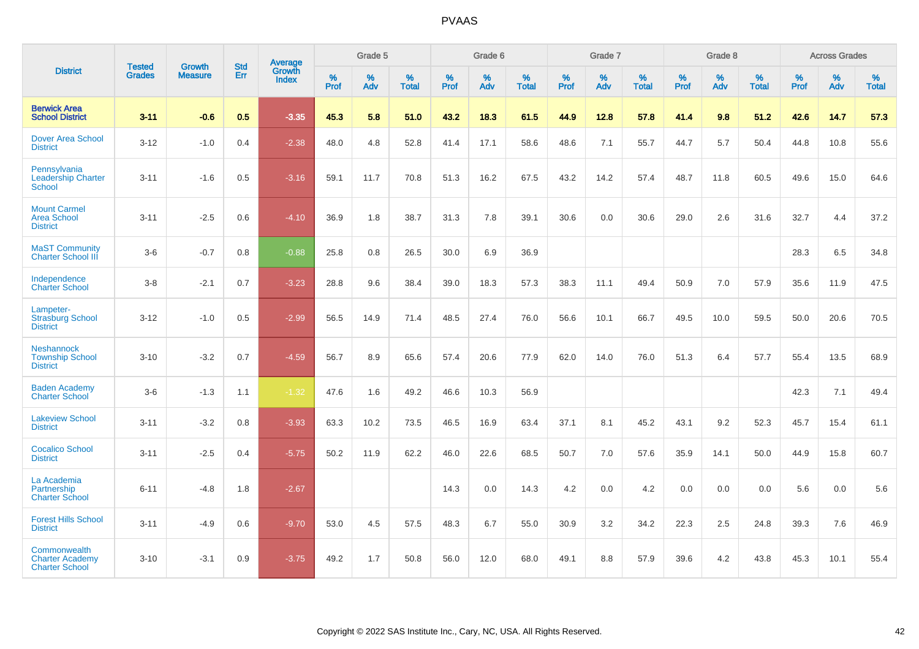|                                                                 | <b>Tested</b> | <b>Growth</b>  | <b>Std</b> | Average                |                     | Grade 5  |                   |              | Grade 6  |                   |              | Grade 7  |                   |           | Grade 8  |                   |           | <b>Across Grades</b> |                   |
|-----------------------------------------------------------------|---------------|----------------|------------|------------------------|---------------------|----------|-------------------|--------------|----------|-------------------|--------------|----------|-------------------|-----------|----------|-------------------|-----------|----------------------|-------------------|
| <b>District</b>                                                 | <b>Grades</b> | <b>Measure</b> | Err        | Growth<br><b>Index</b> | $\%$<br><b>Prof</b> | %<br>Adv | %<br><b>Total</b> | $\%$<br>Prof | %<br>Adv | %<br><b>Total</b> | $\%$<br>Prof | %<br>Adv | %<br><b>Total</b> | %<br>Prof | %<br>Adv | %<br><b>Total</b> | %<br>Prof | %<br>Adv             | %<br><b>Total</b> |
| <b>Berwick Area</b><br><b>School District</b>                   | $3 - 11$      | $-0.6$         | 0.5        | $-3.35$                | 45.3                | 5.8      | 51.0              | 43.2         | 18.3     | 61.5              | 44.9         | 12.8     | 57.8              | 41.4      | 9.8      | 51.2              | 42.6      | 14.7                 | 57.3              |
| <b>Dover Area School</b><br><b>District</b>                     | $3 - 12$      | $-1.0$         | 0.4        | $-2.38$                | 48.0                | 4.8      | 52.8              | 41.4         | 17.1     | 58.6              | 48.6         | 7.1      | 55.7              | 44.7      | 5.7      | 50.4              | 44.8      | 10.8                 | 55.6              |
| Pennsylvania<br><b>Leadership Charter</b><br>School             | $3 - 11$      | $-1.6$         | 0.5        | $-3.16$                | 59.1                | 11.7     | 70.8              | 51.3         | 16.2     | 67.5              | 43.2         | 14.2     | 57.4              | 48.7      | 11.8     | 60.5              | 49.6      | 15.0                 | 64.6              |
| <b>Mount Carmel</b><br><b>Area School</b><br><b>District</b>    | $3 - 11$      | $-2.5$         | 0.6        | $-4.10$                | 36.9                | 1.8      | 38.7              | 31.3         | 7.8      | 39.1              | 30.6         | 0.0      | 30.6              | 29.0      | 2.6      | 31.6              | 32.7      | 4.4                  | 37.2              |
| <b>MaST Community</b><br><b>Charter School III</b>              | $3-6$         | $-0.7$         | 0.8        | $-0.88$                | 25.8                | 0.8      | 26.5              | 30.0         | 6.9      | 36.9              |              |          |                   |           |          |                   | 28.3      | 6.5                  | 34.8              |
| Independence<br><b>Charter School</b>                           | $3 - 8$       | $-2.1$         | 0.7        | $-3.23$                | 28.8                | 9.6      | 38.4              | 39.0         | 18.3     | 57.3              | 38.3         | 11.1     | 49.4              | 50.9      | 7.0      | 57.9              | 35.6      | 11.9                 | 47.5              |
| Lampeter-<br><b>Strasburg School</b><br><b>District</b>         | $3 - 12$      | $-1.0$         | 0.5        | $-2.99$                | 56.5                | 14.9     | 71.4              | 48.5         | 27.4     | 76.0              | 56.6         | 10.1     | 66.7              | 49.5      | 10.0     | 59.5              | 50.0      | 20.6                 | 70.5              |
| <b>Neshannock</b><br><b>Township School</b><br><b>District</b>  | $3 - 10$      | $-3.2$         | 0.7        | $-4.59$                | 56.7                | 8.9      | 65.6              | 57.4         | 20.6     | 77.9              | 62.0         | 14.0     | 76.0              | 51.3      | 6.4      | 57.7              | 55.4      | 13.5                 | 68.9              |
| <b>Baden Academy</b><br><b>Charter School</b>                   | $3-6$         | $-1.3$         | 1.1        | $-1.32$                | 47.6                | 1.6      | 49.2              | 46.6         | 10.3     | 56.9              |              |          |                   |           |          |                   | 42.3      | 7.1                  | 49.4              |
| <b>Lakeview School</b><br><b>District</b>                       | $3 - 11$      | $-3.2$         | 0.8        | $-3.93$                | 63.3                | 10.2     | 73.5              | 46.5         | 16.9     | 63.4              | 37.1         | 8.1      | 45.2              | 43.1      | 9.2      | 52.3              | 45.7      | 15.4                 | 61.1              |
| <b>Cocalico School</b><br><b>District</b>                       | $3 - 11$      | $-2.5$         | 0.4        | $-5.75$                | 50.2                | 11.9     | 62.2              | 46.0         | 22.6     | 68.5              | 50.7         | 7.0      | 57.6              | 35.9      | 14.1     | 50.0              | 44.9      | 15.8                 | 60.7              |
| La Academia<br>Partnership<br><b>Charter School</b>             | $6 - 11$      | $-4.8$         | 1.8        | $-2.67$                |                     |          |                   | 14.3         | 0.0      | 14.3              | 4.2          | $0.0\,$  | 4.2               | 0.0       | 0.0      | 0.0               | 5.6       | $0.0\,$              | 5.6               |
| <b>Forest Hills School</b><br><b>District</b>                   | $3 - 11$      | $-4.9$         | 0.6        | $-9.70$                | 53.0                | 4.5      | 57.5              | 48.3         | 6.7      | 55.0              | 30.9         | 3.2      | 34.2              | 22.3      | 2.5      | 24.8              | 39.3      | 7.6                  | 46.9              |
| Commonwealth<br><b>Charter Academy</b><br><b>Charter School</b> | $3 - 10$      | $-3.1$         | 0.9        | $-3.75$                | 49.2                | 1.7      | 50.8              | 56.0         | 12.0     | 68.0              | 49.1         | 8.8      | 57.9              | 39.6      | 4.2      | 43.8              | 45.3      | 10.1                 | 55.4              |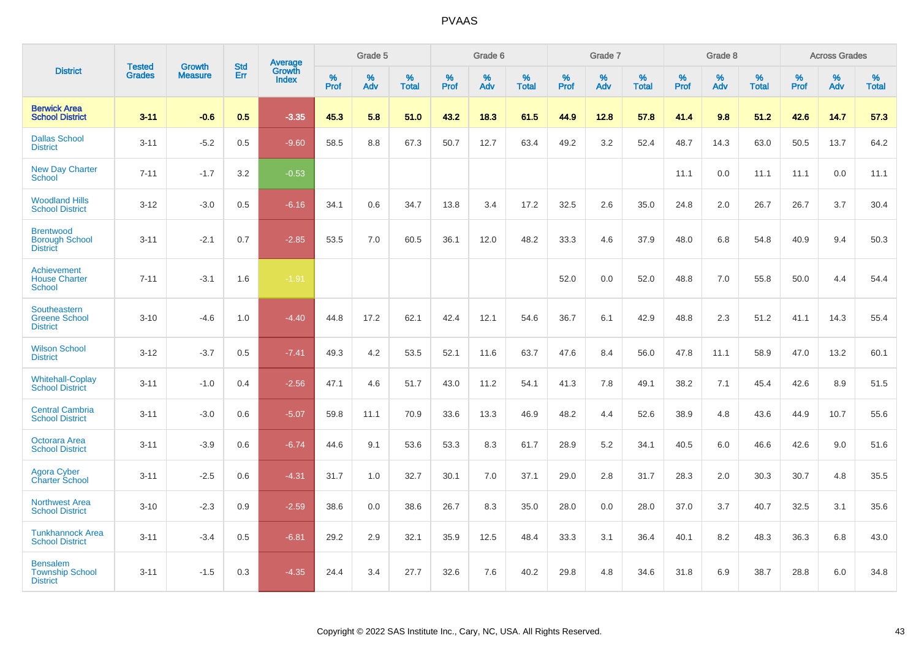|                                                              |                                |                                 | <b>Std</b> | Average                |           | Grade 5  |                   |           | Grade 6  |                   |           | Grade 7  |                   |           | Grade 8  |                   |           | <b>Across Grades</b> |                   |
|--------------------------------------------------------------|--------------------------------|---------------------------------|------------|------------------------|-----------|----------|-------------------|-----------|----------|-------------------|-----------|----------|-------------------|-----------|----------|-------------------|-----------|----------------------|-------------------|
| <b>District</b>                                              | <b>Tested</b><br><b>Grades</b> | <b>Growth</b><br><b>Measure</b> | Err        | Growth<br><b>Index</b> | %<br>Prof | %<br>Adv | %<br><b>Total</b> | %<br>Prof | %<br>Adv | %<br><b>Total</b> | %<br>Prof | %<br>Adv | %<br><b>Total</b> | %<br>Prof | %<br>Adv | %<br><b>Total</b> | %<br>Prof | %<br>Adv             | %<br><b>Total</b> |
| <b>Berwick Area</b><br><b>School District</b>                | $3 - 11$                       | $-0.6$                          | 0.5        | $-3.35$                | 45.3      | 5.8      | 51.0              | 43.2      | 18.3     | 61.5              | 44.9      | 12.8     | 57.8              | 41.4      | 9.8      | 51.2              | 42.6      | 14.7                 | 57.3              |
| <b>Dallas School</b><br><b>District</b>                      | $3 - 11$                       | $-5.2$                          | 0.5        | $-9.60$                | 58.5      | 8.8      | 67.3              | 50.7      | 12.7     | 63.4              | 49.2      | 3.2      | 52.4              | 48.7      | 14.3     | 63.0              | 50.5      | 13.7                 | 64.2              |
| <b>New Day Charter</b><br><b>School</b>                      | $7 - 11$                       | $-1.7$                          | 3.2        | $-0.53$                |           |          |                   |           |          |                   |           |          |                   | 11.1      | 0.0      | 11.1              | 11.1      | 0.0                  | 11.1              |
| <b>Woodland Hills</b><br><b>School District</b>              | $3 - 12$                       | $-3.0$                          | 0.5        | $-6.16$                | 34.1      | 0.6      | 34.7              | 13.8      | 3.4      | 17.2              | 32.5      | 2.6      | 35.0              | 24.8      | 2.0      | 26.7              | 26.7      | 3.7                  | 30.4              |
| <b>Brentwood</b><br><b>Borough School</b><br><b>District</b> | $3 - 11$                       | $-2.1$                          | 0.7        | $-2.85$                | 53.5      | 7.0      | 60.5              | 36.1      | 12.0     | 48.2              | 33.3      | 4.6      | 37.9              | 48.0      | 6.8      | 54.8              | 40.9      | 9.4                  | 50.3              |
| Achievement<br><b>House Charter</b><br><b>School</b>         | $7 - 11$                       | $-3.1$                          | 1.6        | $-1.91$                |           |          |                   |           |          |                   | 52.0      | 0.0      | 52.0              | 48.8      | 7.0      | 55.8              | 50.0      | 4.4                  | 54.4              |
| Southeastern<br><b>Greene School</b><br><b>District</b>      | $3 - 10$                       | $-4.6$                          | 1.0        | $-4.40$                | 44.8      | 17.2     | 62.1              | 42.4      | 12.1     | 54.6              | 36.7      | 6.1      | 42.9              | 48.8      | 2.3      | 51.2              | 41.1      | 14.3                 | 55.4              |
| <b>Wilson School</b><br><b>District</b>                      | $3 - 12$                       | $-3.7$                          | 0.5        | $-7.41$                | 49.3      | 4.2      | 53.5              | 52.1      | 11.6     | 63.7              | 47.6      | 8.4      | 56.0              | 47.8      | 11.1     | 58.9              | 47.0      | 13.2                 | 60.1              |
| <b>Whitehall-Coplay</b><br><b>School District</b>            | $3 - 11$                       | $-1.0$                          | 0.4        | $-2.56$                | 47.1      | 4.6      | 51.7              | 43.0      | 11.2     | 54.1              | 41.3      | 7.8      | 49.1              | 38.2      | 7.1      | 45.4              | 42.6      | 8.9                  | 51.5              |
| <b>Central Cambria</b><br><b>School District</b>             | $3 - 11$                       | $-3.0$                          | 0.6        | $-5.07$                | 59.8      | 11.1     | 70.9              | 33.6      | 13.3     | 46.9              | 48.2      | 4.4      | 52.6              | 38.9      | 4.8      | 43.6              | 44.9      | 10.7                 | 55.6              |
| Octorara Area<br><b>School District</b>                      | $3 - 11$                       | $-3.9$                          | 0.6        | $-6.74$                | 44.6      | 9.1      | 53.6              | 53.3      | 8.3      | 61.7              | 28.9      | 5.2      | 34.1              | 40.5      | 6.0      | 46.6              | 42.6      | 9.0                  | 51.6              |
| Agora Cyber<br><b>Charter School</b>                         | $3 - 11$                       | $-2.5$                          | 0.6        | $-4.31$                | 31.7      | 1.0      | 32.7              | 30.1      | 7.0      | 37.1              | 29.0      | 2.8      | 31.7              | 28.3      | 2.0      | 30.3              | 30.7      | 4.8                  | 35.5              |
| <b>Northwest Area</b><br><b>School District</b>              | $3 - 10$                       | $-2.3$                          | 0.9        | $-2.59$                | 38.6      | 0.0      | 38.6              | 26.7      | 8.3      | 35.0              | 28.0      | 0.0      | 28.0              | 37.0      | 3.7      | 40.7              | 32.5      | 3.1                  | 35.6              |
| <b>Tunkhannock Area</b><br><b>School District</b>            | $3 - 11$                       | $-3.4$                          | 0.5        | $-6.81$                | 29.2      | 2.9      | 32.1              | 35.9      | 12.5     | 48.4              | 33.3      | 3.1      | 36.4              | 40.1      | 8.2      | 48.3              | 36.3      | 6.8                  | 43.0              |
| <b>Bensalem</b><br><b>Township School</b><br><b>District</b> | $3 - 11$                       | $-1.5$                          | 0.3        | $-4.35$                | 24.4      | 3.4      | 27.7              | 32.6      | 7.6      | 40.2              | 29.8      | 4.8      | 34.6              | 31.8      | 6.9      | 38.7              | 28.8      | 6.0                  | 34.8              |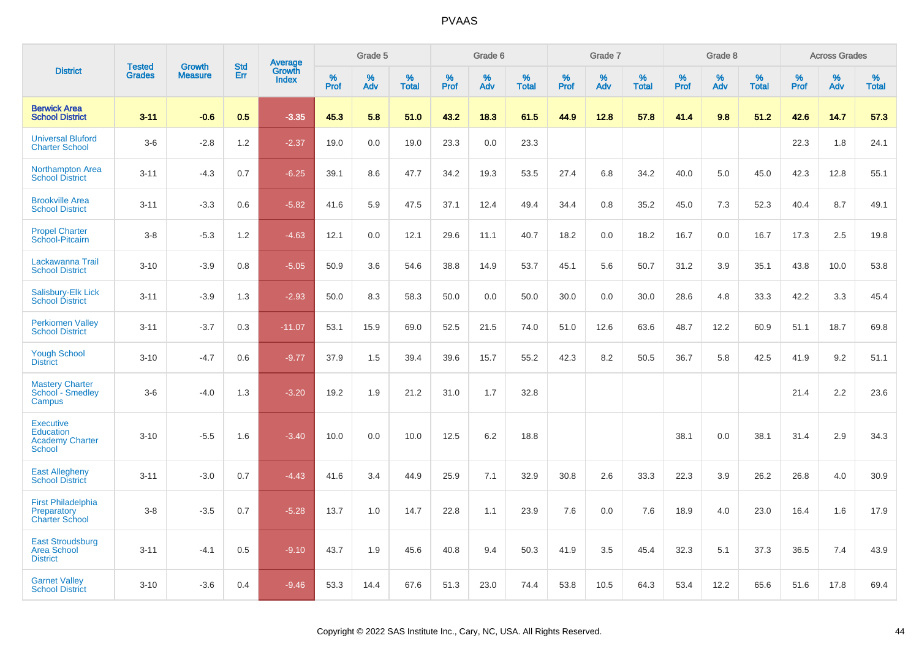|                                                                          | <b>Tested</b> | <b>Growth</b>  | <b>Std</b> | Average         |           | Grade 5  |                   |           | Grade 6  |                   |           | Grade 7  |                   |           | Grade 8  |                   |           | <b>Across Grades</b> |                   |
|--------------------------------------------------------------------------|---------------|----------------|------------|-----------------|-----------|----------|-------------------|-----------|----------|-------------------|-----------|----------|-------------------|-----------|----------|-------------------|-----------|----------------------|-------------------|
| <b>District</b>                                                          | <b>Grades</b> | <b>Measure</b> | Err        | Growth<br>Index | %<br>Prof | %<br>Adv | %<br><b>Total</b> | %<br>Prof | %<br>Adv | %<br><b>Total</b> | %<br>Prof | %<br>Adv | %<br><b>Total</b> | %<br>Prof | %<br>Adv | %<br><b>Total</b> | %<br>Prof | %<br>Adv             | %<br><b>Total</b> |
| <b>Berwick Area</b><br><b>School District</b>                            | $3 - 11$      | $-0.6$         | 0.5        | $-3.35$         | 45.3      | 5.8      | 51.0              | 43.2      | 18.3     | 61.5              | 44.9      | 12.8     | 57.8              | 41.4      | 9.8      | 51.2              | 42.6      | 14.7                 | 57.3              |
| <b>Universal Bluford</b><br><b>Charter School</b>                        | $3-6$         | $-2.8$         | 1.2        | $-2.37$         | 19.0      | 0.0      | 19.0              | 23.3      | 0.0      | 23.3              |           |          |                   |           |          |                   | 22.3      | 1.8                  | 24.1              |
| <b>Northampton Area</b><br><b>School District</b>                        | $3 - 11$      | $-4.3$         | 0.7        | $-6.25$         | 39.1      | 8.6      | 47.7              | 34.2      | 19.3     | 53.5              | 27.4      | 6.8      | 34.2              | 40.0      | 5.0      | 45.0              | 42.3      | 12.8                 | 55.1              |
| <b>Brookville Area</b><br><b>School District</b>                         | $3 - 11$      | $-3.3$         | 0.6        | $-5.82$         | 41.6      | 5.9      | 47.5              | 37.1      | 12.4     | 49.4              | 34.4      | 0.8      | 35.2              | 45.0      | 7.3      | 52.3              | 40.4      | 8.7                  | 49.1              |
| <b>Propel Charter</b><br>School-Pitcairn                                 | $3 - 8$       | $-5.3$         | 1.2        | $-4.63$         | 12.1      | 0.0      | 12.1              | 29.6      | 11.1     | 40.7              | 18.2      | 0.0      | 18.2              | 16.7      | 0.0      | 16.7              | 17.3      | 2.5                  | 19.8              |
| Lackawanna Trail<br><b>School District</b>                               | $3 - 10$      | $-3.9$         | 0.8        | $-5.05$         | 50.9      | 3.6      | 54.6              | 38.8      | 14.9     | 53.7              | 45.1      | 5.6      | 50.7              | 31.2      | 3.9      | 35.1              | 43.8      | 10.0                 | 53.8              |
| Salisbury-Elk Lick<br><b>School District</b>                             | $3 - 11$      | $-3.9$         | 1.3        | $-2.93$         | 50.0      | 8.3      | 58.3              | 50.0      | 0.0      | 50.0              | 30.0      | 0.0      | 30.0              | 28.6      | 4.8      | 33.3              | 42.2      | 3.3                  | 45.4              |
| <b>Perkiomen Valley</b><br><b>School District</b>                        | $3 - 11$      | $-3.7$         | 0.3        | $-11.07$        | 53.1      | 15.9     | 69.0              | 52.5      | 21.5     | 74.0              | 51.0      | 12.6     | 63.6              | 48.7      | 12.2     | 60.9              | 51.1      | 18.7                 | 69.8              |
| <b>Yough School</b><br><b>District</b>                                   | $3 - 10$      | $-4.7$         | 0.6        | $-9.77$         | 37.9      | 1.5      | 39.4              | 39.6      | 15.7     | 55.2              | 42.3      | 8.2      | 50.5              | 36.7      | 5.8      | 42.5              | 41.9      | 9.2                  | 51.1              |
| <b>Mastery Charter</b><br>School - Smedley<br>Campus                     | $3-6$         | $-4.0$         | 1.3        | $-3.20$         | 19.2      | 1.9      | 21.2              | 31.0      | 1.7      | 32.8              |           |          |                   |           |          |                   | 21.4      | 2.2                  | 23.6              |
| <b>Executive</b><br>Education<br><b>Academy Charter</b><br><b>School</b> | $3 - 10$      | $-5.5$         | 1.6        | $-3.40$         | 10.0      | 0.0      | 10.0              | 12.5      | 6.2      | 18.8              |           |          |                   | 38.1      | 0.0      | 38.1              | 31.4      | 2.9                  | 34.3              |
| <b>East Allegheny</b><br><b>School District</b>                          | $3 - 11$      | $-3.0$         | 0.7        | $-4.43$         | 41.6      | 3.4      | 44.9              | 25.9      | 7.1      | 32.9              | 30.8      | 2.6      | 33.3              | 22.3      | 3.9      | 26.2              | 26.8      | 4.0                  | 30.9              |
| <b>First Philadelphia</b><br>Preparatory<br><b>Charter School</b>        | $3-8$         | $-3.5$         | 0.7        | $-5.28$         | 13.7      | 1.0      | 14.7              | 22.8      | 1.1      | 23.9              | 7.6       | 0.0      | 7.6               | 18.9      | 4.0      | 23.0              | 16.4      | 1.6                  | 17.9              |
| <b>East Stroudsburg</b><br><b>Area School</b><br><b>District</b>         | $3 - 11$      | $-4.1$         | 0.5        | $-9.10$         | 43.7      | 1.9      | 45.6              | 40.8      | 9.4      | 50.3              | 41.9      | 3.5      | 45.4              | 32.3      | 5.1      | 37.3              | 36.5      | 7.4                  | 43.9              |
| <b>Garnet Valley</b><br><b>School District</b>                           | $3 - 10$      | $-3.6$         | 0.4        | $-9.46$         | 53.3      | 14.4     | 67.6              | 51.3      | 23.0     | 74.4              | 53.8      | 10.5     | 64.3              | 53.4      | 12.2     | 65.6              | 51.6      | 17.8                 | 69.4              |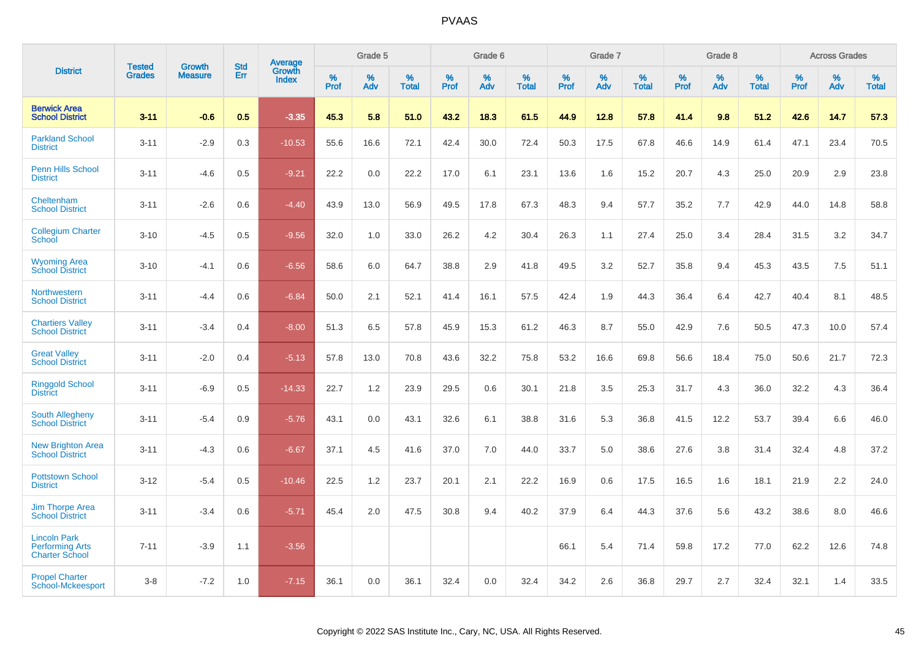|                                                                        |                                | <b>Growth</b>  | <b>Std</b> | <b>Average</b><br>Growth |              | Grade 5  |                      |              | Grade 6     |                      |              | Grade 7  |                      |              | Grade 8     |                      |              | <b>Across Grades</b> |                      |
|------------------------------------------------------------------------|--------------------------------|----------------|------------|--------------------------|--------------|----------|----------------------|--------------|-------------|----------------------|--------------|----------|----------------------|--------------|-------------|----------------------|--------------|----------------------|----------------------|
| <b>District</b>                                                        | <b>Tested</b><br><b>Grades</b> | <b>Measure</b> | Err        | <b>Index</b>             | $\%$<br>Prof | %<br>Adv | $\%$<br><b>Total</b> | $\%$<br>Prof | $\%$<br>Adv | $\%$<br><b>Total</b> | $\%$<br>Prof | %<br>Adv | $\%$<br><b>Total</b> | $\%$<br>Prof | $\%$<br>Adv | $\%$<br><b>Total</b> | $\%$<br>Prof | $\%$<br>Adv          | $\%$<br><b>Total</b> |
| <b>Berwick Area</b><br><b>School District</b>                          | $3 - 11$                       | $-0.6$         | 0.5        | $-3.35$                  | 45.3         | 5.8      | 51.0                 | 43.2         | 18.3        | 61.5                 | 44.9         | 12.8     | 57.8                 | 41.4         | 9.8         | 51.2                 | 42.6         | 14.7                 | 57.3                 |
| <b>Parkland School</b><br><b>District</b>                              | $3 - 11$                       | $-2.9$         | 0.3        | $-10.53$                 | 55.6         | 16.6     | 72.1                 | 42.4         | 30.0        | 72.4                 | 50.3         | 17.5     | 67.8                 | 46.6         | 14.9        | 61.4                 | 47.1         | 23.4                 | 70.5                 |
| <b>Penn Hills School</b><br><b>District</b>                            | $3 - 11$                       | $-4.6$         | 0.5        | $-9.21$                  | 22.2         | 0.0      | 22.2                 | 17.0         | 6.1         | 23.1                 | 13.6         | 1.6      | 15.2                 | 20.7         | 4.3         | 25.0                 | 20.9         | 2.9                  | 23.8                 |
| Cheltenham<br><b>School District</b>                                   | $3 - 11$                       | $-2.6$         | 0.6        | $-4.40$                  | 43.9         | 13.0     | 56.9                 | 49.5         | 17.8        | 67.3                 | 48.3         | 9.4      | 57.7                 | 35.2         | 7.7         | 42.9                 | 44.0         | 14.8                 | 58.8                 |
| <b>Collegium Charter</b><br>School                                     | $3 - 10$                       | $-4.5$         | 0.5        | $-9.56$                  | 32.0         | 1.0      | 33.0                 | 26.2         | 4.2         | 30.4                 | 26.3         | 1.1      | 27.4                 | 25.0         | 3.4         | 28.4                 | 31.5         | 3.2                  | 34.7                 |
| <b>Wyoming Area</b><br><b>School District</b>                          | $3 - 10$                       | $-4.1$         | 0.6        | $-6.56$                  | 58.6         | 6.0      | 64.7                 | 38.8         | 2.9         | 41.8                 | 49.5         | 3.2      | 52.7                 | 35.8         | 9.4         | 45.3                 | 43.5         | 7.5                  | 51.1                 |
| Northwestern<br><b>School District</b>                                 | $3 - 11$                       | $-4.4$         | 0.6        | $-6.84$                  | 50.0         | 2.1      | 52.1                 | 41.4         | 16.1        | 57.5                 | 42.4         | 1.9      | 44.3                 | 36.4         | 6.4         | 42.7                 | 40.4         | 8.1                  | 48.5                 |
| <b>Chartiers Valley</b><br><b>School District</b>                      | $3 - 11$                       | $-3.4$         | 0.4        | $-8.00$                  | 51.3         | 6.5      | 57.8                 | 45.9         | 15.3        | 61.2                 | 46.3         | 8.7      | 55.0                 | 42.9         | 7.6         | 50.5                 | 47.3         | 10.0                 | 57.4                 |
| <b>Great Valley</b><br><b>School District</b>                          | $3 - 11$                       | $-2.0$         | 0.4        | $-5.13$                  | 57.8         | 13.0     | 70.8                 | 43.6         | 32.2        | 75.8                 | 53.2         | 16.6     | 69.8                 | 56.6         | 18.4        | 75.0                 | 50.6         | 21.7                 | 72.3                 |
| <b>Ringgold School</b><br><b>District</b>                              | $3 - 11$                       | $-6.9$         | 0.5        | $-14.33$                 | 22.7         | 1.2      | 23.9                 | 29.5         | 0.6         | 30.1                 | 21.8         | 3.5      | 25.3                 | 31.7         | 4.3         | 36.0                 | 32.2         | 4.3                  | 36.4                 |
| South Allegheny<br><b>School District</b>                              | $3 - 11$                       | $-5.4$         | 0.9        | $-5.76$                  | 43.1         | 0.0      | 43.1                 | 32.6         | 6.1         | 38.8                 | 31.6         | 5.3      | 36.8                 | 41.5         | 12.2        | 53.7                 | 39.4         | 6.6                  | 46.0                 |
| <b>New Brighton Area</b><br><b>School District</b>                     | $3 - 11$                       | $-4.3$         | 0.6        | $-6.67$                  | 37.1         | 4.5      | 41.6                 | 37.0         | 7.0         | 44.0                 | 33.7         | 5.0      | 38.6                 | 27.6         | 3.8         | 31.4                 | 32.4         | 4.8                  | 37.2                 |
| <b>Pottstown School</b><br><b>District</b>                             | $3 - 12$                       | $-5.4$         | 0.5        | $-10.46$                 | 22.5         | 1.2      | 23.7                 | 20.1         | 2.1         | 22.2                 | 16.9         | 0.6      | 17.5                 | 16.5         | 1.6         | 18.1                 | 21.9         | 2.2                  | 24.0                 |
| <b>Jim Thorpe Area</b><br><b>School District</b>                       | $3 - 11$                       | $-3.4$         | 0.6        | $-5.71$                  | 45.4         | 2.0      | 47.5                 | 30.8         | 9.4         | 40.2                 | 37.9         | 6.4      | 44.3                 | 37.6         | 5.6         | 43.2                 | 38.6         | 8.0                  | 46.6                 |
| <b>Lincoln Park</b><br><b>Performing Arts</b><br><b>Charter School</b> | $7 - 11$                       | $-3.9$         | 1.1        | $-3.56$                  |              |          |                      |              |             |                      | 66.1         | 5.4      | 71.4                 | 59.8         | 17.2        | 77.0                 | 62.2         | 12.6                 | 74.8                 |
| <b>Propel Charter</b><br>School-Mckeesport                             | $3 - 8$                        | $-7.2$         | 1.0        | $-7.15$                  | 36.1         | 0.0      | 36.1                 | 32.4         | 0.0         | 32.4                 | 34.2         | 2.6      | 36.8                 | 29.7         | 2.7         | 32.4                 | 32.1         | 1.4                  | 33.5                 |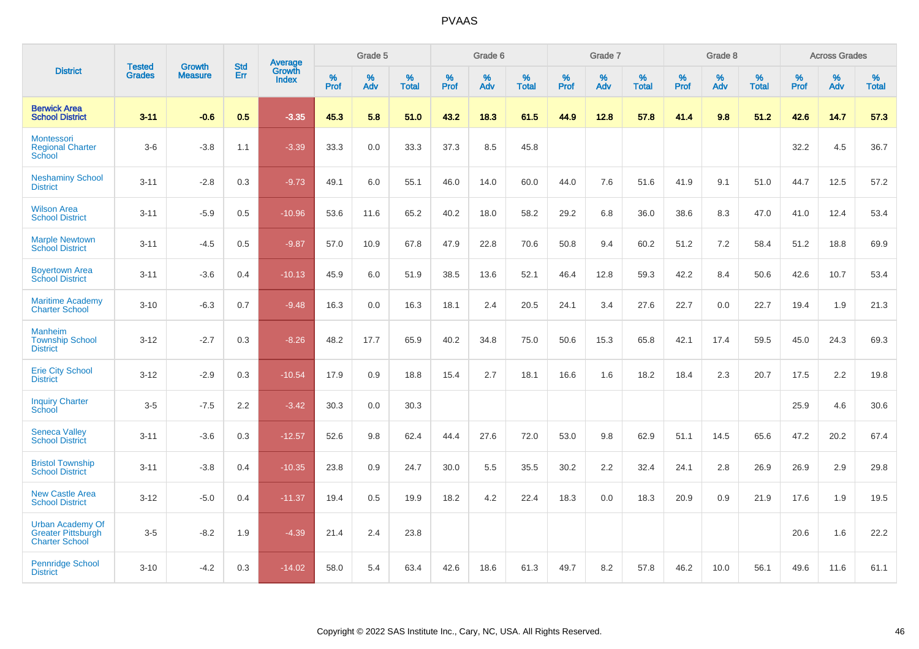|                                                                               |                                |                                 | <b>Std</b> | Average         |           | Grade 5  |                   |           | Grade 6  |                   |           | Grade 7  |                   |           | Grade 8  |                   |           | <b>Across Grades</b> |                   |
|-------------------------------------------------------------------------------|--------------------------------|---------------------------------|------------|-----------------|-----------|----------|-------------------|-----------|----------|-------------------|-----------|----------|-------------------|-----------|----------|-------------------|-----------|----------------------|-------------------|
| <b>District</b>                                                               | <b>Tested</b><br><b>Grades</b> | <b>Growth</b><br><b>Measure</b> | Err        | Growth<br>Index | %<br>Prof | %<br>Adv | %<br><b>Total</b> | %<br>Prof | %<br>Adv | %<br><b>Total</b> | %<br>Prof | %<br>Adv | %<br><b>Total</b> | %<br>Prof | %<br>Adv | %<br><b>Total</b> | %<br>Prof | %<br>Adv             | %<br><b>Total</b> |
| <b>Berwick Area</b><br><b>School District</b>                                 | $3 - 11$                       | $-0.6$                          | 0.5        | $-3.35$         | 45.3      | 5.8      | 51.0              | 43.2      | 18.3     | 61.5              | 44.9      | 12.8     | 57.8              | 41.4      | 9.8      | 51.2              | 42.6      | 14.7                 | 57.3              |
| <b>Montessori</b><br><b>Regional Charter</b><br>School                        | $3-6$                          | $-3.8$                          | 1.1        | $-3.39$         | 33.3      | 0.0      | 33.3              | 37.3      | 8.5      | 45.8              |           |          |                   |           |          |                   | 32.2      | 4.5                  | 36.7              |
| <b>Neshaminy School</b><br><b>District</b>                                    | $3 - 11$                       | $-2.8$                          | 0.3        | $-9.73$         | 49.1      | 6.0      | 55.1              | 46.0      | 14.0     | 60.0              | 44.0      | 7.6      | 51.6              | 41.9      | 9.1      | 51.0              | 44.7      | 12.5                 | 57.2              |
| <b>Wilson Area</b><br><b>School District</b>                                  | $3 - 11$                       | $-5.9$                          | 0.5        | $-10.96$        | 53.6      | 11.6     | 65.2              | 40.2      | 18.0     | 58.2              | 29.2      | 6.8      | 36.0              | 38.6      | 8.3      | 47.0              | 41.0      | 12.4                 | 53.4              |
| <b>Marple Newtown</b><br><b>School District</b>                               | $3 - 11$                       | $-4.5$                          | 0.5        | $-9.87$         | 57.0      | 10.9     | 67.8              | 47.9      | 22.8     | 70.6              | 50.8      | 9.4      | 60.2              | 51.2      | 7.2      | 58.4              | 51.2      | 18.8                 | 69.9              |
| <b>Boyertown Area</b><br><b>School District</b>                               | $3 - 11$                       | $-3.6$                          | 0.4        | $-10.13$        | 45.9      | 6.0      | 51.9              | 38.5      | 13.6     | 52.1              | 46.4      | 12.8     | 59.3              | 42.2      | 8.4      | 50.6              | 42.6      | 10.7                 | 53.4              |
| <b>Maritime Academy</b><br><b>Charter School</b>                              | $3 - 10$                       | $-6.3$                          | 0.7        | $-9.48$         | 16.3      | 0.0      | 16.3              | 18.1      | 2.4      | 20.5              | 24.1      | 3.4      | 27.6              | 22.7      | 0.0      | 22.7              | 19.4      | 1.9                  | 21.3              |
| <b>Manheim</b><br><b>Township School</b><br><b>District</b>                   | $3 - 12$                       | $-2.7$                          | 0.3        | $-8.26$         | 48.2      | 17.7     | 65.9              | 40.2      | 34.8     | 75.0              | 50.6      | 15.3     | 65.8              | 42.1      | 17.4     | 59.5              | 45.0      | 24.3                 | 69.3              |
| <b>Erie City School</b><br><b>District</b>                                    | $3 - 12$                       | $-2.9$                          | 0.3        | $-10.54$        | 17.9      | 0.9      | 18.8              | 15.4      | 2.7      | 18.1              | 16.6      | 1.6      | 18.2              | 18.4      | 2.3      | 20.7              | 17.5      | 2.2                  | 19.8              |
| <b>Inquiry Charter</b><br>School                                              | $3-5$                          | $-7.5$                          | 2.2        | $-3.42$         | 30.3      | 0.0      | 30.3              |           |          |                   |           |          |                   |           |          |                   | 25.9      | 4.6                  | 30.6              |
| <b>Seneca Valley</b><br><b>School District</b>                                | $3 - 11$                       | $-3.6$                          | 0.3        | $-12.57$        | 52.6      | 9.8      | 62.4              | 44.4      | 27.6     | 72.0              | 53.0      | 9.8      | 62.9              | 51.1      | 14.5     | 65.6              | 47.2      | 20.2                 | 67.4              |
| <b>Bristol Township</b><br><b>School District</b>                             | $3 - 11$                       | $-3.8$                          | 0.4        | $-10.35$        | 23.8      | 0.9      | 24.7              | 30.0      | 5.5      | 35.5              | 30.2      | 2.2      | 32.4              | 24.1      | 2.8      | 26.9              | 26.9      | 2.9                  | 29.8              |
| <b>New Castle Area</b><br><b>School District</b>                              | $3 - 12$                       | $-5.0$                          | 0.4        | $-11.37$        | 19.4      | 0.5      | 19.9              | 18.2      | 4.2      | 22.4              | 18.3      | 0.0      | 18.3              | 20.9      | 0.9      | 21.9              | 17.6      | 1.9                  | 19.5              |
| <b>Urban Academy Of</b><br><b>Greater Pittsburgh</b><br><b>Charter School</b> | $3-5$                          | $-8.2$                          | 1.9        | $-4.39$         | 21.4      | 2.4      | 23.8              |           |          |                   |           |          |                   |           |          |                   | 20.6      | 1.6                  | 22.2              |
| <b>Pennridge School</b><br><b>District</b>                                    | $3 - 10$                       | $-4.2$                          | 0.3        | $-14.02$        | 58.0      | 5.4      | 63.4              | 42.6      | 18.6     | 61.3              | 49.7      | 8.2      | 57.8              | 46.2      | 10.0     | 56.1              | 49.6      | 11.6                 | 61.1              |